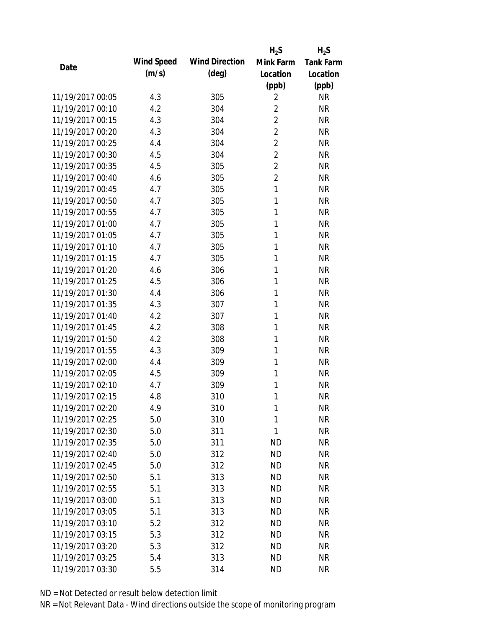|                  |            |                       | $H_2S$         | $H_2S$           |
|------------------|------------|-----------------------|----------------|------------------|
| Date             | Wind Speed | <b>Wind Direction</b> | Mink Farm      | <b>Tank Farm</b> |
|                  | (m/s)      | $(\text{deg})$        | Location       | Location         |
|                  |            |                       | (ppb)          | (ppb)            |
| 11/19/2017 00:05 | 4.3        | 305                   | 2              | <b>NR</b>        |
| 11/19/2017 00:10 | 4.2        | 304                   | $\overline{2}$ | <b>NR</b>        |
| 11/19/2017 00:15 | 4.3        | 304                   | $\overline{2}$ | <b>NR</b>        |
| 11/19/2017 00:20 | 4.3        | 304                   | $\overline{2}$ | <b>NR</b>        |
| 11/19/2017 00:25 | 4.4        | 304                   | $\overline{2}$ | <b>NR</b>        |
| 11/19/2017 00:30 | 4.5        | 304                   | $\overline{2}$ | <b>NR</b>        |
| 11/19/2017 00:35 | 4.5        | 305                   | $\overline{2}$ | <b>NR</b>        |
| 11/19/2017 00:40 | 4.6        | 305                   | $\overline{2}$ | <b>NR</b>        |
| 11/19/2017 00:45 | 4.7        | 305                   | 1              | <b>NR</b>        |
| 11/19/2017 00:50 | 4.7        | 305                   | 1              | <b>NR</b>        |
| 11/19/2017 00:55 | 4.7        | 305                   | 1              | <b>NR</b>        |
| 11/19/2017 01:00 | 4.7        | 305                   | 1              | <b>NR</b>        |
| 11/19/2017 01:05 | 4.7        | 305                   | 1              | <b>NR</b>        |
| 11/19/2017 01:10 | 4.7        | 305                   | 1              | <b>NR</b>        |
| 11/19/2017 01:15 | 4.7        | 305                   | 1              | <b>NR</b>        |
| 11/19/2017 01:20 | 4.6        | 306                   | 1              | <b>NR</b>        |
| 11/19/2017 01:25 | 4.5        | 306                   | 1              | <b>NR</b>        |
| 11/19/2017 01:30 | 4.4        | 306                   | 1              | <b>NR</b>        |
| 11/19/2017 01:35 | 4.3        | 307                   | 1              | <b>NR</b>        |
| 11/19/2017 01:40 | 4.2        | 307                   | 1              | <b>NR</b>        |
| 11/19/2017 01:45 | 4.2        | 308                   | 1              | <b>NR</b>        |
| 11/19/2017 01:50 | 4.2        | 308                   | 1              | <b>NR</b>        |
| 11/19/2017 01:55 | 4.3        | 309                   | 1              | <b>NR</b>        |
| 11/19/2017 02:00 | 4.4        | 309                   | 1              | <b>NR</b>        |
| 11/19/2017 02:05 | 4.5        | 309                   | 1              | <b>NR</b>        |
| 11/19/2017 02:10 | 4.7        | 309                   | 1              | <b>NR</b>        |
| 11/19/2017 02:15 | 4.8        | 310                   | 1              | <b>NR</b>        |
| 11/19/2017 02:20 | 4.9        | 310                   | 1              | <b>NR</b>        |
| 11/19/2017 02:25 | 5.0        | 310                   | 1              | <b>NR</b>        |
| 11/19/2017 02:30 | 5.0        | 311                   | 1              | <b>NR</b>        |
| 11/19/2017 02:35 | 5.0        | 311                   | <b>ND</b>      | <b>NR</b>        |
| 11/19/2017 02:40 | 5.0        | 312                   | <b>ND</b>      | <b>NR</b>        |
| 11/19/2017 02:45 | 5.0        | 312                   | <b>ND</b>      | <b>NR</b>        |
| 11/19/2017 02:50 | 5.1        | 313                   | <b>ND</b>      | <b>NR</b>        |
| 11/19/2017 02:55 | 5.1        | 313                   | <b>ND</b>      | <b>NR</b>        |
| 11/19/2017 03:00 | 5.1        | 313                   | <b>ND</b>      | <b>NR</b>        |
| 11/19/2017 03:05 | 5.1        | 313                   | <b>ND</b>      | <b>NR</b>        |
| 11/19/2017 03:10 | 5.2        | 312                   | <b>ND</b>      | <b>NR</b>        |
| 11/19/2017 03:15 | 5.3        | 312                   | <b>ND</b>      | <b>NR</b>        |
| 11/19/2017 03:20 | 5.3        | 312                   | <b>ND</b>      | <b>NR</b>        |
| 11/19/2017 03:25 | 5.4        | 313                   | <b>ND</b>      | <b>NR</b>        |
| 11/19/2017 03:30 | 5.5        | 314                   | <b>ND</b>      | <b>NR</b>        |
|                  |            |                       |                |                  |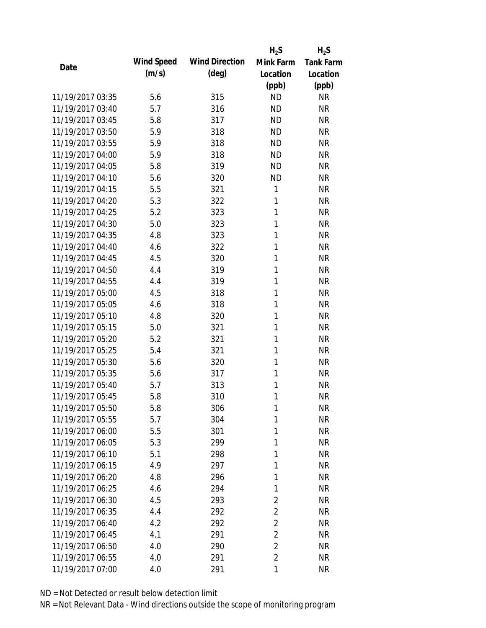|                  |            |                       | $H_2S$         | $H_2S$           |
|------------------|------------|-----------------------|----------------|------------------|
| Date             | Wind Speed | <b>Wind Direction</b> | Mink Farm      | <b>Tank Farm</b> |
|                  | (m/s)      | $(\text{deg})$        | Location       | Location         |
|                  |            |                       | (ppb)          | (ppb)            |
| 11/19/2017 03:35 | 5.6        | 315                   | <b>ND</b>      | <b>NR</b>        |
| 11/19/2017 03:40 | 5.7        | 316                   | <b>ND</b>      | <b>NR</b>        |
| 11/19/2017 03:45 | 5.8        | 317                   | <b>ND</b>      | <b>NR</b>        |
| 11/19/2017 03:50 | 5.9        | 318                   | <b>ND</b>      | <b>NR</b>        |
| 11/19/2017 03:55 | 5.9        | 318                   | <b>ND</b>      | <b>NR</b>        |
| 11/19/2017 04:00 | 5.9        | 318                   | <b>ND</b>      | <b>NR</b>        |
| 11/19/2017 04:05 | 5.8        | 319                   | <b>ND</b>      | <b>NR</b>        |
| 11/19/2017 04:10 | 5.6        | 320                   | <b>ND</b>      | <b>NR</b>        |
| 11/19/2017 04:15 | 5.5        | 321                   | 1              | <b>NR</b>        |
| 11/19/2017 04:20 | 5.3        | 322                   | 1              | <b>NR</b>        |
| 11/19/2017 04:25 | 5.2        | 323                   | 1              | <b>NR</b>        |
| 11/19/2017 04:30 | 5.0        | 323                   | 1              | <b>NR</b>        |
| 11/19/2017 04:35 | 4.8        | 323                   | 1              | <b>NR</b>        |
| 11/19/2017 04:40 | 4.6        | 322                   | 1              | <b>NR</b>        |
| 11/19/2017 04:45 | 4.5        | 320                   | 1              | <b>NR</b>        |
| 11/19/2017 04:50 | 4.4        | 319                   | 1              | <b>NR</b>        |
| 11/19/2017 04:55 | 4.4        | 319                   | 1              | <b>NR</b>        |
| 11/19/2017 05:00 | 4.5        | 318                   | 1              | <b>NR</b>        |
| 11/19/2017 05:05 | 4.6        | 318                   | 1              | <b>NR</b>        |
| 11/19/2017 05:10 | 4.8        | 320                   | 1              | <b>NR</b>        |
| 11/19/2017 05:15 | 5.0        | 321                   | 1              | <b>NR</b>        |
| 11/19/2017 05:20 | 5.2        | 321                   | 1              | <b>NR</b>        |
| 11/19/2017 05:25 | 5.4        | 321                   | 1              | <b>NR</b>        |
| 11/19/2017 05:30 | 5.6        | 320                   | 1              | <b>NR</b>        |
| 11/19/2017 05:35 | 5.6        | 317                   | 1              | <b>NR</b>        |
| 11/19/2017 05:40 | 5.7        | 313                   | 1              | <b>NR</b>        |
| 11/19/2017 05:45 | 5.8        | 310                   | 1              | <b>NR</b>        |
| 11/19/2017 05:50 | 5.8        | 306                   | 1              | <b>NR</b>        |
| 11/19/2017 05:55 | 5.7        | 304                   | 1              | <b>NR</b>        |
| 11/19/2017 06:00 | 5.5        | 301                   | 1              | <b>NR</b>        |
| 11/19/2017 06:05 | 5.3        | 299                   | 1              | <b>NR</b>        |
| 11/19/2017 06:10 | 5.1        | 298                   | 1              | <b>NR</b>        |
| 11/19/2017 06:15 | 4.9        | 297                   | 1              | <b>NR</b>        |
| 11/19/2017 06:20 | 4.8        | 296                   | 1              | <b>NR</b>        |
| 11/19/2017 06:25 | 4.6        | 294                   | 1              | <b>NR</b>        |
| 11/19/2017 06:30 | 4.5        | 293                   | $\overline{2}$ | <b>NR</b>        |
| 11/19/2017 06:35 | 4.4        | 292                   | $\overline{2}$ | <b>NR</b>        |
| 11/19/2017 06:40 | 4.2        | 292                   | $\overline{2}$ | <b>NR</b>        |
| 11/19/2017 06:45 | 4.1        | 291                   | $\overline{2}$ | <b>NR</b>        |
| 11/19/2017 06:50 | 4.0        | 290                   | $\overline{2}$ | <b>NR</b>        |
| 11/19/2017 06:55 | 4.0        | 291                   | $\overline{2}$ | <b>NR</b>        |
|                  |            |                       |                |                  |
| 11/19/2017 07:00 | 4.0        | 291                   | 1              | <b>NR</b>        |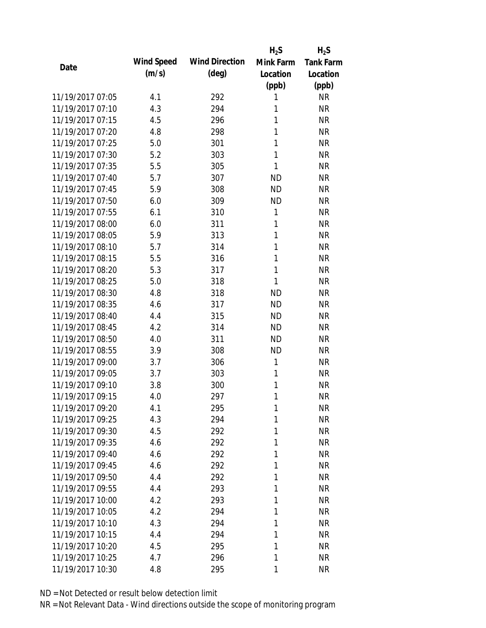|                  |            |                       | $H_2S$    | $H_2S$           |
|------------------|------------|-----------------------|-----------|------------------|
| Date             | Wind Speed | <b>Wind Direction</b> | Mink Farm | <b>Tank Farm</b> |
|                  | (m/s)      | $(\text{deg})$        | Location  | Location         |
|                  |            |                       | (ppb)     | (ppb)            |
| 11/19/2017 07:05 | 4.1        | 292                   | 1         | <b>NR</b>        |
| 11/19/2017 07:10 | 4.3        | 294                   | 1         | <b>NR</b>        |
| 11/19/2017 07:15 | 4.5        | 296                   | 1         | <b>NR</b>        |
| 11/19/2017 07:20 | 4.8        | 298                   | 1         | <b>NR</b>        |
| 11/19/2017 07:25 | 5.0        | 301                   | 1         | <b>NR</b>        |
| 11/19/2017 07:30 | 5.2        | 303                   | 1         | <b>NR</b>        |
| 11/19/2017 07:35 | 5.5        | 305                   | 1         | <b>NR</b>        |
| 11/19/2017 07:40 | 5.7        | 307                   | <b>ND</b> | <b>NR</b>        |
| 11/19/2017 07:45 | 5.9        | 308                   | <b>ND</b> | <b>NR</b>        |
| 11/19/2017 07:50 | 6.0        | 309                   | <b>ND</b> | <b>NR</b>        |
| 11/19/2017 07:55 | 6.1        | 310                   | 1         | <b>NR</b>        |
| 11/19/2017 08:00 | 6.0        | 311                   | 1         | <b>NR</b>        |
| 11/19/2017 08:05 | 5.9        | 313                   | 1         | <b>NR</b>        |
| 11/19/2017 08:10 | 5.7        | 314                   | 1         | <b>NR</b>        |
| 11/19/2017 08:15 | 5.5        | 316                   | 1         | <b>NR</b>        |
| 11/19/2017 08:20 | 5.3        | 317                   | 1         | <b>NR</b>        |
| 11/19/2017 08:25 | 5.0        | 318                   | 1         | <b>NR</b>        |
| 11/19/2017 08:30 | 4.8        | 318                   | <b>ND</b> | <b>NR</b>        |
| 11/19/2017 08:35 | 4.6        | 317                   | <b>ND</b> | <b>NR</b>        |
| 11/19/2017 08:40 | 4.4        | 315                   | <b>ND</b> | <b>NR</b>        |
| 11/19/2017 08:45 | 4.2        | 314                   | <b>ND</b> | <b>NR</b>        |
| 11/19/2017 08:50 | 4.0        | 311                   | <b>ND</b> | <b>NR</b>        |
| 11/19/2017 08:55 | 3.9        | 308                   | <b>ND</b> | <b>NR</b>        |
| 11/19/2017 09:00 | 3.7        | 306                   | 1         | <b>NR</b>        |
| 11/19/2017 09:05 | 3.7        | 303                   | 1         | <b>NR</b>        |
| 11/19/2017 09:10 | 3.8        | 300                   | 1         | <b>NR</b>        |
| 11/19/2017 09:15 | 4.0        | 297                   | 1         | <b>NR</b>        |
| 11/19/2017 09:20 | 4.1        | 295                   | 1         | NR               |
| 11/19/2017 09:25 | 4.3        | 294                   | 1         | <b>NR</b>        |
| 11/19/2017 09:30 | 4.5        | 292                   | 1         | <b>NR</b>        |
| 11/19/2017 09:35 | 4.6        | 292                   | 1         | <b>NR</b>        |
| 11/19/2017 09:40 | 4.6        | 292                   | 1         | <b>NR</b>        |
| 11/19/2017 09:45 | 4.6        | 292                   | 1         | <b>NR</b>        |
| 11/19/2017 09:50 | 4.4        | 292                   | 1         | <b>NR</b>        |
| 11/19/2017 09:55 | 4.4        | 293                   | 1         | <b>NR</b>        |
| 11/19/2017 10:00 | 4.2        | 293                   | 1         | <b>NR</b>        |
| 11/19/2017 10:05 | 4.2        | 294                   | 1         | <b>NR</b>        |
| 11/19/2017 10:10 | 4.3        | 294                   | 1         | <b>NR</b>        |
| 11/19/2017 10:15 | 4.4        | 294                   | 1         | <b>NR</b>        |
| 11/19/2017 10:20 | 4.5        | 295                   | 1         | <b>NR</b>        |
| 11/19/2017 10:25 | 4.7        | 296                   | 1         | <b>NR</b>        |
| 11/19/2017 10:30 | 4.8        | 295                   | 1         | <b>NR</b>        |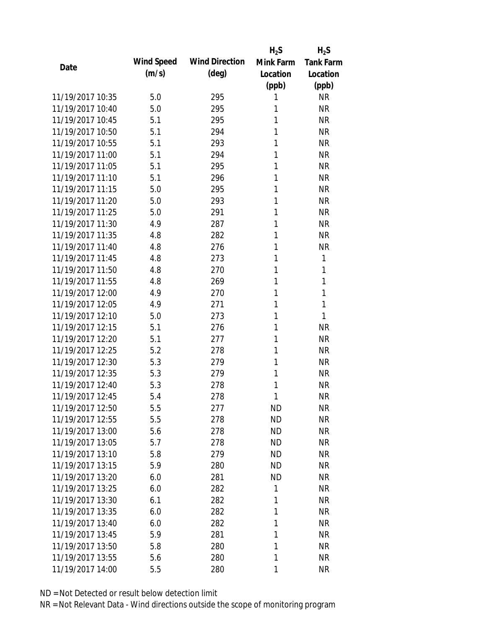|                  |            |                       | $H_2S$    | $H_2S$           |
|------------------|------------|-----------------------|-----------|------------------|
| Date             | Wind Speed | <b>Wind Direction</b> | Mink Farm | <b>Tank Farm</b> |
|                  | (m/s)      | $(\text{deg})$        | Location  | Location         |
|                  |            |                       | (ppb)     | (ppb)            |
| 11/19/2017 10:35 | 5.0        | 295                   | 1         | <b>NR</b>        |
| 11/19/2017 10:40 | 5.0        | 295                   | 1         | <b>NR</b>        |
| 11/19/2017 10:45 | 5.1        | 295                   | 1         | <b>NR</b>        |
| 11/19/2017 10:50 | 5.1        | 294                   | 1         | <b>NR</b>        |
| 11/19/2017 10:55 | 5.1        | 293                   | 1         | <b>NR</b>        |
| 11/19/2017 11:00 | 5.1        | 294                   | 1         | <b>NR</b>        |
| 11/19/2017 11:05 | 5.1        | 295                   | 1         | <b>NR</b>        |
| 11/19/2017 11:10 | 5.1        | 296                   | 1         | <b>NR</b>        |
| 11/19/2017 11:15 | 5.0        | 295                   | 1         | <b>NR</b>        |
| 11/19/2017 11:20 | 5.0        | 293                   | 1         | <b>NR</b>        |
| 11/19/2017 11:25 | 5.0        | 291                   | 1         | <b>NR</b>        |
| 11/19/2017 11:30 | 4.9        | 287                   | 1         | <b>NR</b>        |
| 11/19/2017 11:35 | 4.8        | 282                   | 1         | <b>NR</b>        |
| 11/19/2017 11:40 | 4.8        | 276                   | 1         | <b>NR</b>        |
| 11/19/2017 11:45 | 4.8        | 273                   | 1         | 1                |
| 11/19/2017 11:50 | 4.8        | 270                   | 1         | 1                |
| 11/19/2017 11:55 | 4.8        | 269                   | 1         | 1                |
| 11/19/2017 12:00 | 4.9        | 270                   | 1         | 1                |
| 11/19/2017 12:05 | 4.9        | 271                   | 1         | 1                |
| 11/19/2017 12:10 | 5.0        | 273                   | 1         | 1                |
| 11/19/2017 12:15 | 5.1        | 276                   | 1         | <b>NR</b>        |
| 11/19/2017 12:20 | 5.1        | 277                   | 1         | <b>NR</b>        |
| 11/19/2017 12:25 | 5.2        | 278                   | 1         | <b>NR</b>        |
| 11/19/2017 12:30 | 5.3        | 279                   | 1         | <b>NR</b>        |
| 11/19/2017 12:35 | 5.3        | 279                   | 1         | <b>NR</b>        |
| 11/19/2017 12:40 | 5.3        | 278                   | 1         | <b>NR</b>        |
| 11/19/2017 12:45 | 5.4        | 278                   | 1         | <b>NR</b>        |
| 11/19/2017 12:50 | 5.5        | 277                   | <b>ND</b> | <b>NR</b>        |
| 11/19/2017 12:55 | 5.5        | 278                   | <b>ND</b> | <b>NR</b>        |
| 11/19/2017 13:00 | 5.6        | 278                   | ND        | <b>NR</b>        |
| 11/19/2017 13:05 | 5.7        | 278                   | <b>ND</b> | <b>NR</b>        |
| 11/19/2017 13:10 | 5.8        | 279                   | <b>ND</b> | <b>NR</b>        |
| 11/19/2017 13:15 | 5.9        | 280                   | <b>ND</b> | <b>NR</b>        |
| 11/19/2017 13:20 | 6.0        | 281                   | <b>ND</b> | <b>NR</b>        |
| 11/19/2017 13:25 | 6.0        | 282                   | 1         | <b>NR</b>        |
| 11/19/2017 13:30 | 6.1        | 282                   | 1         | <b>NR</b>        |
| 11/19/2017 13:35 | 6.0        | 282                   | 1         | <b>NR</b>        |
| 11/19/2017 13:40 | 6.0        | 282                   | 1         | <b>NR</b>        |
| 11/19/2017 13:45 | 5.9        | 281                   | 1         | <b>NR</b>        |
| 11/19/2017 13:50 | 5.8        | 280                   | 1         | <b>NR</b>        |
| 11/19/2017 13:55 | 5.6        | 280                   | 1         | <b>NR</b>        |
| 11/19/2017 14:00 | 5.5        | 280                   | 1         | <b>NR</b>        |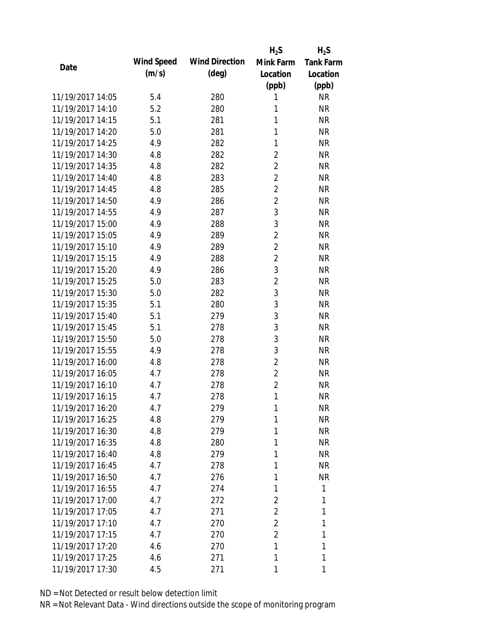|                  |            |                       | $H_2S$         | $H_2S$           |
|------------------|------------|-----------------------|----------------|------------------|
| Date             | Wind Speed | <b>Wind Direction</b> | Mink Farm      | <b>Tank Farm</b> |
|                  | (m/s)      | $(\text{deg})$        | Location       | Location         |
|                  |            |                       | (ppb)          | (ppb)            |
| 11/19/2017 14:05 | 5.4        | 280                   | 1              | <b>NR</b>        |
| 11/19/2017 14:10 | 5.2        | 280                   | 1              | <b>NR</b>        |
| 11/19/2017 14:15 | 5.1        | 281                   | 1              | <b>NR</b>        |
| 11/19/2017 14:20 | 5.0        | 281                   | 1              | <b>NR</b>        |
| 11/19/2017 14:25 | 4.9        | 282                   | 1              | <b>NR</b>        |
| 11/19/2017 14:30 | 4.8        | 282                   | $\overline{2}$ | <b>NR</b>        |
| 11/19/2017 14:35 | 4.8        | 282                   | $\overline{2}$ | <b>NR</b>        |
| 11/19/2017 14:40 | 4.8        | 283                   | $\overline{2}$ | <b>NR</b>        |
| 11/19/2017 14:45 | 4.8        | 285                   | $\overline{2}$ | <b>NR</b>        |
| 11/19/2017 14:50 | 4.9        | 286                   | $\overline{2}$ | <b>NR</b>        |
| 11/19/2017 14:55 | 4.9        | 287                   | 3              | <b>NR</b>        |
| 11/19/2017 15:00 | 4.9        | 288                   | 3              | <b>NR</b>        |
| 11/19/2017 15:05 | 4.9        | 289                   | $\overline{2}$ | <b>NR</b>        |
| 11/19/2017 15:10 | 4.9        | 289                   | $\overline{2}$ | <b>NR</b>        |
| 11/19/2017 15:15 | 4.9        | 288                   | $\overline{2}$ | <b>NR</b>        |
| 11/19/2017 15:20 | 4.9        | 286                   | 3              | <b>NR</b>        |
| 11/19/2017 15:25 | 5.0        | 283                   | $\sqrt{2}$     | <b>NR</b>        |
| 11/19/2017 15:30 | 5.0        | 282                   | 3              | <b>NR</b>        |
| 11/19/2017 15:35 | 5.1        | 280                   | 3              | <b>NR</b>        |
| 11/19/2017 15:40 | 5.1        | 279                   | 3              | <b>NR</b>        |
| 11/19/2017 15:45 | 5.1        | 278                   | 3              | <b>NR</b>        |
| 11/19/2017 15:50 | 5.0        | 278                   | 3              | <b>NR</b>        |
| 11/19/2017 15:55 | 4.9        | 278                   | 3              | <b>NR</b>        |
| 11/19/2017 16:00 | 4.8        | 278                   | $\overline{2}$ | <b>NR</b>        |
| 11/19/2017 16:05 | 4.7        | 278                   | $\overline{2}$ | <b>NR</b>        |
| 11/19/2017 16:10 | 4.7        | 278                   | $\overline{2}$ | <b>NR</b>        |
| 11/19/2017 16:15 | 4.7        | 278                   | 1              | <b>NR</b>        |
| 11/19/2017 16:20 | 4.7        | 279                   | 1              | <b>NR</b>        |
| 11/19/2017 16:25 | 4.8        | 279                   | 1              | <b>NR</b>        |
| 11/19/2017 16:30 | 4.8        | 279                   | 1              | <b>NR</b>        |
| 11/19/2017 16:35 | 4.8        | 280                   | 1              | <b>NR</b>        |
| 11/19/2017 16:40 | 4.8        | 279                   | 1              | <b>NR</b>        |
| 11/19/2017 16:45 | 4.7        | 278                   | 1              | <b>NR</b>        |
| 11/19/2017 16:50 | 4.7        | 276                   | 1              | <b>NR</b>        |
| 11/19/2017 16:55 | 4.7        | 274                   | 1              | 1                |
| 11/19/2017 17:00 | 4.7        | 272                   | $\overline{2}$ | 1                |
| 11/19/2017 17:05 | 4.7        | 271                   | $\overline{2}$ | 1                |
| 11/19/2017 17:10 | 4.7        | 270                   | $\overline{2}$ | 1                |
| 11/19/2017 17:15 | 4.7        | 270                   | $\overline{2}$ | 1                |
| 11/19/2017 17:20 | 4.6        | 270                   | 1              | 1                |
| 11/19/2017 17:25 | 4.6        | 271                   | 1              | 1                |
| 11/19/2017 17:30 | 4.5        | 271                   | 1              | 1                |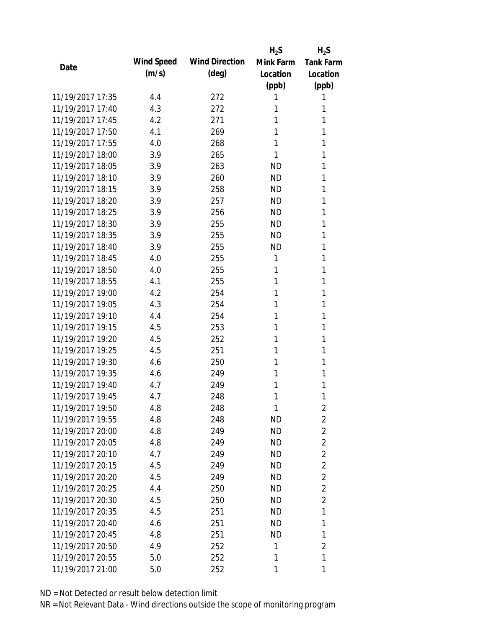|                  |            |                       | $H_2S$    | $H_2S$           |
|------------------|------------|-----------------------|-----------|------------------|
| Date             | Wind Speed | <b>Wind Direction</b> | Mink Farm | <b>Tank Farm</b> |
|                  | (m/s)      | $(\text{deg})$        | Location  | Location         |
|                  |            |                       | (ppb)     | (ppb)            |
| 11/19/2017 17:35 | 4.4        | 272                   | 1         | 1                |
| 11/19/2017 17:40 | 4.3        | 272                   | 1         | 1                |
| 11/19/2017 17:45 | 4.2        | 271                   | 1         | 1                |
| 11/19/2017 17:50 | 4.1        | 269                   | 1         | 1                |
| 11/19/2017 17:55 | 4.0        | 268                   | 1         | 1                |
| 11/19/2017 18:00 | 3.9        | 265                   | 1         | 1                |
| 11/19/2017 18:05 | 3.9        | 263                   | <b>ND</b> | 1                |
| 11/19/2017 18:10 | 3.9        | 260                   | <b>ND</b> | 1                |
| 11/19/2017 18:15 | 3.9        | 258                   | <b>ND</b> | 1                |
| 11/19/2017 18:20 | 3.9        | 257                   | <b>ND</b> | 1                |
| 11/19/2017 18:25 | 3.9        | 256                   | <b>ND</b> | 1                |
| 11/19/2017 18:30 | 3.9        | 255                   | <b>ND</b> | 1                |
| 11/19/2017 18:35 | 3.9        | 255                   | <b>ND</b> | 1                |
| 11/19/2017 18:40 | 3.9        | 255                   | <b>ND</b> | 1                |
| 11/19/2017 18:45 | 4.0        | 255                   | 1         | 1                |
| 11/19/2017 18:50 | 4.0        | 255                   | 1         | 1                |
| 11/19/2017 18:55 | 4.1        | 255                   | 1         | 1                |
| 11/19/2017 19:00 | 4.2        | 254                   | 1         | 1                |
| 11/19/2017 19:05 | 4.3        | 254                   | 1         | 1                |
| 11/19/2017 19:10 | 4.4        | 254                   | 1         | 1                |
| 11/19/2017 19:15 | 4.5        | 253                   | 1         | 1                |
| 11/19/2017 19:20 | 4.5        | 252                   | 1         | 1                |
| 11/19/2017 19:25 | 4.5        | 251                   | 1         | 1                |
| 11/19/2017 19:30 | 4.6        | 250                   | 1         | 1                |
| 11/19/2017 19:35 | 4.6        | 249                   | 1         | 1                |
| 11/19/2017 19:40 | 4.7        | 249                   | 1         | 1                |
| 11/19/2017 19:45 | 4.7        | 248                   | 1         | 1                |
| 11/19/2017 19:50 | 4.8        | 248                   | 1         | 2                |
| 11/19/2017 19:55 | 4.8        | 248                   | <b>ND</b> | $\overline{2}$   |
| 11/19/2017 20:00 | 4.8        | 249                   | <b>ND</b> | $\overline{2}$   |
| 11/19/2017 20:05 | 4.8        | 249                   | <b>ND</b> | $\overline{2}$   |
| 11/19/2017 20:10 | 4.7        | 249                   | <b>ND</b> | $\overline{2}$   |
| 11/19/2017 20:15 | 4.5        | 249                   | <b>ND</b> | $\overline{2}$   |
| 11/19/2017 20:20 | 4.5        | 249                   | <b>ND</b> | $\overline{2}$   |
| 11/19/2017 20:25 | 4.4        | 250                   | <b>ND</b> | $\overline{2}$   |
| 11/19/2017 20:30 | 4.5        | 250                   | <b>ND</b> | $\overline{2}$   |
| 11/19/2017 20:35 | 4.5        | 251                   | ND        | 1                |
| 11/19/2017 20:40 | 4.6        | 251                   | ND        | 1                |
| 11/19/2017 20:45 | 4.8        | 251                   | <b>ND</b> | 1                |
| 11/19/2017 20:50 | 4.9        | 252                   | 1         | $\overline{2}$   |
| 11/19/2017 20:55 | 5.0        | 252                   | 1         | 1                |
| 11/19/2017 21:00 | 5.0        | 252                   | 1         | 1                |
|                  |            |                       |           |                  |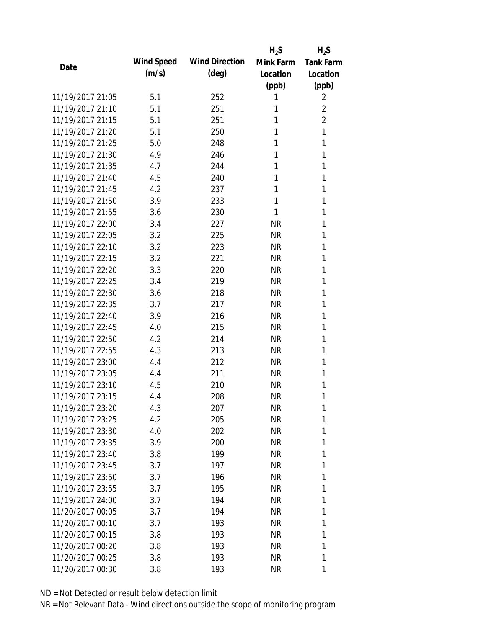|                  |            |                       | $H_2S$    | $H_2S$           |
|------------------|------------|-----------------------|-----------|------------------|
| Date             | Wind Speed | <b>Wind Direction</b> | Mink Farm | <b>Tank Farm</b> |
|                  | (m/s)      | $(\text{deg})$        | Location  | Location         |
|                  |            |                       | (ppb)     | (ppb)            |
| 11/19/2017 21:05 | 5.1        | 252                   | 1         | 2                |
| 11/19/2017 21:10 | 5.1        | 251                   | 1         | $\overline{2}$   |
| 11/19/2017 21:15 | 5.1        | 251                   | 1         | $\overline{2}$   |
| 11/19/2017 21:20 | 5.1        | 250                   | 1         | 1                |
| 11/19/2017 21:25 | 5.0        | 248                   | 1         | 1                |
| 11/19/2017 21:30 | 4.9        | 246                   | 1         | 1                |
| 11/19/2017 21:35 | 4.7        | 244                   | 1         | 1                |
| 11/19/2017 21:40 | 4.5        | 240                   | 1         | 1                |
| 11/19/2017 21:45 | 4.2        | 237                   | 1         | 1                |
| 11/19/2017 21:50 | 3.9        | 233                   | 1         | 1                |
| 11/19/2017 21:55 | 3.6        | 230                   | 1         | 1                |
| 11/19/2017 22:00 | 3.4        | 227                   | NR        | 1                |
| 11/19/2017 22:05 | 3.2        | 225                   | <b>NR</b> | 1                |
| 11/19/2017 22:10 | 3.2        | 223                   | <b>NR</b> | 1                |
| 11/19/2017 22:15 | 3.2        | 221                   | <b>NR</b> | 1                |
| 11/19/2017 22:20 | 3.3        | 220                   | NR        | 1                |
| 11/19/2017 22:25 | 3.4        | 219                   | <b>NR</b> | 1                |
| 11/19/2017 22:30 | 3.6        | 218                   | <b>NR</b> | 1                |
| 11/19/2017 22:35 | 3.7        | 217                   | <b>NR</b> | 1                |
| 11/19/2017 22:40 | 3.9        | 216                   | <b>NR</b> | 1                |
| 11/19/2017 22:45 | 4.0        | 215                   | NR        | 1                |
| 11/19/2017 22:50 | 4.2        | 214                   | <b>NR</b> | 1                |
| 11/19/2017 22:55 | 4.3        | 213                   | <b>NR</b> | 1                |
| 11/19/2017 23:00 | 4.4        | 212                   | <b>NR</b> | 1                |
| 11/19/2017 23:05 | 4.4        | 211                   | <b>NR</b> | 1                |
| 11/19/2017 23:10 | 4.5        | 210                   | NR        | 1                |
| 11/19/2017 23:15 | 4.4        | 208                   | <b>NR</b> | 1                |
| 11/19/2017 23:20 | 4.3        | 207                   | <b>NR</b> | 1                |
| 11/19/2017 23:25 | 4.2        | 205                   | <b>NR</b> | 1                |
| 11/19/2017 23:30 | 4.0        | 202                   | <b>NR</b> | 1                |
| 11/19/2017 23:35 | 3.9        | 200                   | NR        | 1                |
| 11/19/2017 23:40 | 3.8        | 199                   | <b>NR</b> | 1                |
| 11/19/2017 23:45 | 3.7        | 197                   | <b>NR</b> | 1                |
| 11/19/2017 23:50 | 3.7        | 196                   | <b>NR</b> | 1                |
| 11/19/2017 23:55 | 3.7        | 195                   | NR        | 1                |
| 11/19/2017 24:00 | 3.7        | 194                   | <b>NR</b> | 1                |
| 11/20/2017 00:05 | 3.7        | 194                   | NR        | 1                |
| 11/20/2017 00:10 | 3.7        | 193                   | NR        | 1                |
| 11/20/2017 00:15 | 3.8        | 193                   | NR        | 1                |
| 11/20/2017 00:20 | 3.8        | 193                   | NR        | 1                |
| 11/20/2017 00:25 | 3.8        | 193                   | <b>NR</b> | 1                |
| 11/20/2017 00:30 | 3.8        | 193                   | <b>NR</b> | 1                |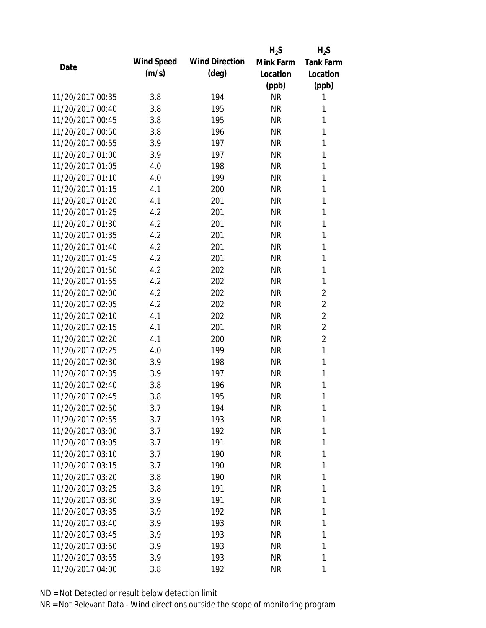|                  |            |                       | $H_2S$    | $H_2S$           |
|------------------|------------|-----------------------|-----------|------------------|
| Date             | Wind Speed | <b>Wind Direction</b> | Mink Farm | <b>Tank Farm</b> |
|                  | (m/s)      | $(\text{deg})$        | Location  | Location         |
|                  |            |                       | (ppb)     | (ppb)            |
| 11/20/2017 00:35 | 3.8        | 194                   | <b>NR</b> | 1                |
| 11/20/2017 00:40 | 3.8        | 195                   | <b>NR</b> | 1                |
| 11/20/2017 00:45 | 3.8        | 195                   | <b>NR</b> | 1                |
| 11/20/2017 00:50 | 3.8        | 196                   | <b>NR</b> | 1                |
| 11/20/2017 00:55 | 3.9        | 197                   | <b>NR</b> | 1                |
| 11/20/2017 01:00 | 3.9        | 197                   | <b>NR</b> | 1                |
| 11/20/2017 01:05 | 4.0        | 198                   | <b>NR</b> | 1                |
| 11/20/2017 01:10 | 4.0        | 199                   | <b>NR</b> | 1                |
| 11/20/2017 01:15 | 4.1        | 200                   | <b>NR</b> | 1                |
| 11/20/2017 01:20 | 4.1        | 201                   | <b>NR</b> | 1                |
| 11/20/2017 01:25 | 4.2        | 201                   | <b>NR</b> | 1                |
| 11/20/2017 01:30 | 4.2        | 201                   | <b>NR</b> | 1                |
| 11/20/2017 01:35 | 4.2        | 201                   | <b>NR</b> | 1                |
| 11/20/2017 01:40 | 4.2        | 201                   | <b>NR</b> | 1                |
| 11/20/2017 01:45 | 4.2        | 201                   | <b>NR</b> | 1                |
| 11/20/2017 01:50 | 4.2        | 202                   | <b>NR</b> | 1                |
| 11/20/2017 01:55 | 4.2        | 202                   | <b>NR</b> | 1                |
| 11/20/2017 02:00 | 4.2        | 202                   | <b>NR</b> | $\overline{2}$   |
| 11/20/2017 02:05 | 4.2        | 202                   | <b>NR</b> | $\overline{2}$   |
| 11/20/2017 02:10 | 4.1        | 202                   | <b>NR</b> | $\overline{2}$   |
| 11/20/2017 02:15 | 4.1        | 201                   | <b>NR</b> | $\overline{2}$   |
| 11/20/2017 02:20 | 4.1        | 200                   | <b>NR</b> | $\overline{2}$   |
| 11/20/2017 02:25 | 4.0        | 199                   | <b>NR</b> | 1                |
| 11/20/2017 02:30 | 3.9        | 198                   | <b>NR</b> | 1                |
| 11/20/2017 02:35 | 3.9        | 197                   | <b>NR</b> | 1                |
| 11/20/2017 02:40 | 3.8        | 196                   | <b>NR</b> | 1                |
| 11/20/2017 02:45 | 3.8        | 195                   | <b>NR</b> | 1                |
| 11/20/2017 02:50 | 3.7        | 194                   | <b>NR</b> | 1                |
| 11/20/2017 02:55 | 3.7        | 193                   | <b>NR</b> | 1                |
| 11/20/2017 03:00 | 3.7        | 192                   | <b>NR</b> | 1                |
| 11/20/2017 03:05 | 3.7        | 191                   | <b>NR</b> | 1                |
| 11/20/2017 03:10 | 3.7        | 190                   | <b>NR</b> | 1                |
| 11/20/2017 03:15 | 3.7        | 190                   | <b>NR</b> | 1                |
| 11/20/2017 03:20 | 3.8        | 190                   | <b>NR</b> | 1                |
| 11/20/2017 03:25 | 3.8        | 191                   | NR        | 1                |
| 11/20/2017 03:30 | 3.9        | 191                   | <b>NR</b> | 1                |
| 11/20/2017 03:35 | 3.9        | 192                   | NR        | 1                |
| 11/20/2017 03:40 | 3.9        | 193                   | NR        | 1                |
| 11/20/2017 03:45 | 3.9        | 193                   | NR        | 1                |
| 11/20/2017 03:50 | 3.9        | 193                   | NR        | 1                |
| 11/20/2017 03:55 | 3.9        | 193                   | <b>NR</b> | 1                |
| 11/20/2017 04:00 | 3.8        | 192                   | <b>NR</b> | 1                |
|                  |            |                       |           |                  |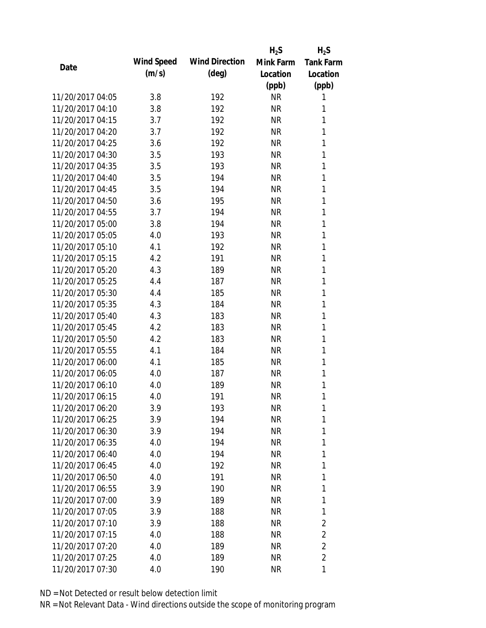|                  |            |                       | $H_2S$    | $H_2S$           |
|------------------|------------|-----------------------|-----------|------------------|
| Date             | Wind Speed | <b>Wind Direction</b> | Mink Farm | <b>Tank Farm</b> |
|                  | (m/s)      | $(\text{deg})$        | Location  | Location         |
|                  |            |                       | (ppb)     | (ppb)            |
| 11/20/2017 04:05 | 3.8        | 192                   | <b>NR</b> | 1                |
| 11/20/2017 04:10 | 3.8        | 192                   | <b>NR</b> | 1                |
| 11/20/2017 04:15 | 3.7        | 192                   | <b>NR</b> | 1                |
| 11/20/2017 04:20 | 3.7        | 192                   | <b>NR</b> | 1                |
| 11/20/2017 04:25 | 3.6        | 192                   | <b>NR</b> | 1                |
| 11/20/2017 04:30 | 3.5        | 193                   | <b>NR</b> | 1                |
| 11/20/2017 04:35 | 3.5        | 193                   | <b>NR</b> | 1                |
| 11/20/2017 04:40 | 3.5        | 194                   | <b>NR</b> | 1                |
| 11/20/2017 04:45 | 3.5        | 194                   | <b>NR</b> | 1                |
| 11/20/2017 04:50 | 3.6        | 195                   | <b>NR</b> | 1                |
| 11/20/2017 04:55 | 3.7        | 194                   | <b>NR</b> | 1                |
| 11/20/2017 05:00 | 3.8        | 194                   | <b>NR</b> | 1                |
| 11/20/2017 05:05 | 4.0        | 193                   | <b>NR</b> | 1                |
| 11/20/2017 05:10 | 4.1        | 192                   | <b>NR</b> | 1                |
| 11/20/2017 05:15 | 4.2        | 191                   | <b>NR</b> | 1                |
| 11/20/2017 05:20 | 4.3        | 189                   | <b>NR</b> | 1                |
| 11/20/2017 05:25 | 4.4        | 187                   | <b>NR</b> | 1                |
| 11/20/2017 05:30 | 4.4        | 185                   | <b>NR</b> | 1                |
| 11/20/2017 05:35 | 4.3        | 184                   | <b>NR</b> | 1                |
| 11/20/2017 05:40 | 4.3        | 183                   | <b>NR</b> | 1                |
| 11/20/2017 05:45 | 4.2        | 183                   | <b>NR</b> | 1                |
| 11/20/2017 05:50 | 4.2        | 183                   | <b>NR</b> | 1                |
| 11/20/2017 05:55 | 4.1        | 184                   | <b>NR</b> | 1                |
| 11/20/2017 06:00 | 4.1        | 185                   | <b>NR</b> | 1                |
| 11/20/2017 06:05 | 4.0        | 187                   | <b>NR</b> | 1                |
| 11/20/2017 06:10 | 4.0        | 189                   | <b>NR</b> | 1                |
| 11/20/2017 06:15 | 4.0        | 191                   | <b>NR</b> | 1                |
| 11/20/2017 06:20 | 3.9        | 193                   | <b>NR</b> | 1                |
| 11/20/2017 06:25 | 3.9        | 194                   | <b>NR</b> | 1                |
| 11/20/2017 06:30 | 3.9        | 194                   | <b>NR</b> | 1                |
| 11/20/2017 06:35 | 4.0        | 194                   | NR        | 1                |
| 11/20/2017 06:40 | 4.0        | 194                   | <b>NR</b> | 1                |
| 11/20/2017 06:45 | 4.0        | 192                   | <b>NR</b> | 1                |
| 11/20/2017 06:50 | 4.0        | 191                   | <b>NR</b> | 1                |
| 11/20/2017 06:55 | 3.9        | 190                   | NR        | 1                |
| 11/20/2017 07:00 | 3.9        | 189                   | <b>NR</b> | 1                |
| 11/20/2017 07:05 | 3.9        | 188                   | NR        | 1                |
| 11/20/2017 07:10 | 3.9        | 188                   | NR        | $\overline{2}$   |
| 11/20/2017 07:15 | 4.0        | 188                   | <b>NR</b> | $\overline{2}$   |
| 11/20/2017 07:20 | 4.0        | 189                   | NR        | $\overline{2}$   |
| 11/20/2017 07:25 | 4.0        | 189                   | <b>NR</b> | $\overline{2}$   |
| 11/20/2017 07:30 | 4.0        | 190                   | <b>NR</b> | 1                |
|                  |            |                       |           |                  |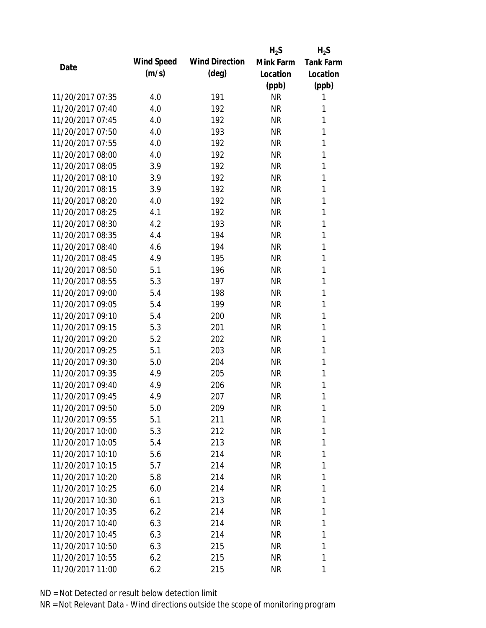|                  |            |                       | $H_2S$    | $H_2S$           |
|------------------|------------|-----------------------|-----------|------------------|
|                  | Wind Speed | <b>Wind Direction</b> | Mink Farm | <b>Tank Farm</b> |
| Date             | (m/s)      | $(\text{deg})$        | Location  | Location         |
|                  |            |                       | (ppb)     | (ppb)            |
| 11/20/2017 07:35 | 4.0        | 191                   | <b>NR</b> | 1                |
| 11/20/2017 07:40 | 4.0        | 192                   | <b>NR</b> | 1                |
| 11/20/2017 07:45 | 4.0        | 192                   | <b>NR</b> | 1                |
| 11/20/2017 07:50 | 4.0        | 193                   | <b>NR</b> | 1                |
| 11/20/2017 07:55 | 4.0        | 192                   | <b>NR</b> | 1                |
| 11/20/2017 08:00 | 4.0        | 192                   | <b>NR</b> | 1                |
| 11/20/2017 08:05 | 3.9        | 192                   | <b>NR</b> | 1                |
| 11/20/2017 08:10 | 3.9        | 192                   | <b>NR</b> | 1                |
| 11/20/2017 08:15 | 3.9        | 192                   | <b>NR</b> | 1                |
| 11/20/2017 08:20 | 4.0        | 192                   | <b>NR</b> | 1                |
| 11/20/2017 08:25 | 4.1        | 192                   | <b>NR</b> | 1                |
| 11/20/2017 08:30 | 4.2        | 193                   | <b>NR</b> | 1                |
| 11/20/2017 08:35 | 4.4        | 194                   | <b>NR</b> | 1                |
| 11/20/2017 08:40 | 4.6        | 194                   | <b>NR</b> | 1                |
| 11/20/2017 08:45 | 4.9        | 195                   | <b>NR</b> | 1                |
| 11/20/2017 08:50 | 5.1        | 196                   | <b>NR</b> | 1                |
| 11/20/2017 08:55 | 5.3        | 197                   | <b>NR</b> | 1                |
| 11/20/2017 09:00 | 5.4        | 198                   | <b>NR</b> | 1                |
| 11/20/2017 09:05 | 5.4        | 199                   | <b>NR</b> | 1                |
| 11/20/2017 09:10 | 5.4        | 200                   | <b>NR</b> | 1                |
| 11/20/2017 09:15 | 5.3        | 201                   | <b>NR</b> | 1                |
| 11/20/2017 09:20 | 5.2        | 202                   | <b>NR</b> | 1                |
| 11/20/2017 09:25 | 5.1        | 203                   | <b>NR</b> | 1                |
| 11/20/2017 09:30 | 5.0        | 204                   | <b>NR</b> | 1                |
| 11/20/2017 09:35 | 4.9        | 205                   | <b>NR</b> | 1                |
| 11/20/2017 09:40 | 4.9        | 206                   | <b>NR</b> | 1                |
| 11/20/2017 09:45 | 4.9        | 207                   | <b>NR</b> | 1                |
| 11/20/2017 09:50 | 5.0        | 209                   | <b>NR</b> | 1                |
| 11/20/2017 09:55 | 5.1        | 211                   | <b>NR</b> | 1                |
| 11/20/2017 10:00 | 5.3        | 212                   | <b>NR</b> | 1                |
| 11/20/2017 10:05 | 5.4        | 213                   | NR        | 1                |
| 11/20/2017 10:10 | 5.6        | 214                   | <b>NR</b> | 1                |
| 11/20/2017 10:15 | 5.7        | 214                   | NR        | 1                |
| 11/20/2017 10:20 | 5.8        | 214                   | <b>NR</b> | 1                |
| 11/20/2017 10:25 | 6.0        | 214                   | <b>NR</b> | 1                |
| 11/20/2017 10:30 | 6.1        | 213                   | NR        | 1                |
| 11/20/2017 10:35 | 6.2        | 214                   | NR        | 1                |
| 11/20/2017 10:40 | 6.3        | 214                   | NR        | 1                |
| 11/20/2017 10:45 | 6.3        | 214                   | <b>NR</b> | 1                |
| 11/20/2017 10:50 | 6.3        | 215                   | <b>NR</b> | 1                |
| 11/20/2017 10:55 | 6.2        | 215                   | <b>NR</b> | 1                |
| 11/20/2017 11:00 | 6.2        | 215                   | <b>NR</b> | 1                |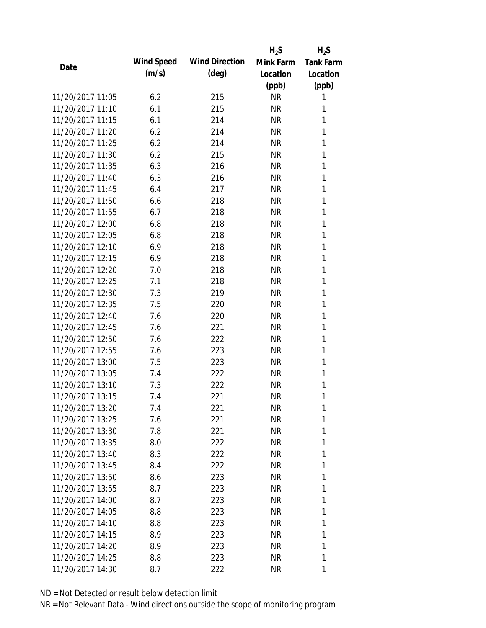|                  |            |                       | $H_2S$    | $H_2S$           |
|------------------|------------|-----------------------|-----------|------------------|
|                  | Wind Speed | <b>Wind Direction</b> | Mink Farm | <b>Tank Farm</b> |
| Date             | (m/s)      | $(\text{deg})$        | Location  | Location         |
|                  |            |                       | (ppb)     | (ppb)            |
| 11/20/2017 11:05 | 6.2        | 215                   | <b>NR</b> | 1                |
| 11/20/2017 11:10 | 6.1        | 215                   | NR        | 1                |
| 11/20/2017 11:15 | 6.1        | 214                   | <b>NR</b> | 1                |
| 11/20/2017 11:20 | 6.2        | 214                   | <b>NR</b> | 1                |
| 11/20/2017 11:25 | 6.2        | 214                   | <b>NR</b> | 1                |
| 11/20/2017 11:30 | 6.2        | 215                   | <b>NR</b> | 1                |
| 11/20/2017 11:35 | 6.3        | 216                   | <b>NR</b> | 1                |
| 11/20/2017 11:40 | 6.3        | 216                   | <b>NR</b> | 1                |
| 11/20/2017 11:45 | 6.4        | 217                   | NR        | 1                |
| 11/20/2017 11:50 | 6.6        | 218                   | <b>NR</b> | 1                |
| 11/20/2017 11:55 | 6.7        | 218                   | <b>NR</b> | 1                |
| 11/20/2017 12:00 | 6.8        | 218                   | <b>NR</b> | 1                |
| 11/20/2017 12:05 | 6.8        | 218                   | <b>NR</b> | 1                |
| 11/20/2017 12:10 | 6.9        | 218                   | <b>NR</b> | 1                |
| 11/20/2017 12:15 | 6.9        | 218                   | <b>NR</b> | 1                |
| 11/20/2017 12:20 | 7.0        | 218                   | NR        | 1                |
| 11/20/2017 12:25 | 7.1        | 218                   | <b>NR</b> | 1                |
| 11/20/2017 12:30 | 7.3        | 219                   | <b>NR</b> | 1                |
| 11/20/2017 12:35 | 7.5        | 220                   | <b>NR</b> | 1                |
| 11/20/2017 12:40 | 7.6        | 220                   | <b>NR</b> | 1                |
| 11/20/2017 12:45 | 7.6        | 221                   | NR        | 1                |
| 11/20/2017 12:50 | 7.6        | 222                   | <b>NR</b> | 1                |
| 11/20/2017 12:55 | 7.6        | 223                   | <b>NR</b> | 1                |
| 11/20/2017 13:00 | 7.5        | 223                   | <b>NR</b> | 1                |
| 11/20/2017 13:05 | 7.4        | 222                   | <b>NR</b> | 1                |
| 11/20/2017 13:10 | 7.3        | 222                   | <b>NR</b> | 1                |
| 11/20/2017 13:15 | 7.4        | 221                   | <b>NR</b> | 1                |
| 11/20/2017 13:20 | 7.4        | 221                   | NR        | 1                |
| 11/20/2017 13:25 | 7.6        | 221                   | <b>NR</b> | 1                |
| 11/20/2017 13:30 | 7.8        | 221                   | NR        | 1                |
| 11/20/2017 13:35 | 8.0        | 222                   | NR        | 1                |
| 11/20/2017 13:40 | 8.3        | 222                   | NR        | 1                |
| 11/20/2017 13:45 | 8.4        | 222                   | NR        | 1                |
| 11/20/2017 13:50 | 8.6        | 223                   | <b>NR</b> | 1                |
| 11/20/2017 13:55 | 8.7        | 223                   | NR        | 1                |
| 11/20/2017 14:00 | 8.7        | 223                   | NR        | 1                |
| 11/20/2017 14:05 | 8.8        | 223                   | NR        | 1                |
| 11/20/2017 14:10 | 8.8        | 223                   | NR        | 1                |
| 11/20/2017 14:15 | 8.9        | 223                   | NR        | 1                |
| 11/20/2017 14:20 | 8.9        | 223                   | NR        | 1                |
| 11/20/2017 14:25 | 8.8        | 223                   | NR        | 1                |
| 11/20/2017 14:30 | 8.7        | 222                   | <b>NR</b> | 1                |
|                  |            |                       |           |                  |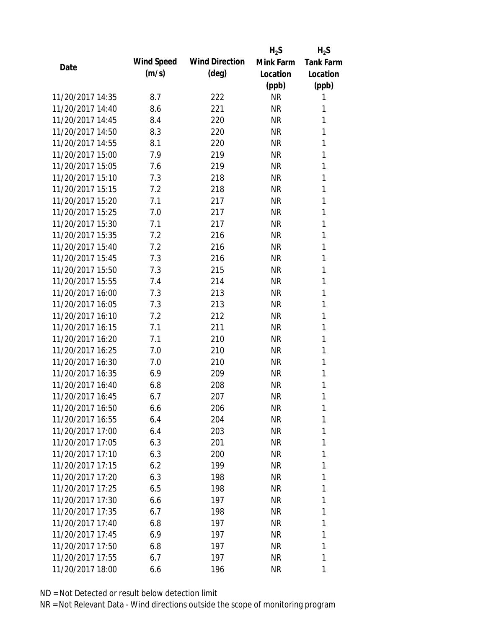|                  |            |                       | $H_2S$    | $H_2S$           |
|------------------|------------|-----------------------|-----------|------------------|
| Date             | Wind Speed | <b>Wind Direction</b> | Mink Farm | <b>Tank Farm</b> |
|                  | (m/s)      | $(\text{deg})$        | Location  | Location         |
|                  |            |                       | (ppb)     | (ppb)            |
| 11/20/2017 14:35 | 8.7        | 222                   | <b>NR</b> | 1                |
| 11/20/2017 14:40 | 8.6        | 221                   | <b>NR</b> | 1                |
| 11/20/2017 14:45 | 8.4        | 220                   | <b>NR</b> | 1                |
| 11/20/2017 14:50 | 8.3        | 220                   | <b>NR</b> | 1                |
| 11/20/2017 14:55 | 8.1        | 220                   | <b>NR</b> | 1                |
| 11/20/2017 15:00 | 7.9        | 219                   | <b>NR</b> | 1                |
| 11/20/2017 15:05 | 7.6        | 219                   | <b>NR</b> | 1                |
| 11/20/2017 15:10 | 7.3        | 218                   | <b>NR</b> | 1                |
| 11/20/2017 15:15 | 7.2        | 218                   | <b>NR</b> | 1                |
| 11/20/2017 15:20 | 7.1        | 217                   | <b>NR</b> | 1                |
| 11/20/2017 15:25 | 7.0        | 217                   | <b>NR</b> | 1                |
| 11/20/2017 15:30 | 7.1        | 217                   | <b>NR</b> | 1                |
| 11/20/2017 15:35 | 7.2        | 216                   | <b>NR</b> | 1                |
| 11/20/2017 15:40 | 7.2        | 216                   | <b>NR</b> | 1                |
| 11/20/2017 15:45 | 7.3        | 216                   | <b>NR</b> | 1                |
| 11/20/2017 15:50 | 7.3        | 215                   | <b>NR</b> | 1                |
| 11/20/2017 15:55 | 7.4        | 214                   | <b>NR</b> | 1                |
| 11/20/2017 16:00 | 7.3        | 213                   | <b>NR</b> | 1                |
| 11/20/2017 16:05 | 7.3        | 213                   | <b>NR</b> | 1                |
| 11/20/2017 16:10 | 7.2        | 212                   | <b>NR</b> | 1                |
| 11/20/2017 16:15 | 7.1        | 211                   | <b>NR</b> | 1                |
| 11/20/2017 16:20 | 7.1        | 210                   | <b>NR</b> | 1                |
| 11/20/2017 16:25 | 7.0        | 210                   | <b>NR</b> | 1                |
| 11/20/2017 16:30 | 7.0        | 210                   | <b>NR</b> | 1                |
| 11/20/2017 16:35 | 6.9        | 209                   | <b>NR</b> | 1                |
| 11/20/2017 16:40 | 6.8        | 208                   | <b>NR</b> | 1                |
| 11/20/2017 16:45 | 6.7        | 207                   | <b>NR</b> | 1                |
| 11/20/2017 16:50 | 6.6        | 206                   | <b>NR</b> | 1                |
| 11/20/2017 16:55 | 6.4        | 204                   | <b>NR</b> | 1                |
| 11/20/2017 17:00 | 6.4        | 203                   | NR        | 1                |
| 11/20/2017 17:05 | 6.3        | 201                   | <b>NR</b> | 1                |
| 11/20/2017 17:10 | 6.3        | 200                   | <b>NR</b> | 1                |
| 11/20/2017 17:15 | 6.2        | 199                   | <b>NR</b> | 1                |
| 11/20/2017 17:20 | 6.3        | 198                   | <b>NR</b> | 1                |
| 11/20/2017 17:25 | 6.5        | 198                   | <b>NR</b> | 1                |
| 11/20/2017 17:30 | 6.6        | 197                   | <b>NR</b> | 1                |
| 11/20/2017 17:35 | 6.7        | 198                   | NR        | 1                |
| 11/20/2017 17:40 | 6.8        | 197                   | NR        | 1                |
| 11/20/2017 17:45 | 6.9        | 197                   | <b>NR</b> | 1                |
| 11/20/2017 17:50 | 6.8        | 197                   | <b>NR</b> | 1                |
| 11/20/2017 17:55 | 6.7        | 197                   | <b>NR</b> | 1                |
| 11/20/2017 18:00 | 6.6        | 196                   | <b>NR</b> | 1                |
|                  |            |                       |           |                  |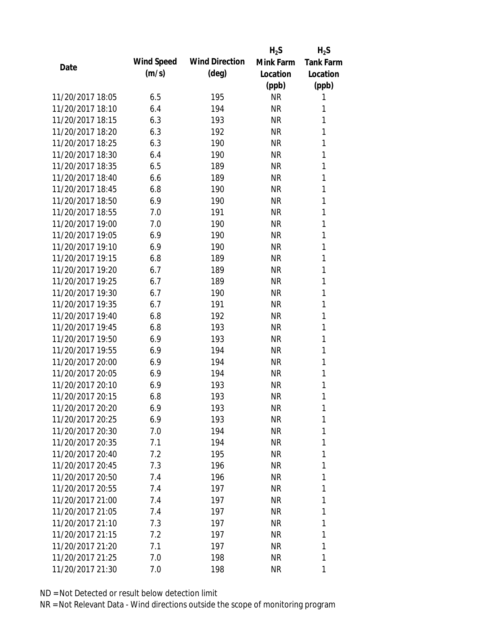|                  |            |                       | $H_2S$    | $H_2S$           |
|------------------|------------|-----------------------|-----------|------------------|
| Date             | Wind Speed | <b>Wind Direction</b> | Mink Farm | <b>Tank Farm</b> |
|                  | (m/s)      | $(\text{deg})$        | Location  | Location         |
|                  |            |                       | (ppb)     | (ppb)            |
| 11/20/2017 18:05 | 6.5        | 195                   | <b>NR</b> | 1                |
| 11/20/2017 18:10 | 6.4        | 194                   | <b>NR</b> | 1                |
| 11/20/2017 18:15 | 6.3        | 193                   | <b>NR</b> | 1                |
| 11/20/2017 18:20 | 6.3        | 192                   | <b>NR</b> | 1                |
| 11/20/2017 18:25 | 6.3        | 190                   | <b>NR</b> | 1                |
| 11/20/2017 18:30 | 6.4        | 190                   | <b>NR</b> | 1                |
| 11/20/2017 18:35 | 6.5        | 189                   | <b>NR</b> | 1                |
| 11/20/2017 18:40 | 6.6        | 189                   | <b>NR</b> | 1                |
| 11/20/2017 18:45 | 6.8        | 190                   | <b>NR</b> | 1                |
| 11/20/2017 18:50 | 6.9        | 190                   | <b>NR</b> | 1                |
| 11/20/2017 18:55 | 7.0        | 191                   | <b>NR</b> | 1                |
| 11/20/2017 19:00 | 7.0        | 190                   | <b>NR</b> | 1                |
| 11/20/2017 19:05 | 6.9        | 190                   | <b>NR</b> | 1                |
| 11/20/2017 19:10 | 6.9        | 190                   | <b>NR</b> | 1                |
| 11/20/2017 19:15 | 6.8        | 189                   | <b>NR</b> | 1                |
| 11/20/2017 19:20 | 6.7        | 189                   | <b>NR</b> | 1                |
| 11/20/2017 19:25 | 6.7        | 189                   | <b>NR</b> | 1                |
| 11/20/2017 19:30 | 6.7        | 190                   | <b>NR</b> | 1                |
| 11/20/2017 19:35 | 6.7        | 191                   | <b>NR</b> | 1                |
| 11/20/2017 19:40 | 6.8        | 192                   | <b>NR</b> | 1                |
| 11/20/2017 19:45 | 6.8        | 193                   | <b>NR</b> | 1                |
| 11/20/2017 19:50 | 6.9        | 193                   | <b>NR</b> | 1                |
| 11/20/2017 19:55 | 6.9        | 194                   | <b>NR</b> | 1                |
| 11/20/2017 20:00 | 6.9        | 194                   | <b>NR</b> | 1                |
| 11/20/2017 20:05 | 6.9        | 194                   | <b>NR</b> | 1                |
| 11/20/2017 20:10 | 6.9        | 193                   | <b>NR</b> | 1                |
| 11/20/2017 20:15 | 6.8        | 193                   | <b>NR</b> | 1                |
| 11/20/2017 20:20 | 6.9        | 193                   | <b>NR</b> | 1                |
| 11/20/2017 20:25 | 6.9        | 193                   | <b>NR</b> | 1                |
| 11/20/2017 20:30 | 7.0        | 194                   | NR        | 1                |
| 11/20/2017 20:35 | 7.1        | 194                   | NR        | 1                |
| 11/20/2017 20:40 | 7.2        | 195                   | <b>NR</b> | 1                |
| 11/20/2017 20:45 | 7.3        | 196                   | NR        | 1                |
| 11/20/2017 20:50 | 7.4        | 196                   | <b>NR</b> | 1                |
| 11/20/2017 20:55 | 7.4        | 197                   | NR        | 1                |
| 11/20/2017 21:00 | 7.4        | 197                   | <b>NR</b> | 1                |
| 11/20/2017 21:05 | 7.4        | 197                   | NR        | 1                |
| 11/20/2017 21:10 | 7.3        | 197                   | NR        | 1                |
| 11/20/2017 21:15 | 7.2        | 197                   | <b>NR</b> | 1                |
| 11/20/2017 21:20 | 7.1        | 197                   | NR        | 1                |
| 11/20/2017 21:25 | 7.0        | 198                   | <b>NR</b> | 1                |
| 11/20/2017 21:30 | 7.0        | 198                   | <b>NR</b> | 1                |
|                  |            |                       |           |                  |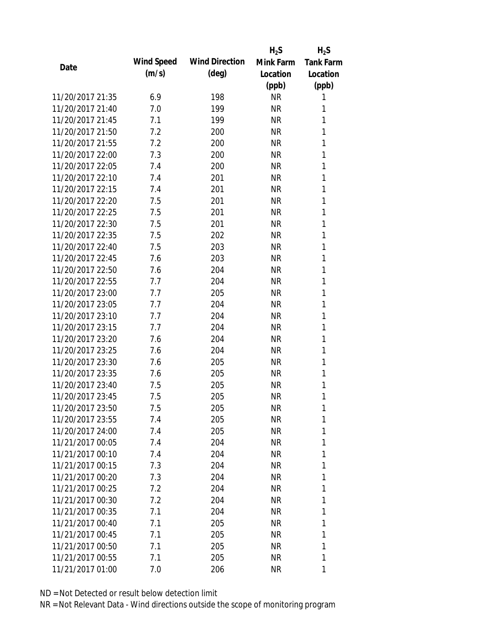|                  |                   |                       | $H_2S$    | $H_2S$           |
|------------------|-------------------|-----------------------|-----------|------------------|
|                  | <b>Wind Speed</b> | <b>Wind Direction</b> | Mink Farm | <b>Tank Farm</b> |
| Date             | (m/s)             | $(\text{deg})$        | Location  | Location         |
|                  |                   |                       | (ppb)     | (ppb)            |
| 11/20/2017 21:35 | 6.9               | 198                   | <b>NR</b> | 1                |
| 11/20/2017 21:40 | 7.0               | 199                   | NR        | 1                |
| 11/20/2017 21:45 | 7.1               | 199                   | <b>NR</b> | 1                |
| 11/20/2017 21:50 | 7.2               | 200                   | NR        | 1                |
| 11/20/2017 21:55 | 7.2               | 200                   | <b>NR</b> | 1                |
| 11/20/2017 22:00 | 7.3               | 200                   | <b>NR</b> | 1                |
| 11/20/2017 22:05 | 7.4               | 200                   | <b>NR</b> | 1                |
| 11/20/2017 22:10 | 7.4               | 201                   | <b>NR</b> | 1                |
| 11/20/2017 22:15 | 7.4               | 201                   | NR        | 1                |
| 11/20/2017 22:20 | 7.5               | 201                   | <b>NR</b> | 1                |
| 11/20/2017 22:25 | 7.5               | 201                   | NR        | 1                |
| 11/20/2017 22:30 | 7.5               | 201                   | <b>NR</b> | 1                |
| 11/20/2017 22:35 | 7.5               | 202                   | <b>NR</b> | 1                |
| 11/20/2017 22:40 | 7.5               | 203                   | <b>NR</b> | 1                |
| 11/20/2017 22:45 | 7.6               | 203                   | <b>NR</b> | 1                |
| 11/20/2017 22:50 | 7.6               | 204                   | NR        | 1                |
| 11/20/2017 22:55 | 7.7               | 204                   | <b>NR</b> | 1                |
| 11/20/2017 23:00 | 7.7               | 205                   | <b>NR</b> | 1                |
| 11/20/2017 23:05 | 7.7               | 204                   | <b>NR</b> | 1                |
| 11/20/2017 23:10 | 7.7               | 204                   | <b>NR</b> | 1                |
| 11/20/2017 23:15 | 7.7               | 204                   | NR        | 1                |
| 11/20/2017 23:20 | 7.6               | 204                   | <b>NR</b> | 1                |
| 11/20/2017 23:25 | 7.6               | 204                   | NR        | 1                |
| 11/20/2017 23:30 | 7.6               | 205                   | <b>NR</b> | 1                |
| 11/20/2017 23:35 | 7.6               | 205                   | <b>NR</b> | 1                |
| 11/20/2017 23:40 | 7.5               | 205                   | NR        | 1                |
| 11/20/2017 23:45 | 7.5               | 205                   | <b>NR</b> | 1                |
| 11/20/2017 23:50 | 7.5               | 205                   | <b>NR</b> | 1                |
| 11/20/2017 23:55 | 7.4               | 205                   | <b>NR</b> | 1                |
| 11/20/2017 24:00 | 7.4               | 205                   | NR        | 1                |
| 11/21/2017 00:05 | 7.4               | 204                   | NR        | 1                |
| 11/21/2017 00:10 | 7.4               | 204                   | <b>NR</b> | 1                |
| 11/21/2017 00:15 | 7.3               | 204                   | NR        | 1                |
| 11/21/2017 00:20 | 7.3               | 204                   | <b>NR</b> | 1                |
| 11/21/2017 00:25 | 7.2               | 204                   | NR        | 1                |
| 11/21/2017 00:30 | 7.2               | 204                   | NR        | 1                |
| 11/21/2017 00:35 | 7.1               | 204                   | NR        | 1                |
| 11/21/2017 00:40 | 7.1               | 205                   | NR        | 1                |
| 11/21/2017 00:45 | 7.1               | 205                   | NR        | 1                |
| 11/21/2017 00:50 | 7.1               | 205                   | NR        | 1                |
| 11/21/2017 00:55 | 7.1               | 205                   | <b>NR</b> | 1                |
| 11/21/2017 01:00 | 7.0               | 206                   | NR        | 1                |
|                  |                   |                       |           |                  |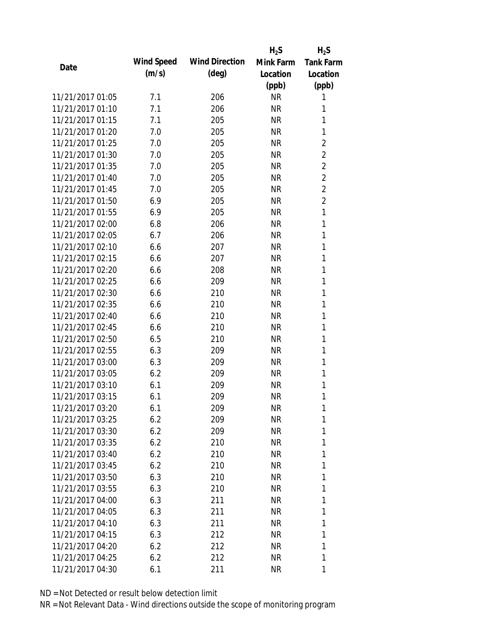|                  |            |                       | $H_2S$    | $H_2S$           |
|------------------|------------|-----------------------|-----------|------------------|
| Date             | Wind Speed | <b>Wind Direction</b> | Mink Farm | <b>Tank Farm</b> |
|                  | (m/s)      | $(\text{deg})$        | Location  | Location         |
|                  |            |                       | (ppb)     | (ppb)            |
| 11/21/2017 01:05 | 7.1        | 206                   | <b>NR</b> | 1                |
| 11/21/2017 01:10 | 7.1        | 206                   | NR        | 1                |
| 11/21/2017 01:15 | 7.1        | 205                   | <b>NR</b> | 1                |
| 11/21/2017 01:20 | 7.0        | 205                   | <b>NR</b> | 1                |
| 11/21/2017 01:25 | 7.0        | 205                   | <b>NR</b> | $\overline{2}$   |
| 11/21/2017 01:30 | 7.0        | 205                   | <b>NR</b> | $\overline{2}$   |
| 11/21/2017 01:35 | 7.0        | 205                   | <b>NR</b> | $\overline{2}$   |
| 11/21/2017 01:40 | 7.0        | 205                   | <b>NR</b> | $\overline{2}$   |
| 11/21/2017 01:45 | 7.0        | 205                   | <b>NR</b> | $\overline{2}$   |
| 11/21/2017 01:50 | 6.9        | 205                   | <b>NR</b> | $\overline{2}$   |
| 11/21/2017 01:55 | 6.9        | 205                   | <b>NR</b> | 1                |
| 11/21/2017 02:00 | 6.8        | 206                   | <b>NR</b> | 1                |
| 11/21/2017 02:05 | 6.7        | 206                   | <b>NR</b> | 1                |
| 11/21/2017 02:10 | 6.6        | 207                   | <b>NR</b> | 1                |
| 11/21/2017 02:15 | 6.6        | 207                   | <b>NR</b> | 1                |
| 11/21/2017 02:20 | 6.6        | 208                   | <b>NR</b> | 1                |
| 11/21/2017 02:25 | 6.6        | 209                   | <b>NR</b> | 1                |
| 11/21/2017 02:30 | 6.6        | 210                   | <b>NR</b> | 1                |
| 11/21/2017 02:35 | 6.6        | 210                   | <b>NR</b> | 1                |
| 11/21/2017 02:40 | 6.6        | 210                   | <b>NR</b> | 1                |
| 11/21/2017 02:45 | 6.6        | 210                   | <b>NR</b> | 1                |
| 11/21/2017 02:50 | 6.5        | 210                   | <b>NR</b> | 1                |
| 11/21/2017 02:55 | 6.3        | 209                   | <b>NR</b> | 1                |
| 11/21/2017 03:00 | 6.3        | 209                   | <b>NR</b> | 1                |
| 11/21/2017 03:05 | 6.2        | 209                   | <b>NR</b> | 1                |
| 11/21/2017 03:10 | 6.1        | 209                   | <b>NR</b> | 1                |
| 11/21/2017 03:15 | 6.1        | 209                   | <b>NR</b> | 1                |
| 11/21/2017 03:20 | 6.1        | 209                   | NR        | 1                |
| 11/21/2017 03:25 | 6.2        | 209                   | <b>NR</b> | 1                |
| 11/21/2017 03:30 | 6.2        | 209                   | <b>NR</b> | 1                |
| 11/21/2017 03:35 | 6.2        | 210                   | NR        | 1                |
| 11/21/2017 03:40 | 6.2        | 210                   | NR        | 1                |
| 11/21/2017 03:45 | 6.2        | 210                   | NR        | 1                |
| 11/21/2017 03:50 | 6.3        | 210                   | <b>NR</b> | 1                |
| 11/21/2017 03:55 | 6.3        | 210                   | NR        | 1                |
| 11/21/2017 04:00 | 6.3        | 211                   | <b>NR</b> | 1                |
| 11/21/2017 04:05 | 6.3        | 211                   | NR        | 1                |
| 11/21/2017 04:10 | 6.3        | 211                   | NR        | 1                |
| 11/21/2017 04:15 | 6.3        | 212                   | NR        | 1                |
| 11/21/2017 04:20 | 6.2        | 212                   | NR        | 1                |
| 11/21/2017 04:25 | 6.2        | 212                   | <b>NR</b> | 1                |
| 11/21/2017 04:30 | 6.1        | 211                   | <b>NR</b> | 1                |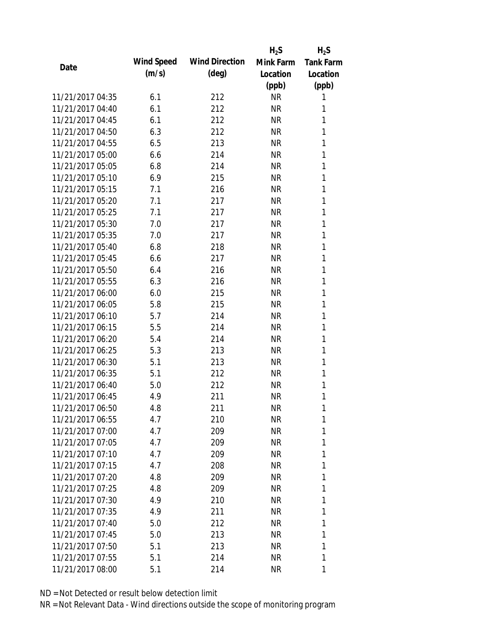|                  |            |                       | $H_2S$    | $H_2S$           |
|------------------|------------|-----------------------|-----------|------------------|
|                  | Wind Speed | <b>Wind Direction</b> | Mink Farm | <b>Tank Farm</b> |
| Date             | (m/s)      | $(\text{deg})$        | Location  | Location         |
|                  |            |                       | (ppb)     | (ppb)            |
| 11/21/2017 04:35 | 6.1        | 212                   | <b>NR</b> | 1                |
| 11/21/2017 04:40 | 6.1        | 212                   | <b>NR</b> | 1                |
| 11/21/2017 04:45 | 6.1        | 212                   | <b>NR</b> | 1                |
| 11/21/2017 04:50 | 6.3        | 212                   | <b>NR</b> | 1                |
| 11/21/2017 04:55 | 6.5        | 213                   | <b>NR</b> | 1                |
| 11/21/2017 05:00 | 6.6        | 214                   | <b>NR</b> | 1                |
| 11/21/2017 05:05 | 6.8        | 214                   | <b>NR</b> | 1                |
| 11/21/2017 05:10 | 6.9        | 215                   | <b>NR</b> | 1                |
| 11/21/2017 05:15 | 7.1        | 216                   | <b>NR</b> | 1                |
| 11/21/2017 05:20 | 7.1        | 217                   | <b>NR</b> | 1                |
| 11/21/2017 05:25 | 7.1        | 217                   | <b>NR</b> | 1                |
| 11/21/2017 05:30 | 7.0        | 217                   | <b>NR</b> | 1                |
| 11/21/2017 05:35 | 7.0        | 217                   | <b>NR</b> | 1                |
| 11/21/2017 05:40 | 6.8        | 218                   | <b>NR</b> | 1                |
| 11/21/2017 05:45 | 6.6        | 217                   | <b>NR</b> | 1                |
| 11/21/2017 05:50 | 6.4        | 216                   | <b>NR</b> | 1                |
| 11/21/2017 05:55 | 6.3        | 216                   | <b>NR</b> | 1                |
| 11/21/2017 06:00 | 6.0        | 215                   | <b>NR</b> | 1                |
| 11/21/2017 06:05 | 5.8        | 215                   | <b>NR</b> | 1                |
| 11/21/2017 06:10 | 5.7        | 214                   | <b>NR</b> | 1                |
| 11/21/2017 06:15 | 5.5        | 214                   | <b>NR</b> | 1                |
| 11/21/2017 06:20 | 5.4        | 214                   | <b>NR</b> | 1                |
| 11/21/2017 06:25 | 5.3        | 213                   | <b>NR</b> | 1                |
| 11/21/2017 06:30 | 5.1        | 213                   | <b>NR</b> | 1                |
| 11/21/2017 06:35 | 5.1        | 212                   | <b>NR</b> | 1                |
| 11/21/2017 06:40 | 5.0        | 212                   | <b>NR</b> | 1                |
| 11/21/2017 06:45 | 4.9        | 211                   | <b>NR</b> | 1                |
| 11/21/2017 06:50 | 4.8        | 211                   | NR        | 1                |
| 11/21/2017 06:55 | 4.7        | 210                   | <b>NR</b> | 1                |
| 11/21/2017 07:00 | 4.7        | 209                   | <b>NR</b> | 1                |
| 11/21/2017 07:05 | 4.7        | 209                   | <b>NR</b> | 1                |
| 11/21/2017 07:10 | 4.7        | 209                   | <b>NR</b> | 1                |
| 11/21/2017 07:15 | 4.7        | 208                   | <b>NR</b> | 1                |
| 11/21/2017 07:20 | 4.8        | 209                   | <b>NR</b> | 1                |
| 11/21/2017 07:25 | 4.8        | 209                   | <b>NR</b> | 1                |
| 11/21/2017 07:30 | 4.9        | 210                   | NR        | 1                |
| 11/21/2017 07:35 | 4.9        | 211                   | <b>NR</b> | 1                |
| 11/21/2017 07:40 | 5.0        | 212                   | NR        | 1                |
| 11/21/2017 07:45 | 5.0        |                       | <b>NR</b> | 1                |
| 11/21/2017 07:50 | 5.1        | 213                   | <b>NR</b> | 1                |
|                  |            | 213                   |           |                  |
| 11/21/2017 07:55 | 5.1        | 214                   | <b>NR</b> | 1                |
| 11/21/2017 08:00 | 5.1        | 214                   | <b>NR</b> | 1                |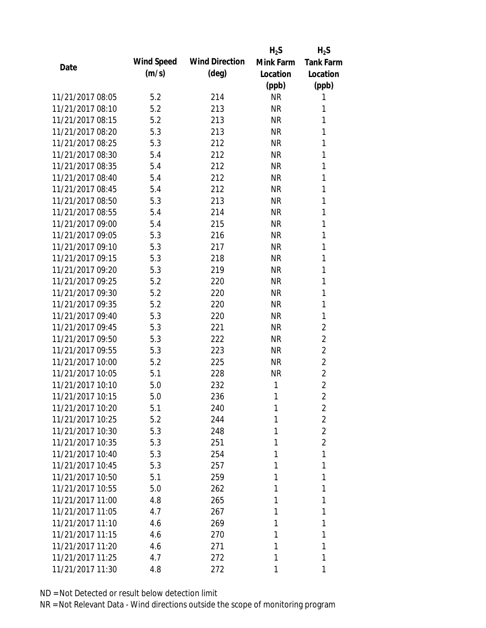|                  |            |                       | $H_2S$    | $H_2S$           |
|------------------|------------|-----------------------|-----------|------------------|
| Date             | Wind Speed | <b>Wind Direction</b> | Mink Farm | <b>Tank Farm</b> |
|                  | (m/s)      | $(\text{deg})$        | Location  | Location         |
|                  |            |                       | (ppb)     | (ppb)            |
| 11/21/2017 08:05 | 5.2        | 214                   | <b>NR</b> | 1                |
| 11/21/2017 08:10 | 5.2        | 213                   | <b>NR</b> | 1                |
| 11/21/2017 08:15 | 5.2        | 213                   | <b>NR</b> | 1                |
| 11/21/2017 08:20 | 5.3        | 213                   | <b>NR</b> | 1                |
| 11/21/2017 08:25 | 5.3        | 212                   | <b>NR</b> | 1                |
| 11/21/2017 08:30 | 5.4        | 212                   | <b>NR</b> | 1                |
| 11/21/2017 08:35 | 5.4        | 212                   | <b>NR</b> | 1                |
| 11/21/2017 08:40 | 5.4        | 212                   | <b>NR</b> | 1                |
| 11/21/2017 08:45 | 5.4        | 212                   | <b>NR</b> | 1                |
| 11/21/2017 08:50 | 5.3        | 213                   | <b>NR</b> | 1                |
| 11/21/2017 08:55 | 5.4        | 214                   | <b>NR</b> | 1                |
| 11/21/2017 09:00 | 5.4        | 215                   | <b>NR</b> | 1                |
| 11/21/2017 09:05 | 5.3        | 216                   | <b>NR</b> | 1                |
| 11/21/2017 09:10 | 5.3        | 217                   | <b>NR</b> | 1                |
| 11/21/2017 09:15 | 5.3        | 218                   | <b>NR</b> | 1                |
| 11/21/2017 09:20 | 5.3        | 219                   | <b>NR</b> | 1                |
| 11/21/2017 09:25 | 5.2        | 220                   | <b>NR</b> | 1                |
| 11/21/2017 09:30 | 5.2        | 220                   | <b>NR</b> | 1                |
| 11/21/2017 09:35 | 5.2        | 220                   | <b>NR</b> | 1                |
| 11/21/2017 09:40 | 5.3        | 220                   | <b>NR</b> | 1                |
| 11/21/2017 09:45 | 5.3        | 221                   | <b>NR</b> | $\overline{2}$   |
| 11/21/2017 09:50 | 5.3        | 222                   | <b>NR</b> | $\overline{2}$   |
| 11/21/2017 09:55 | 5.3        | 223                   | <b>NR</b> | $\overline{2}$   |
| 11/21/2017 10:00 | 5.2        | 225                   | <b>NR</b> | $\overline{2}$   |
| 11/21/2017 10:05 | 5.1        | 228                   | <b>NR</b> | $\overline{2}$   |
| 11/21/2017 10:10 | 5.0        | 232                   | 1         | $\overline{2}$   |
| 11/21/2017 10:15 | 5.0        | 236                   | 1         | $\overline{2}$   |
| 11/21/2017 10:20 | 5.1        | 240                   | 1         | 2                |
| 11/21/2017 10:25 | 5.2        | 244                   | 1         | $\overline{2}$   |
| 11/21/2017 10:30 | 5.3        | 248                   | 1         | $\overline{2}$   |
| 11/21/2017 10:35 | 5.3        | 251                   | 1         | $\overline{2}$   |
| 11/21/2017 10:40 | 5.3        | 254                   | 1         | 1                |
| 11/21/2017 10:45 | 5.3        | 257                   | 1         | 1                |
| 11/21/2017 10:50 | 5.1        | 259                   | 1         | 1                |
| 11/21/2017 10:55 | 5.0        | 262                   | 1         | 1                |
| 11/21/2017 11:00 | 4.8        | 265                   | 1         | 1                |
| 11/21/2017 11:05 | 4.7        | 267                   | 1         | 1                |
| 11/21/2017 11:10 | 4.6        | 269                   | 1         | 1                |
| 11/21/2017 11:15 | 4.6        | 270                   | 1         | 1                |
| 11/21/2017 11:20 | 4.6        | 271                   | 1         | 1                |
| 11/21/2017 11:25 | 4.7        | 272                   | 1         | 1                |
| 11/21/2017 11:30 | 4.8        | 272                   | 1         | 1                |
|                  |            |                       |           |                  |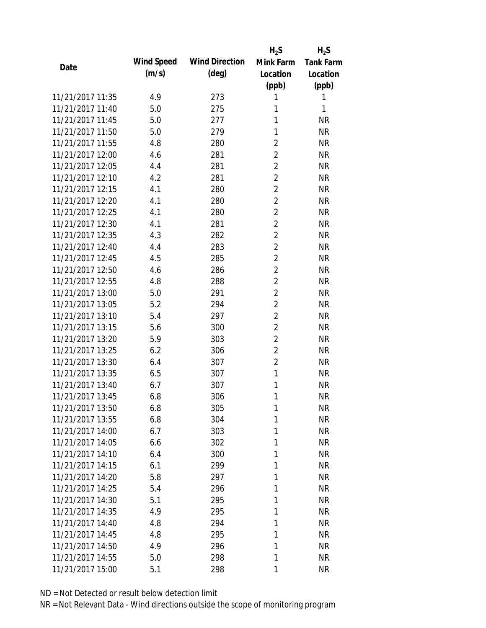|                  |            |                       | $H_2S$         | $H_2S$           |
|------------------|------------|-----------------------|----------------|------------------|
| Date             | Wind Speed | <b>Wind Direction</b> | Mink Farm      | <b>Tank Farm</b> |
|                  | (m/s)      | $(\text{deg})$        | Location       | Location         |
|                  |            |                       | (ppb)          | (ppb)            |
| 11/21/2017 11:35 | 4.9        | 273                   | 1              | 1                |
| 11/21/2017 11:40 | 5.0        | 275                   | 1              | 1                |
| 11/21/2017 11:45 | 5.0        | 277                   | 1              | <b>NR</b>        |
| 11/21/2017 11:50 | 5.0        | 279                   | 1              | <b>NR</b>        |
| 11/21/2017 11:55 | 4.8        | 280                   | $\overline{2}$ | <b>NR</b>        |
| 11/21/2017 12:00 | 4.6        | 281                   | $\overline{2}$ | <b>NR</b>        |
| 11/21/2017 12:05 | 4.4        | 281                   | $\overline{2}$ | <b>NR</b>        |
| 11/21/2017 12:10 | 4.2        | 281                   | $\overline{2}$ | <b>NR</b>        |
| 11/21/2017 12:15 | 4.1        | 280                   | $\overline{2}$ | <b>NR</b>        |
| 11/21/2017 12:20 | 4.1        | 280                   | $\overline{2}$ | <b>NR</b>        |
| 11/21/2017 12:25 | 4.1        | 280                   | $\overline{2}$ | <b>NR</b>        |
| 11/21/2017 12:30 | 4.1        | 281                   | $\overline{2}$ | <b>NR</b>        |
| 11/21/2017 12:35 | 4.3        | 282                   | $\overline{2}$ | <b>NR</b>        |
| 11/21/2017 12:40 | 4.4        | 283                   | $\overline{2}$ | <b>NR</b>        |
| 11/21/2017 12:45 | 4.5        | 285                   | $\overline{2}$ | <b>NR</b>        |
| 11/21/2017 12:50 | 4.6        | 286                   | $\overline{2}$ | <b>NR</b>        |
| 11/21/2017 12:55 | 4.8        | 288                   | $\overline{2}$ | <b>NR</b>        |
| 11/21/2017 13:00 | 5.0        | 291                   | $\overline{2}$ | <b>NR</b>        |
| 11/21/2017 13:05 | 5.2        | 294                   | $\overline{2}$ | <b>NR</b>        |
| 11/21/2017 13:10 | 5.4        | 297                   | $\overline{2}$ | <b>NR</b>        |
| 11/21/2017 13:15 | 5.6        | 300                   | $\overline{2}$ | <b>NR</b>        |
| 11/21/2017 13:20 | 5.9        | 303                   | $\overline{2}$ | <b>NR</b>        |
| 11/21/2017 13:25 | 6.2        | 306                   | $\overline{2}$ | <b>NR</b>        |
| 11/21/2017 13:30 | 6.4        | 307                   | $\overline{2}$ | <b>NR</b>        |
| 11/21/2017 13:35 | 6.5        | 307                   | $\mathbf{1}$   | <b>NR</b>        |
| 11/21/2017 13:40 | 6.7        | 307                   | 1              | <b>NR</b>        |
| 11/21/2017 13:45 | 6.8        | 306                   | 1              | <b>NR</b>        |
| 11/21/2017 13:50 | 6.8        | 305                   | 1              | NR               |
| 11/21/2017 13:55 | 6.8        | 304                   | 1              | <b>NR</b>        |
| 11/21/2017 14:00 | 6.7        | 303                   | 1              | <b>NR</b>        |
| 11/21/2017 14:05 | 6.6        | 302                   | 1              | <b>NR</b>        |
| 11/21/2017 14:10 | 6.4        | 300                   | 1              | <b>NR</b>        |
| 11/21/2017 14:15 | 6.1        | 299                   | 1              | <b>NR</b>        |
| 11/21/2017 14:20 | 5.8        | 297                   | 1              | <b>NR</b>        |
| 11/21/2017 14:25 | 5.4        | 296                   | 1              | <b>NR</b>        |
| 11/21/2017 14:30 | 5.1        | 295                   | 1              | <b>NR</b>        |
| 11/21/2017 14:35 | 4.9        | 295                   | 1              | <b>NR</b>        |
| 11/21/2017 14:40 | 4.8        | 294                   | 1              | <b>NR</b>        |
| 11/21/2017 14:45 | 4.8        | 295                   | 1              | <b>NR</b>        |
| 11/21/2017 14:50 | 4.9        | 296                   | 1              | <b>NR</b>        |
| 11/21/2017 14:55 | 5.0        | 298                   | 1              | <b>NR</b>        |
| 11/21/2017 15:00 | 5.1        | 298                   | 1              | <b>NR</b>        |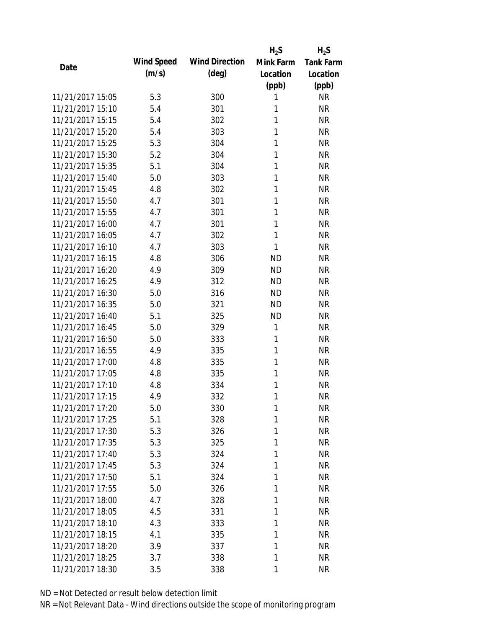|                  |            |                       | $H_2S$    | $H_2S$           |
|------------------|------------|-----------------------|-----------|------------------|
| Date             | Wind Speed | <b>Wind Direction</b> | Mink Farm | <b>Tank Farm</b> |
|                  | (m/s)      | $(\text{deg})$        | Location  | Location         |
|                  |            |                       | (ppb)     | (ppb)            |
| 11/21/2017 15:05 | 5.3        | 300                   | 1         | <b>NR</b>        |
| 11/21/2017 15:10 | 5.4        | 301                   | 1         | <b>NR</b>        |
| 11/21/2017 15:15 | 5.4        | 302                   | 1         | <b>NR</b>        |
| 11/21/2017 15:20 | 5.4        | 303                   | 1         | <b>NR</b>        |
| 11/21/2017 15:25 | 5.3        | 304                   | 1         | <b>NR</b>        |
| 11/21/2017 15:30 | 5.2        | 304                   | 1         | <b>NR</b>        |
| 11/21/2017 15:35 | 5.1        | 304                   | 1         | <b>NR</b>        |
| 11/21/2017 15:40 | 5.0        | 303                   | 1         | <b>NR</b>        |
| 11/21/2017 15:45 | 4.8        | 302                   | 1         | <b>NR</b>        |
| 11/21/2017 15:50 | 4.7        | 301                   | 1         | <b>NR</b>        |
| 11/21/2017 15:55 | 4.7        | 301                   | 1         | <b>NR</b>        |
| 11/21/2017 16:00 | 4.7        | 301                   | 1         | <b>NR</b>        |
| 11/21/2017 16:05 | 4.7        | 302                   | 1         | <b>NR</b>        |
| 11/21/2017 16:10 | 4.7        | 303                   | 1         | <b>NR</b>        |
| 11/21/2017 16:15 | 4.8        | 306                   | <b>ND</b> | <b>NR</b>        |
| 11/21/2017 16:20 | 4.9        | 309                   | <b>ND</b> | <b>NR</b>        |
| 11/21/2017 16:25 | 4.9        | 312                   | <b>ND</b> | <b>NR</b>        |
| 11/21/2017 16:30 | 5.0        | 316                   | <b>ND</b> | <b>NR</b>        |
| 11/21/2017 16:35 | 5.0        | 321                   | <b>ND</b> | <b>NR</b>        |
| 11/21/2017 16:40 | 5.1        | 325                   | <b>ND</b> | <b>NR</b>        |
| 11/21/2017 16:45 | 5.0        | 329                   | 1         | <b>NR</b>        |
| 11/21/2017 16:50 | 5.0        | 333                   | 1         | <b>NR</b>        |
| 11/21/2017 16:55 | 4.9        | 335                   | 1         | <b>NR</b>        |
| 11/21/2017 17:00 | 4.8        | 335                   | 1         | <b>NR</b>        |
| 11/21/2017 17:05 | 4.8        | 335                   | 1         | <b>NR</b>        |
| 11/21/2017 17:10 | 4.8        | 334                   | 1         | <b>NR</b>        |
| 11/21/2017 17:15 | 4.9        | 332                   | 1         | <b>NR</b>        |
| 11/21/2017 17:20 | 5.0        | 330                   | 1         | NR               |
| 11/21/2017 17:25 | 5.1        | 328                   | 1         | <b>NR</b>        |
| 11/21/2017 17:30 | 5.3        | 326                   | 1         | <b>NR</b>        |
| 11/21/2017 17:35 | 5.3        | 325                   | 1         | <b>NR</b>        |
| 11/21/2017 17:40 | 5.3        | 324                   | 1         | <b>NR</b>        |
| 11/21/2017 17:45 | 5.3        | 324                   | 1         | <b>NR</b>        |
| 11/21/2017 17:50 | 5.1        | 324                   | 1         | <b>NR</b>        |
| 11/21/2017 17:55 | 5.0        | 326                   | 1         | <b>NR</b>        |
| 11/21/2017 18:00 | 4.7        | 328                   | 1         | <b>NR</b>        |
| 11/21/2017 18:05 | 4.5        | 331                   | 1         | <b>NR</b>        |
| 11/21/2017 18:10 | 4.3        | 333                   | 1         | <b>NR</b>        |
| 11/21/2017 18:15 | 4.1        | 335                   | 1         | <b>NR</b>        |
| 11/21/2017 18:20 | 3.9        | 337                   | 1         | <b>NR</b>        |
| 11/21/2017 18:25 | 3.7        | 338                   | 1         | <b>NR</b>        |
| 11/21/2017 18:30 | 3.5        | 338                   | 1         | <b>NR</b>        |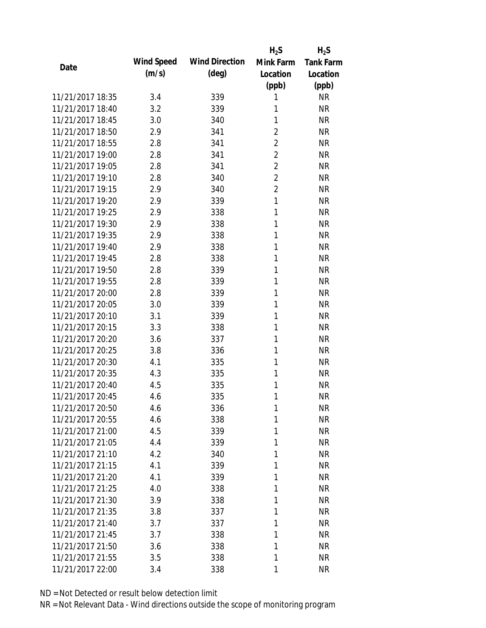|                  |            |                       | $H_2S$         | $H_2S$           |
|------------------|------------|-----------------------|----------------|------------------|
| Date             | Wind Speed | <b>Wind Direction</b> | Mink Farm      | <b>Tank Farm</b> |
|                  | (m/s)      | $(\text{deg})$        | Location       | Location         |
|                  |            |                       | (ppb)          | (ppb)            |
| 11/21/2017 18:35 | 3.4        | 339                   | 1              | <b>NR</b>        |
| 11/21/2017 18:40 | 3.2        | 339                   | 1              | <b>NR</b>        |
| 11/21/2017 18:45 | 3.0        | 340                   | 1              | <b>NR</b>        |
| 11/21/2017 18:50 | 2.9        | 341                   | $\overline{2}$ | <b>NR</b>        |
| 11/21/2017 18:55 | 2.8        | 341                   | $\overline{2}$ | <b>NR</b>        |
| 11/21/2017 19:00 | 2.8        | 341                   | $\overline{2}$ | <b>NR</b>        |
| 11/21/2017 19:05 | 2.8        | 341                   | $\overline{2}$ | <b>NR</b>        |
| 11/21/2017 19:10 | 2.8        | 340                   | $\overline{2}$ | <b>NR</b>        |
| 11/21/2017 19:15 | 2.9        | 340                   | $\overline{2}$ | <b>NR</b>        |
| 11/21/2017 19:20 | 2.9        | 339                   | 1              | <b>NR</b>        |
| 11/21/2017 19:25 | 2.9        | 338                   | 1              | <b>NR</b>        |
| 11/21/2017 19:30 | 2.9        | 338                   | 1              | <b>NR</b>        |
| 11/21/2017 19:35 | 2.9        | 338                   | 1              | <b>NR</b>        |
| 11/21/2017 19:40 | 2.9        | 338                   | 1              | <b>NR</b>        |
| 11/21/2017 19:45 | 2.8        | 338                   | 1              | <b>NR</b>        |
| 11/21/2017 19:50 | 2.8        | 339                   | 1              | <b>NR</b>        |
| 11/21/2017 19:55 | 2.8        | 339                   | 1              | <b>NR</b>        |
| 11/21/2017 20:00 | 2.8        | 339                   | 1              | <b>NR</b>        |
| 11/21/2017 20:05 | 3.0        | 339                   | 1              | <b>NR</b>        |
| 11/21/2017 20:10 | 3.1        | 339                   | 1              | <b>NR</b>        |
| 11/21/2017 20:15 | 3.3        | 338                   | 1              | <b>NR</b>        |
| 11/21/2017 20:20 | 3.6        | 337                   | 1              | <b>NR</b>        |
| 11/21/2017 20:25 | 3.8        | 336                   | 1              | <b>NR</b>        |
| 11/21/2017 20:30 | 4.1        | 335                   | 1              | <b>NR</b>        |
| 11/21/2017 20:35 | 4.3        | 335                   | 1              | <b>NR</b>        |
| 11/21/2017 20:40 | 4.5        | 335                   | 1              | <b>NR</b>        |
| 11/21/2017 20:45 | 4.6        | 335                   | 1              | <b>NR</b>        |
| 11/21/2017 20:50 | 4.6        | 336                   | 1              | <b>NR</b>        |
| 11/21/2017 20:55 | 4.6        | 338                   | 1              | <b>NR</b>        |
| 11/21/2017 21:00 | 4.5        | 339                   | 1              | <b>NR</b>        |
| 11/21/2017 21:05 | 4.4        | 339                   | 1              | <b>NR</b>        |
| 11/21/2017 21:10 | 4.2        | 340                   | 1              | <b>NR</b>        |
| 11/21/2017 21:15 | 4.1        | 339                   | 1              | <b>NR</b>        |
| 11/21/2017 21:20 | 4.1        | 339                   | 1              | <b>NR</b>        |
| 11/21/2017 21:25 | 4.0        | 338                   | 1              | <b>NR</b>        |
| 11/21/2017 21:30 | 3.9        | 338                   | 1              | <b>NR</b>        |
| 11/21/2017 21:35 | 3.8        | 337                   | 1              | <b>NR</b>        |
| 11/21/2017 21:40 | 3.7        | 337                   | 1              | <b>NR</b>        |
| 11/21/2017 21:45 | 3.7        | 338                   | 1              | <b>NR</b>        |
| 11/21/2017 21:50 | 3.6        | 338                   | 1              | <b>NR</b>        |
| 11/21/2017 21:55 | 3.5        | 338                   | 1              | <b>NR</b>        |
| 11/21/2017 22:00 | 3.4        | 338                   | 1              | <b>NR</b>        |
|                  |            |                       |                |                  |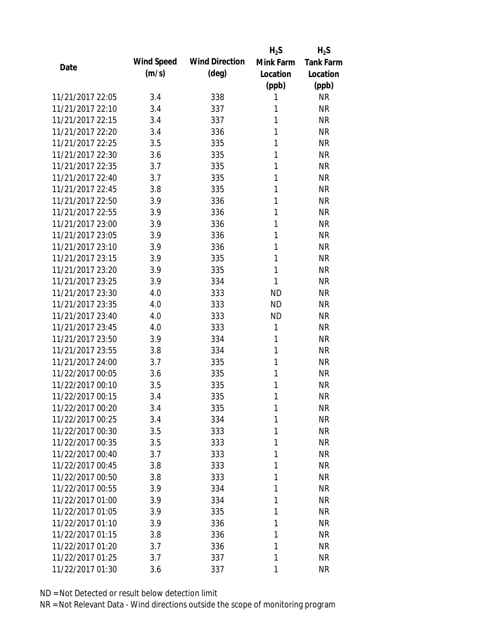|                  |            |                       | $H_2S$    | $H_2S$           |
|------------------|------------|-----------------------|-----------|------------------|
| Date             | Wind Speed | <b>Wind Direction</b> | Mink Farm | <b>Tank Farm</b> |
|                  | (m/s)      | $(\text{deg})$        | Location  | Location         |
|                  |            |                       | (ppb)     | (ppb)            |
| 11/21/2017 22:05 | 3.4        | 338                   | 1         | <b>NR</b>        |
| 11/21/2017 22:10 | 3.4        | 337                   | 1         | <b>NR</b>        |
| 11/21/2017 22:15 | 3.4        | 337                   | 1         | <b>NR</b>        |
| 11/21/2017 22:20 | 3.4        | 336                   | 1         | <b>NR</b>        |
| 11/21/2017 22:25 | 3.5        | 335                   | 1         | <b>NR</b>        |
| 11/21/2017 22:30 | 3.6        | 335                   | 1         | <b>NR</b>        |
| 11/21/2017 22:35 | 3.7        | 335                   | 1         | <b>NR</b>        |
| 11/21/2017 22:40 | 3.7        | 335                   | 1         | <b>NR</b>        |
| 11/21/2017 22:45 | 3.8        | 335                   | 1         | <b>NR</b>        |
| 11/21/2017 22:50 | 3.9        | 336                   | 1         | <b>NR</b>        |
| 11/21/2017 22:55 | 3.9        | 336                   | 1         | <b>NR</b>        |
| 11/21/2017 23:00 | 3.9        | 336                   | 1         | <b>NR</b>        |
| 11/21/2017 23:05 | 3.9        | 336                   | 1         | <b>NR</b>        |
| 11/21/2017 23:10 | 3.9        | 336                   | 1         | <b>NR</b>        |
| 11/21/2017 23:15 | 3.9        | 335                   | 1         | <b>NR</b>        |
| 11/21/2017 23:20 | 3.9        | 335                   | 1         | <b>NR</b>        |
| 11/21/2017 23:25 | 3.9        | 334                   | 1         | <b>NR</b>        |
| 11/21/2017 23:30 | 4.0        | 333                   | <b>ND</b> | <b>NR</b>        |
| 11/21/2017 23:35 | 4.0        | 333                   | <b>ND</b> | <b>NR</b>        |
| 11/21/2017 23:40 | 4.0        | 333                   | <b>ND</b> | <b>NR</b>        |
| 11/21/2017 23:45 | 4.0        | 333                   | 1         | <b>NR</b>        |
| 11/21/2017 23:50 | 3.9        | 334                   | 1         | <b>NR</b>        |
| 11/21/2017 23:55 | 3.8        | 334                   | 1         | <b>NR</b>        |
| 11/21/2017 24:00 | 3.7        | 335                   | 1         | <b>NR</b>        |
| 11/22/2017 00:05 | 3.6        | 335                   | 1         | <b>NR</b>        |
| 11/22/2017 00:10 | 3.5        | 335                   | 1         | <b>NR</b>        |
| 11/22/2017 00:15 | 3.4        | 335                   | 1         | <b>NR</b>        |
| 11/22/2017 00:20 | 3.4        | 335                   | 1         | NR               |
| 11/22/2017 00:25 | 3.4        | 334                   | 1         | <b>NR</b>        |
| 11/22/2017 00:30 | 3.5        | 333                   | 1         | <b>NR</b>        |
| 11/22/2017 00:35 | 3.5        | 333                   | 1         | <b>NR</b>        |
| 11/22/2017 00:40 | 3.7        | 333                   | 1         | <b>NR</b>        |
| 11/22/2017 00:45 | 3.8        | 333                   | 1         | <b>NR</b>        |
| 11/22/2017 00:50 | 3.8        | 333                   | 1         | <b>NR</b>        |
| 11/22/2017 00:55 | 3.9        | 334                   | 1         | <b>NR</b>        |
| 11/22/2017 01:00 | 3.9        | 334                   | 1         | <b>NR</b>        |
| 11/22/2017 01:05 | 3.9        | 335                   | 1         | <b>NR</b>        |
| 11/22/2017 01:10 | 3.9        | 336                   | 1         | <b>NR</b>        |
| 11/22/2017 01:15 | 3.8        | 336                   | 1         | <b>NR</b>        |
| 11/22/2017 01:20 | 3.7        | 336                   | 1         | <b>NR</b>        |
| 11/22/2017 01:25 | 3.7        | 337                   | 1         | <b>NR</b>        |
| 11/22/2017 01:30 | 3.6        | 337                   | 1         | <b>NR</b>        |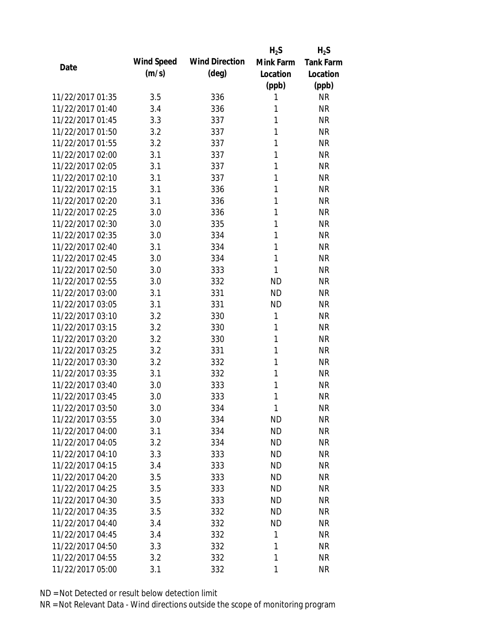|                  |            |                       | $H_2S$    | $H_2S$           |
|------------------|------------|-----------------------|-----------|------------------|
| Date             | Wind Speed | <b>Wind Direction</b> | Mink Farm | <b>Tank Farm</b> |
|                  | (m/s)      | $(\text{deg})$        | Location  | Location         |
|                  |            |                       | (ppb)     | (ppb)            |
| 11/22/2017 01:35 | 3.5        | 336                   | 1         | <b>NR</b>        |
| 11/22/2017 01:40 | 3.4        | 336                   | 1         | <b>NR</b>        |
| 11/22/2017 01:45 | 3.3        | 337                   | 1         | <b>NR</b>        |
| 11/22/2017 01:50 | 3.2        | 337                   | 1         | <b>NR</b>        |
| 11/22/2017 01:55 | 3.2        | 337                   | 1         | <b>NR</b>        |
| 11/22/2017 02:00 | 3.1        | 337                   | 1         | <b>NR</b>        |
| 11/22/2017 02:05 | 3.1        | 337                   | 1         | <b>NR</b>        |
| 11/22/2017 02:10 | 3.1        | 337                   | 1         | <b>NR</b>        |
| 11/22/2017 02:15 | 3.1        | 336                   | 1         | <b>NR</b>        |
| 11/22/2017 02:20 | 3.1        | 336                   | 1         | <b>NR</b>        |
| 11/22/2017 02:25 | 3.0        | 336                   | 1         | <b>NR</b>        |
| 11/22/2017 02:30 | 3.0        | 335                   | 1         | <b>NR</b>        |
| 11/22/2017 02:35 | 3.0        | 334                   | 1         | <b>NR</b>        |
| 11/22/2017 02:40 | 3.1        | 334                   | 1         | <b>NR</b>        |
| 11/22/2017 02:45 | 3.0        | 334                   | 1         | <b>NR</b>        |
| 11/22/2017 02:50 | 3.0        | 333                   | 1         | <b>NR</b>        |
| 11/22/2017 02:55 | 3.0        | 332                   | <b>ND</b> | <b>NR</b>        |
| 11/22/2017 03:00 | 3.1        | 331                   | <b>ND</b> | <b>NR</b>        |
| 11/22/2017 03:05 | 3.1        | 331                   | <b>ND</b> | <b>NR</b>        |
| 11/22/2017 03:10 | 3.2        | 330                   | 1         | <b>NR</b>        |
| 11/22/2017 03:15 | 3.2        | 330                   | 1         | <b>NR</b>        |
| 11/22/2017 03:20 | 3.2        | 330                   | 1         | <b>NR</b>        |
| 11/22/2017 03:25 | 3.2        | 331                   | 1         | <b>NR</b>        |
| 11/22/2017 03:30 | 3.2        | 332                   | 1         | <b>NR</b>        |
| 11/22/2017 03:35 | 3.1        | 332                   | 1         | <b>NR</b>        |
| 11/22/2017 03:40 | 3.0        | 333                   | 1         | <b>NR</b>        |
| 11/22/2017 03:45 | 3.0        | 333                   | 1         | <b>NR</b>        |
| 11/22/2017 03:50 | 3.0        | 334                   | 1         | <b>NR</b>        |
| 11/22/2017 03:55 | 3.0        | 334                   | <b>ND</b> | <b>NR</b>        |
| 11/22/2017 04:00 | 3.1        | 334                   | <b>ND</b> | <b>NR</b>        |
| 11/22/2017 04:05 | 3.2        | 334                   | <b>ND</b> | <b>NR</b>        |
| 11/22/2017 04:10 | 3.3        | 333                   | <b>ND</b> | <b>NR</b>        |
| 11/22/2017 04:15 | 3.4        | 333                   | <b>ND</b> | <b>NR</b>        |
| 11/22/2017 04:20 | 3.5        | 333                   | <b>ND</b> | <b>NR</b>        |
| 11/22/2017 04:25 | 3.5        | 333                   | <b>ND</b> | <b>NR</b>        |
| 11/22/2017 04:30 | 3.5        | 333                   | <b>ND</b> | <b>NR</b>        |
| 11/22/2017 04:35 | 3.5        | 332                   | <b>ND</b> | <b>NR</b>        |
| 11/22/2017 04:40 | 3.4        | 332                   | <b>ND</b> | <b>NR</b>        |
| 11/22/2017 04:45 | 3.4        | 332                   | 1         | <b>NR</b>        |
| 11/22/2017 04:50 | 3.3        | 332                   | 1         | <b>NR</b>        |
| 11/22/2017 04:55 | 3.2        | 332                   | 1         | <b>NR</b>        |
| 11/22/2017 05:00 | 3.1        | 332                   | 1         | <b>NR</b>        |
|                  |            |                       |           |                  |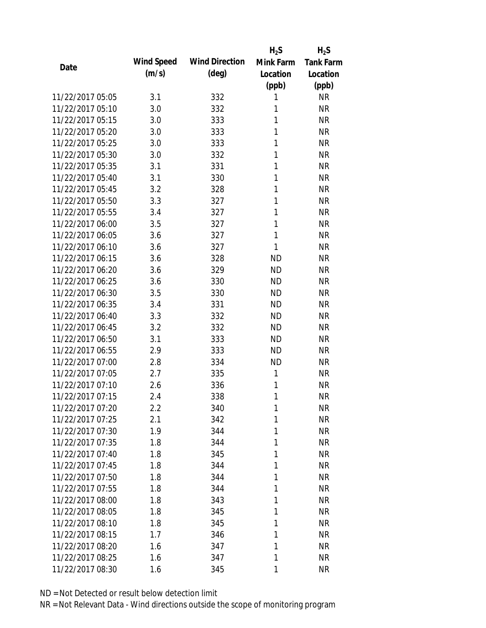|                  |            |                       | $H_2S$       | $H_2S$           |
|------------------|------------|-----------------------|--------------|------------------|
| Date             | Wind Speed | <b>Wind Direction</b> | Mink Farm    | <b>Tank Farm</b> |
|                  | (m/s)      | $(\text{deg})$        | Location     | Location         |
|                  |            |                       | (ppb)        | (ppb)            |
| 11/22/2017 05:05 | 3.1        | 332                   | 1            | <b>NR</b>        |
| 11/22/2017 05:10 | 3.0        | 332                   | 1            | <b>NR</b>        |
| 11/22/2017 05:15 | 3.0        | 333                   | 1            | <b>NR</b>        |
| 11/22/2017 05:20 | 3.0        | 333                   | 1            | <b>NR</b>        |
| 11/22/2017 05:25 | 3.0        | 333                   | 1            | <b>NR</b>        |
| 11/22/2017 05:30 | 3.0        | 332                   | 1            | <b>NR</b>        |
| 11/22/2017 05:35 | 3.1        | 331                   | 1            | <b>NR</b>        |
| 11/22/2017 05:40 | 3.1        | 330                   | 1            | <b>NR</b>        |
| 11/22/2017 05:45 | 3.2        | 328                   | 1            | <b>NR</b>        |
| 11/22/2017 05:50 | 3.3        | 327                   | 1            | <b>NR</b>        |
| 11/22/2017 05:55 | 3.4        | 327                   | 1            | <b>NR</b>        |
| 11/22/2017 06:00 | 3.5        | 327                   | 1            | <b>NR</b>        |
| 11/22/2017 06:05 | 3.6        | 327                   | $\mathbf{1}$ | <b>NR</b>        |
| 11/22/2017 06:10 | 3.6        | 327                   | 1            | <b>NR</b>        |
| 11/22/2017 06:15 | 3.6        | 328                   | <b>ND</b>    | <b>NR</b>        |
| 11/22/2017 06:20 | 3.6        | 329                   | <b>ND</b>    | <b>NR</b>        |
| 11/22/2017 06:25 | 3.6        | 330                   | <b>ND</b>    | <b>NR</b>        |
| 11/22/2017 06:30 | 3.5        | 330                   | <b>ND</b>    | <b>NR</b>        |
| 11/22/2017 06:35 | 3.4        | 331                   | <b>ND</b>    | <b>NR</b>        |
| 11/22/2017 06:40 | 3.3        | 332                   | <b>ND</b>    | <b>NR</b>        |
| 11/22/2017 06:45 | 3.2        | 332                   | <b>ND</b>    | <b>NR</b>        |
| 11/22/2017 06:50 | 3.1        | 333                   | <b>ND</b>    | <b>NR</b>        |
| 11/22/2017 06:55 | 2.9        | 333                   | <b>ND</b>    | <b>NR</b>        |
| 11/22/2017 07:00 | 2.8        | 334                   | <b>ND</b>    | <b>NR</b>        |
| 11/22/2017 07:05 | 2.7        | 335                   | 1            | <b>NR</b>        |
| 11/22/2017 07:10 | 2.6        | 336                   | 1            | <b>NR</b>        |
| 11/22/2017 07:15 | 2.4        | 338                   | 1            | <b>NR</b>        |
| 11/22/2017 07:20 | $2.2\,$    | 340                   | 1            | <b>NR</b>        |
| 11/22/2017 07:25 | 2.1        | 342                   | 1            | <b>NR</b>        |
| 11/22/2017 07:30 | 1.9        | 344                   | 1            | <b>NR</b>        |
| 11/22/2017 07:35 | 1.8        | 344                   | 1            | <b>NR</b>        |
| 11/22/2017 07:40 | 1.8        | 345                   | 1            | <b>NR</b>        |
| 11/22/2017 07:45 | 1.8        | 344                   | 1            | <b>NR</b>        |
| 11/22/2017 07:50 | 1.8        | 344                   | 1            | <b>NR</b>        |
| 11/22/2017 07:55 | 1.8        | 344                   | 1            | <b>NR</b>        |
| 11/22/2017 08:00 | 1.8        | 343                   | 1            | <b>NR</b>        |
| 11/22/2017 08:05 | 1.8        | 345                   | 1            | <b>NR</b>        |
| 11/22/2017 08:10 | 1.8        | 345                   | 1            | <b>NR</b>        |
| 11/22/2017 08:15 | 1.7        | 346                   | 1            | <b>NR</b>        |
| 11/22/2017 08:20 | 1.6        | 347                   | 1            | <b>NR</b>        |
| 11/22/2017 08:25 | 1.6        | 347                   | 1            | <b>NR</b>        |
| 11/22/2017 08:30 | 1.6        | 345                   | 1            | <b>NR</b>        |
|                  |            |                       |              |                  |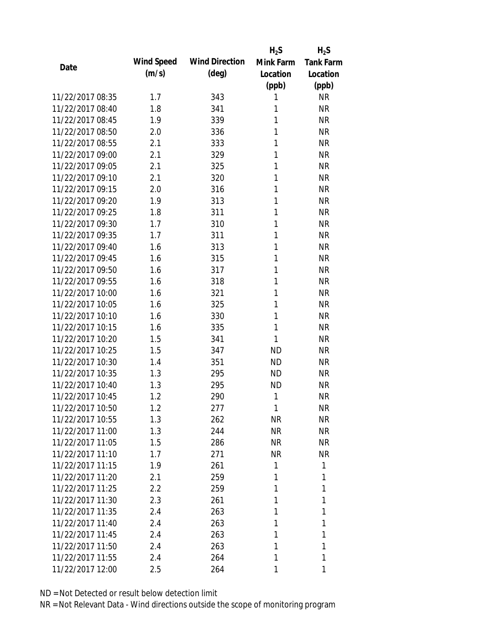|                  |            |                       | $H_2S$    | $H_2S$           |
|------------------|------------|-----------------------|-----------|------------------|
| Date             | Wind Speed | <b>Wind Direction</b> | Mink Farm | <b>Tank Farm</b> |
|                  | (m/s)      | $(\text{deg})$        | Location  | Location         |
|                  |            |                       | (ppb)     | (ppb)            |
| 11/22/2017 08:35 | 1.7        | 343                   | 1         | <b>NR</b>        |
| 11/22/2017 08:40 | 1.8        | 341                   | 1         | <b>NR</b>        |
| 11/22/2017 08:45 | 1.9        | 339                   | 1         | <b>NR</b>        |
| 11/22/2017 08:50 | 2.0        | 336                   | 1         | <b>NR</b>        |
| 11/22/2017 08:55 | 2.1        | 333                   | 1         | <b>NR</b>        |
| 11/22/2017 09:00 | 2.1        | 329                   | 1         | <b>NR</b>        |
| 11/22/2017 09:05 | 2.1        | 325                   | 1         | <b>NR</b>        |
| 11/22/2017 09:10 | 2.1        | 320                   | 1         | <b>NR</b>        |
| 11/22/2017 09:15 | 2.0        | 316                   | 1         | <b>NR</b>        |
| 11/22/2017 09:20 | 1.9        | 313                   | 1         | <b>NR</b>        |
| 11/22/2017 09:25 | 1.8        | 311                   | 1         | <b>NR</b>        |
| 11/22/2017 09:30 | 1.7        | 310                   | 1         | <b>NR</b>        |
| 11/22/2017 09:35 | 1.7        | 311                   | 1         | <b>NR</b>        |
| 11/22/2017 09:40 | 1.6        | 313                   | 1         | <b>NR</b>        |
| 11/22/2017 09:45 | 1.6        | 315                   | 1         | <b>NR</b>        |
| 11/22/2017 09:50 | 1.6        | 317                   | 1         | <b>NR</b>        |
| 11/22/2017 09:55 | 1.6        | 318                   | 1         | <b>NR</b>        |
| 11/22/2017 10:00 | 1.6        | 321                   | 1         | <b>NR</b>        |
| 11/22/2017 10:05 | 1.6        | 325                   | 1         | <b>NR</b>        |
| 11/22/2017 10:10 | 1.6        | 330                   | 1         | <b>NR</b>        |
| 11/22/2017 10:15 | 1.6        | 335                   | 1         | <b>NR</b>        |
| 11/22/2017 10:20 | 1.5        | 341                   | 1         | <b>NR</b>        |
| 11/22/2017 10:25 | 1.5        | 347                   | <b>ND</b> | <b>NR</b>        |
| 11/22/2017 10:30 | 1.4        | 351                   | <b>ND</b> | <b>NR</b>        |
| 11/22/2017 10:35 | 1.3        | 295                   | <b>ND</b> | <b>NR</b>        |
| 11/22/2017 10:40 | 1.3        | 295                   | <b>ND</b> | <b>NR</b>        |
| 11/22/2017 10:45 | 1.2        | 290                   | 1         | <b>NR</b>        |
| 11/22/2017 10:50 | 1.2        | 277                   | 1         | <b>NR</b>        |
| 11/22/2017 10:55 | 1.3        | 262                   | <b>NR</b> | <b>NR</b>        |
| 11/22/2017 11:00 | 1.3        | 244                   | <b>NR</b> | <b>NR</b>        |
| 11/22/2017 11:05 | 1.5        | 286                   | NR        | <b>NR</b>        |
| 11/22/2017 11:10 | 1.7        | 271                   | <b>NR</b> | <b>NR</b>        |
| 11/22/2017 11:15 | 1.9        | 261                   | 1         | 1                |
| 11/22/2017 11:20 | 2.1        | 259                   | 1         | 1                |
| 11/22/2017 11:25 | 2.2        | 259                   | 1         | 1                |
| 11/22/2017 11:30 | 2.3        | 261                   | 1         | 1                |
| 11/22/2017 11:35 | 2.4        | 263                   | 1         | 1                |
| 11/22/2017 11:40 | 2.4        | 263                   | 1         | 1                |
| 11/22/2017 11:45 | 2.4        | 263                   | 1         | 1                |
| 11/22/2017 11:50 | 2.4        | 263                   | 1         | 1                |
| 11/22/2017 11:55 | 2.4        | 264                   | 1         | 1                |
| 11/22/2017 12:00 | 2.5        | 264                   | 1         | 1                |
|                  |            |                       |           |                  |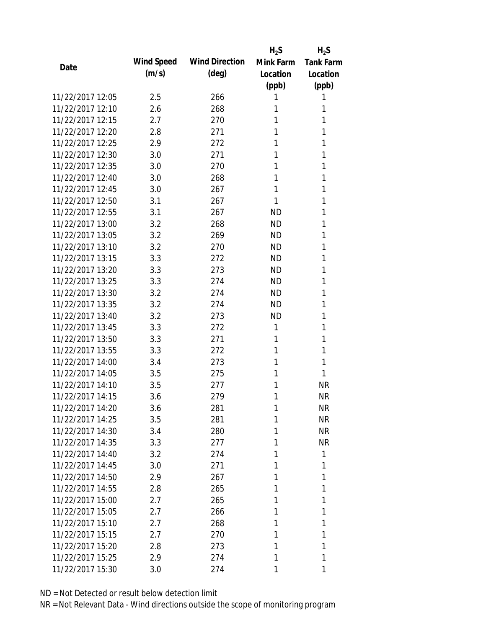|                  |            |                       | $H_2S$    | $H_2S$           |
|------------------|------------|-----------------------|-----------|------------------|
| Date             | Wind Speed | <b>Wind Direction</b> | Mink Farm | <b>Tank Farm</b> |
|                  | (m/s)      | $(\text{deg})$        | Location  | Location         |
|                  |            |                       | (ppb)     | (ppb)            |
| 11/22/2017 12:05 | 2.5        | 266                   | 1         | 1                |
| 11/22/2017 12:10 | 2.6        | 268                   | 1         | 1                |
| 11/22/2017 12:15 | 2.7        | 270                   | 1         | 1                |
| 11/22/2017 12:20 | 2.8        | 271                   | 1         | 1                |
| 11/22/2017 12:25 | 2.9        | 272                   | 1         | 1                |
| 11/22/2017 12:30 | 3.0        | 271                   | 1         | 1                |
| 11/22/2017 12:35 | 3.0        | 270                   | 1         | 1                |
| 11/22/2017 12:40 | 3.0        | 268                   | 1         | 1                |
| 11/22/2017 12:45 | 3.0        | 267                   | 1         | 1                |
| 11/22/2017 12:50 | 3.1        | 267                   | 1         | 1                |
| 11/22/2017 12:55 | 3.1        | 267                   | <b>ND</b> | 1                |
| 11/22/2017 13:00 | 3.2        | 268                   | <b>ND</b> | 1                |
| 11/22/2017 13:05 | 3.2        | 269                   | <b>ND</b> | 1                |
| 11/22/2017 13:10 | 3.2        | 270                   | <b>ND</b> | 1                |
| 11/22/2017 13:15 | 3.3        | 272                   | <b>ND</b> | 1                |
| 11/22/2017 13:20 | 3.3        | 273                   | <b>ND</b> | 1                |
| 11/22/2017 13:25 | 3.3        | 274                   | <b>ND</b> | 1                |
| 11/22/2017 13:30 | 3.2        | 274                   | <b>ND</b> | 1                |
| 11/22/2017 13:35 | 3.2        | 274                   | <b>ND</b> | 1                |
| 11/22/2017 13:40 | 3.2        | 273                   | <b>ND</b> | 1                |
| 11/22/2017 13:45 | 3.3        | 272                   | 1         | 1                |
| 11/22/2017 13:50 | 3.3        | 271                   | 1         | 1                |
| 11/22/2017 13:55 | 3.3        | 272                   | 1         | 1                |
| 11/22/2017 14:00 | 3.4        | 273                   | 1         | 1                |
| 11/22/2017 14:05 | 3.5        | 275                   | 1         | 1                |
| 11/22/2017 14:10 | 3.5        | 277                   | 1         | <b>NR</b>        |
| 11/22/2017 14:15 | 3.6        | 279                   | 1         | <b>NR</b>        |
| 11/22/2017 14:20 | 3.6        | 281                   | 1         | <b>NR</b>        |
| 11/22/2017 14:25 | 3.5        | 281                   | 1         | <b>NR</b>        |
| 11/22/2017 14:30 | 3.4        | 280                   | 1         | <b>NR</b>        |
| 11/22/2017 14:35 | 3.3        | 277                   | 1         | <b>NR</b>        |
| 11/22/2017 14:40 | 3.2        | 274                   | 1         | 1                |
| 11/22/2017 14:45 | 3.0        | 271                   | 1         | 1                |
| 11/22/2017 14:50 | 2.9        | 267                   | 1         | 1                |
| 11/22/2017 14:55 | 2.8        | 265                   | 1         | 1                |
| 11/22/2017 15:00 | 2.7        | 265                   | 1         | 1                |
| 11/22/2017 15:05 | 2.7        | 266                   | 1         | 1                |
| 11/22/2017 15:10 | 2.7        | 268                   | 1         | 1                |
| 11/22/2017 15:15 | 2.7        | 270                   | 1         | 1                |
| 11/22/2017 15:20 | 2.8        | 273                   | 1         | 1                |
| 11/22/2017 15:25 | 2.9        | 274                   | 1         | 1                |
| 11/22/2017 15:30 | 3.0        | 274                   | 1         | 1                |
|                  |            |                       |           |                  |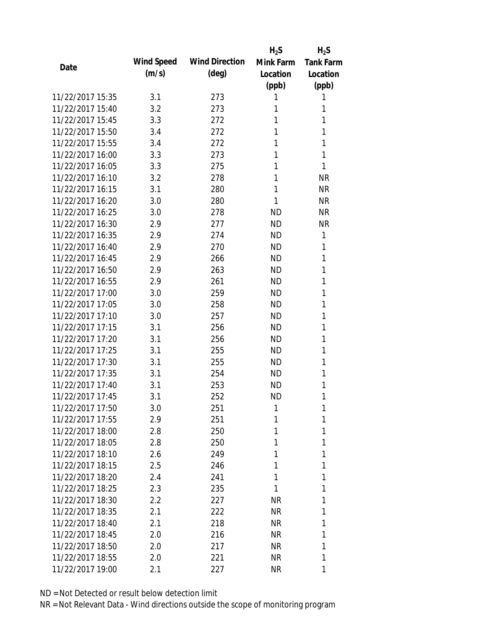|                  |            |                       | $H_2S$    | $H_2S$           |
|------------------|------------|-----------------------|-----------|------------------|
|                  | Wind Speed | <b>Wind Direction</b> | Mink Farm | <b>Tank Farm</b> |
| Date             | (m/s)      | $(\text{deg})$        | Location  | Location         |
|                  |            |                       | (ppb)     | (ppb)            |
| 11/22/2017 15:35 | 3.1        | 273                   | 1         | 1                |
| 11/22/2017 15:40 | 3.2        | 273                   | 1         | 1                |
| 11/22/2017 15:45 | 3.3        | 272                   | 1         | 1                |
| 11/22/2017 15:50 | 3.4        | 272                   | 1         | 1                |
| 11/22/2017 15:55 | 3.4        | 272                   | 1         | 1                |
| 11/22/2017 16:00 | 3.3        | 273                   | 1         | 1                |
| 11/22/2017 16:05 | 3.3        | 275                   | 1         | 1                |
| 11/22/2017 16:10 | 3.2        | 278                   | 1         | <b>NR</b>        |
| 11/22/2017 16:15 | 3.1        | 280                   | 1         | <b>NR</b>        |
| 11/22/2017 16:20 | 3.0        | 280                   | 1         | <b>NR</b>        |
| 11/22/2017 16:25 | 3.0        | 278                   | <b>ND</b> | <b>NR</b>        |
| 11/22/2017 16:30 | 2.9        | 277                   | <b>ND</b> | <b>NR</b>        |
| 11/22/2017 16:35 | 2.9        | 274                   | <b>ND</b> | 1                |
| 11/22/2017 16:40 | 2.9        | 270                   | <b>ND</b> | 1                |
| 11/22/2017 16:45 | 2.9        | 266                   | <b>ND</b> | 1                |
| 11/22/2017 16:50 | 2.9        | 263                   | <b>ND</b> | 1                |
| 11/22/2017 16:55 | 2.9        | 261                   | <b>ND</b> | 1                |
| 11/22/2017 17:00 | 3.0        | 259                   | <b>ND</b> | 1                |
| 11/22/2017 17:05 | 3.0        | 258                   | <b>ND</b> | 1                |
| 11/22/2017 17:10 | 3.0        | 257                   | <b>ND</b> | 1                |
| 11/22/2017 17:15 | 3.1        | 256                   | <b>ND</b> | 1                |
| 11/22/2017 17:20 | 3.1        | 256                   | <b>ND</b> | 1                |
| 11/22/2017 17:25 | 3.1        | 255                   | <b>ND</b> | 1                |
| 11/22/2017 17:30 | 3.1        | 255                   | <b>ND</b> | 1                |
| 11/22/2017 17:35 | 3.1        | 254                   | <b>ND</b> | 1                |
| 11/22/2017 17:40 | 3.1        | 253                   | <b>ND</b> | 1                |
| 11/22/2017 17:45 | 3.1        | 252                   | <b>ND</b> | 1                |
| 11/22/2017 17:50 | 3.0        | 251                   | 1         | 1                |
| 11/22/2017 17:55 | 2.9        | 251                   | 1         | 1                |
| 11/22/2017 18:00 | 2.8        | 250                   | 1         | 1                |
| 11/22/2017 18:05 | 2.8        | 250                   | 1         | 1                |
| 11/22/2017 18:10 | 2.6        | 249                   | 1         | 1                |
| 11/22/2017 18:15 | 2.5        | 246                   | 1         | 1                |
| 11/22/2017 18:20 | 2.4        | 241                   | 1         | 1                |
| 11/22/2017 18:25 | 2.3        | 235                   | 1         | 1                |
| 11/22/2017 18:30 | 2.2        | 227                   | <b>NR</b> | 1                |
| 11/22/2017 18:35 | 2.1        | 222                   | NR        | 1                |
| 11/22/2017 18:40 | 2.1        | 218                   | NR        | 1                |
| 11/22/2017 18:45 | 2.0        | 216                   | <b>NR</b> | 1                |
| 11/22/2017 18:50 | 2.0        | 217                   | <b>NR</b> | 1                |
| 11/22/2017 18:55 | 2.0        | 221                   | NR        | 1                |
| 11/22/2017 19:00 | 2.1        | 227                   | NR        | 1                |
|                  |            |                       |           |                  |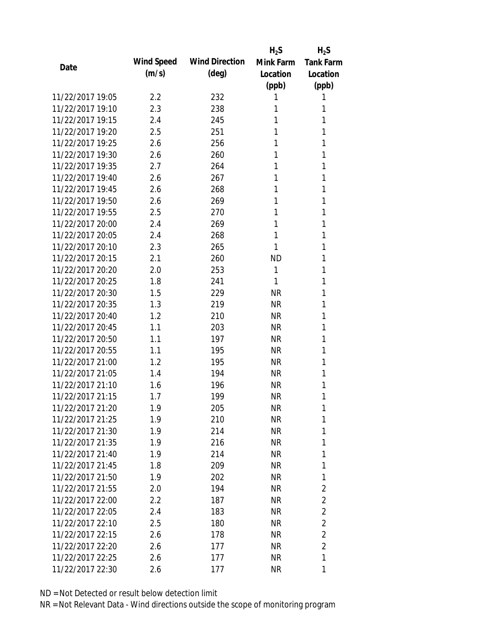|                  |                   |                       | $H_2S$    | $H_2S$           |
|------------------|-------------------|-----------------------|-----------|------------------|
|                  | <b>Wind Speed</b> | <b>Wind Direction</b> | Mink Farm | <b>Tank Farm</b> |
| Date             | (m/s)             | $(\text{deg})$        | Location  | Location         |
|                  |                   |                       | (ppb)     | (ppb)            |
| 11/22/2017 19:05 | 2.2               | 232                   | 1         | 1                |
| 11/22/2017 19:10 | 2.3               | 238                   | 1         | 1                |
| 11/22/2017 19:15 | 2.4               | 245                   | 1         | 1                |
| 11/22/2017 19:20 | 2.5               | 251                   | 1         | 1                |
| 11/22/2017 19:25 | 2.6               | 256                   | 1         | 1                |
| 11/22/2017 19:30 | 2.6               | 260                   | 1         | 1                |
| 11/22/2017 19:35 | 2.7               | 264                   | 1         | 1                |
| 11/22/2017 19:40 | 2.6               | 267                   | 1         | 1                |
| 11/22/2017 19:45 | 2.6               | 268                   | 1         | 1                |
| 11/22/2017 19:50 | 2.6               | 269                   | 1         | 1                |
| 11/22/2017 19:55 | 2.5               | 270                   | 1         | 1                |
| 11/22/2017 20:00 | 2.4               | 269                   | 1         | 1                |
| 11/22/2017 20:05 | 2.4               | 268                   | 1         | 1                |
| 11/22/2017 20:10 | 2.3               | 265                   | 1         | 1                |
| 11/22/2017 20:15 | 2.1               | 260                   | <b>ND</b> | 1                |
| 11/22/2017 20:20 | 2.0               | 253                   | 1         | 1                |
| 11/22/2017 20:25 | 1.8               | 241                   | 1         | 1                |
| 11/22/2017 20:30 | 1.5               | 229                   | <b>NR</b> | 1                |
| 11/22/2017 20:35 | 1.3               | 219                   | NR        | 1                |
| 11/22/2017 20:40 | 1.2               | 210                   | <b>NR</b> | 1                |
| 11/22/2017 20:45 | 1.1               | 203                   | NR        | 1                |
| 11/22/2017 20:50 | 1.1               | 197                   | <b>NR</b> | 1                |
| 11/22/2017 20:55 | 1.1               | 195                   | <b>NR</b> | 1                |
| 11/22/2017 21:00 | 1.2               | 195                   | <b>NR</b> | 1                |
| 11/22/2017 21:05 | 1.4               | 194                   | NR        | 1                |
| 11/22/2017 21:10 | 1.6               | 196                   | <b>NR</b> | 1                |
| 11/22/2017 21:15 | 1.7               | 199                   | <b>NR</b> | 1                |
| 11/22/2017 21:20 | 1.9               | 205                   | NR        | 1                |
| 11/22/2017 21:25 | 1.9               | 210                   | <b>NR</b> | 1                |
| 11/22/2017 21:30 | 1.9               | 214                   | NR        | 1                |
| 11/22/2017 21:35 | 1.9               | 216                   | <b>NR</b> | 1                |
| 11/22/2017 21:40 | 1.9               | 214                   | <b>NR</b> | 1                |
| 11/22/2017 21:45 | 1.8               | 209                   | NR        | 1                |
| 11/22/2017 21:50 | 1.9               | 202                   | <b>NR</b> | 1                |
| 11/22/2017 21:55 | 2.0               | 194                   | NR        | $\overline{2}$   |
| 11/22/2017 22:00 | 2.2               | 187                   | <b>NR</b> | $\overline{2}$   |
| 11/22/2017 22:05 | 2.4               | 183                   | NR        | $\overline{2}$   |
| 11/22/2017 22:10 | 2.5               | 180                   | NR        | $\overline{2}$   |
| 11/22/2017 22:15 | 2.6               | 178                   | NR        | $\overline{2}$   |
| 11/22/2017 22:20 | 2.6               | 177                   | NR        | $\overline{2}$   |
| 11/22/2017 22:25 | 2.6               | 177                   | <b>NR</b> | 1                |
| 11/22/2017 22:30 | 2.6               | 177                   | <b>NR</b> | 1                |
|                  |                   |                       |           |                  |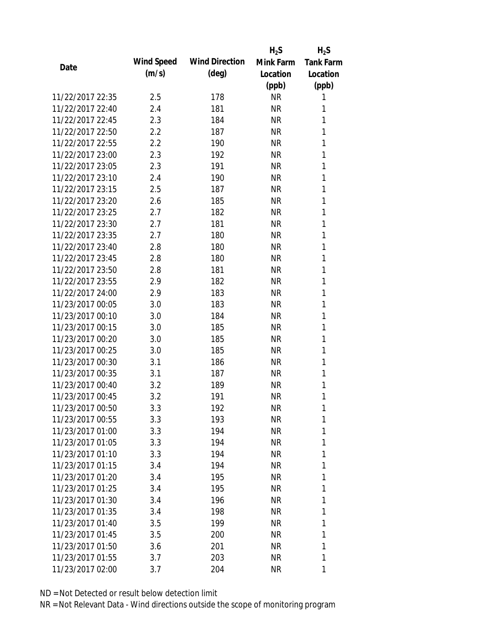|                  |            |                       | $H_2S$    | $H_2S$           |
|------------------|------------|-----------------------|-----------|------------------|
|                  | Wind Speed | <b>Wind Direction</b> | Mink Farm | <b>Tank Farm</b> |
| Date             | (m/s)      | $(\text{deg})$        | Location  | Location         |
|                  |            |                       | (ppb)     | (ppb)            |
| 11/22/2017 22:35 | 2.5        | 178                   | <b>NR</b> | 1                |
| 11/22/2017 22:40 | 2.4        | 181                   | NR        | 1                |
| 11/22/2017 22:45 | 2.3        | 184                   | <b>NR</b> | 1                |
| 11/22/2017 22:50 | 2.2        | 187                   | NR        | 1                |
| 11/22/2017 22:55 | 2.2        | 190                   | <b>NR</b> | 1                |
| 11/22/2017 23:00 | 2.3        | 192                   | <b>NR</b> | 1                |
| 11/22/2017 23:05 | 2.3        | 191                   | <b>NR</b> | 1                |
| 11/22/2017 23:10 | 2.4        | 190                   | <b>NR</b> | 1                |
| 11/22/2017 23:15 | 2.5        | 187                   | <b>NR</b> | 1                |
| 11/22/2017 23:20 | 2.6        | 185                   | <b>NR</b> | 1                |
| 11/22/2017 23:25 | 2.7        | 182                   | <b>NR</b> | 1                |
| 11/22/2017 23:30 | 2.7        | 181                   | <b>NR</b> | 1                |
| 11/22/2017 23:35 | 2.7        | 180                   | <b>NR</b> | 1                |
| 11/22/2017 23:40 | 2.8        | 180                   | <b>NR</b> | 1                |
| 11/22/2017 23:45 | 2.8        | 180                   | <b>NR</b> | 1                |
| 11/22/2017 23:50 | 2.8        | 181                   | NR        | 1                |
| 11/22/2017 23:55 | 2.9        | 182                   | <b>NR</b> | 1                |
| 11/22/2017 24:00 | 2.9        | 183                   | <b>NR</b> | 1                |
| 11/23/2017 00:05 | 3.0        | 183                   | <b>NR</b> | 1                |
| 11/23/2017 00:10 | 3.0        | 184                   | <b>NR</b> | 1                |
| 11/23/2017 00:15 | 3.0        | 185                   | NR        | 1                |
| 11/23/2017 00:20 | 3.0        | 185                   | <b>NR</b> | 1                |
| 11/23/2017 00:25 | 3.0        | 185                   | <b>NR</b> | 1                |
| 11/23/2017 00:30 | 3.1        | 186                   | <b>NR</b> | 1                |
| 11/23/2017 00:35 | 3.1        | 187                   | <b>NR</b> | 1                |
| 11/23/2017 00:40 | 3.2        | 189                   | <b>NR</b> | 1                |
| 11/23/2017 00:45 | 3.2        | 191                   | <b>NR</b> | 1                |
| 11/23/2017 00:50 | 3.3        | 192                   | <b>NR</b> | 1                |
| 11/23/2017 00:55 | 3.3        | 193                   | <b>NR</b> | 1                |
| 11/23/2017 01:00 | 3.3        | 194                   | NR        | 1                |
| 11/23/2017 01:05 | 3.3        | 194                   | NR        | 1                |
| 11/23/2017 01:10 | 3.3        | 194                   | <b>NR</b> | 1                |
| 11/23/2017 01:15 | 3.4        | 194                   | NR        | 1                |
| 11/23/2017 01:20 | 3.4        | 195                   | <b>NR</b> | 1                |
| 11/23/2017 01:25 | 3.4        | 195                   | NR        | 1                |
| 11/23/2017 01:30 | 3.4        | 196                   | <b>NR</b> | 1                |
| 11/23/2017 01:35 | 3.4        | 198                   | NR        | 1                |
| 11/23/2017 01:40 | 3.5        | 199                   | NR        | 1                |
| 11/23/2017 01:45 | 3.5        | 200                   | NR        | 1                |
| 11/23/2017 01:50 | 3.6        | 201                   | NR        | 1                |
| 11/23/2017 01:55 | 3.7        | 203                   | <b>NR</b> | 1                |
| 11/23/2017 02:00 | 3.7        | 204                   | <b>NR</b> | 1                |
|                  |            |                       |           |                  |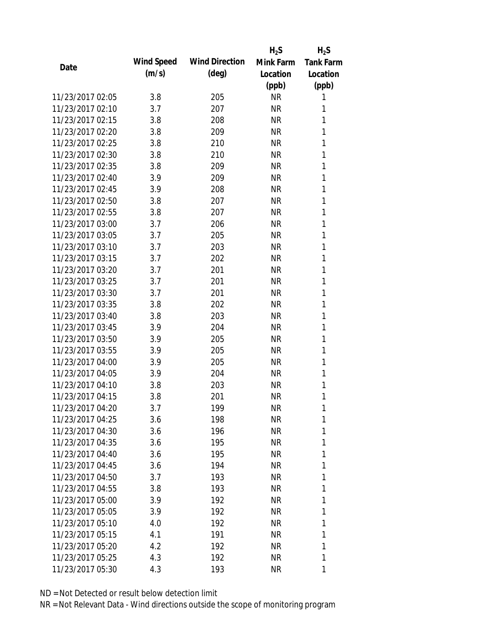|                  |                   |                       | $H_2S$    | $H_2S$           |
|------------------|-------------------|-----------------------|-----------|------------------|
|                  | <b>Wind Speed</b> | <b>Wind Direction</b> | Mink Farm | <b>Tank Farm</b> |
| Date             | (m/s)             | $(\text{deg})$        | Location  | Location         |
|                  |                   |                       | (ppb)     | (ppb)            |
| 11/23/2017 02:05 | 3.8               | 205                   | <b>NR</b> | 1                |
| 11/23/2017 02:10 | 3.7               | 207                   | NR        | 1                |
| 11/23/2017 02:15 | 3.8               | 208                   | <b>NR</b> | 1                |
| 11/23/2017 02:20 | 3.8               | 209                   | <b>NR</b> | 1                |
| 11/23/2017 02:25 | 3.8               | 210                   | <b>NR</b> | 1                |
| 11/23/2017 02:30 | 3.8               | 210                   | <b>NR</b> | 1                |
| 11/23/2017 02:35 | 3.8               | 209                   | <b>NR</b> | 1                |
| 11/23/2017 02:40 | 3.9               | 209                   | <b>NR</b> | 1                |
| 11/23/2017 02:45 | 3.9               | 208                   | <b>NR</b> | 1                |
| 11/23/2017 02:50 | 3.8               | 207                   | <b>NR</b> | 1                |
| 11/23/2017 02:55 | 3.8               | 207                   | <b>NR</b> | 1                |
| 11/23/2017 03:00 | 3.7               | 206                   | <b>NR</b> | 1                |
| 11/23/2017 03:05 | 3.7               | 205                   | <b>NR</b> | 1                |
| 11/23/2017 03:10 | 3.7               | 203                   | <b>NR</b> | 1                |
| 11/23/2017 03:15 | 3.7               | 202                   | <b>NR</b> | 1                |
| 11/23/2017 03:20 | 3.7               | 201                   | <b>NR</b> | 1                |
| 11/23/2017 03:25 | 3.7               | 201                   | <b>NR</b> | 1                |
| 11/23/2017 03:30 | 3.7               | 201                   | <b>NR</b> | 1                |
| 11/23/2017 03:35 | 3.8               | 202                   | <b>NR</b> | 1                |
| 11/23/2017 03:40 | 3.8               | 203                   | <b>NR</b> | 1                |
| 11/23/2017 03:45 | 3.9               | 204                   | <b>NR</b> | 1                |
| 11/23/2017 03:50 | 3.9               | 205                   | <b>NR</b> | 1                |
| 11/23/2017 03:55 | 3.9               | 205                   | <b>NR</b> | 1                |
| 11/23/2017 04:00 | 3.9               | 205                   | <b>NR</b> | 1                |
| 11/23/2017 04:05 | 3.9               | 204                   | <b>NR</b> | 1                |
| 11/23/2017 04:10 | 3.8               | 203                   | <b>NR</b> | 1                |
| 11/23/2017 04:15 | 3.8               | 201                   | <b>NR</b> | 1                |
| 11/23/2017 04:20 | 3.7               | 199                   | NR        | 1                |
| 11/23/2017 04:25 | 3.6               | 198                   | <b>NR</b> | 1                |
| 11/23/2017 04:30 | 3.6               | 196                   | NR        | 1                |
| 11/23/2017 04:35 | 3.6               | 195                   | NR        | 1                |
| 11/23/2017 04:40 | 3.6               | 195                   | <b>NR</b> | 1                |
| 11/23/2017 04:45 | 3.6               | 194                   | NR        | 1                |
| 11/23/2017 04:50 | 3.7               | 193                   | <b>NR</b> | 1                |
| 11/23/2017 04:55 | 3.8               | 193                   | NR        | 1                |
| 11/23/2017 05:00 | 3.9               | 192                   | <b>NR</b> | 1                |
| 11/23/2017 05:05 | 3.9               | 192                   | NR        | 1                |
| 11/23/2017 05:10 | 4.0               | 192                   | NR        | 1                |
| 11/23/2017 05:15 | 4.1               | 191                   | NR        | 1                |
| 11/23/2017 05:20 | 4.2               | 192                   | NR        | 1                |
| 11/23/2017 05:25 | 4.3               | 192                   | <b>NR</b> | 1                |
| 11/23/2017 05:30 | 4.3               | 193                   | <b>NR</b> | 1                |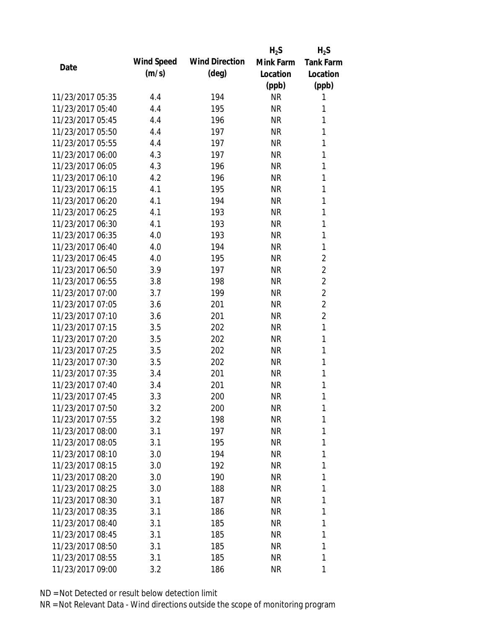|                  |            |                       | $H_2S$    | $H_2S$           |
|------------------|------------|-----------------------|-----------|------------------|
| Date             | Wind Speed | <b>Wind Direction</b> | Mink Farm | <b>Tank Farm</b> |
|                  | (m/s)      | $(\text{deg})$        | Location  | Location         |
|                  |            |                       | (ppb)     | (ppb)            |
| 11/23/2017 05:35 | 4.4        | 194                   | <b>NR</b> | 1                |
| 11/23/2017 05:40 | 4.4        | 195                   | <b>NR</b> | 1                |
| 11/23/2017 05:45 | 4.4        | 196                   | <b>NR</b> | 1                |
| 11/23/2017 05:50 | 4.4        | 197                   | <b>NR</b> | 1                |
| 11/23/2017 05:55 | 4.4        | 197                   | <b>NR</b> | 1                |
| 11/23/2017 06:00 | 4.3        | 197                   | <b>NR</b> | 1                |
| 11/23/2017 06:05 | 4.3        | 196                   | <b>NR</b> | 1                |
| 11/23/2017 06:10 | 4.2        | 196                   | <b>NR</b> | 1                |
| 11/23/2017 06:15 | 4.1        | 195                   | <b>NR</b> | 1                |
| 11/23/2017 06:20 | 4.1        | 194                   | <b>NR</b> | 1                |
| 11/23/2017 06:25 | 4.1        | 193                   | <b>NR</b> | 1                |
| 11/23/2017 06:30 | 4.1        | 193                   | <b>NR</b> | 1                |
| 11/23/2017 06:35 | 4.0        | 193                   | <b>NR</b> | 1                |
| 11/23/2017 06:40 | 4.0        | 194                   | <b>NR</b> | 1                |
| 11/23/2017 06:45 | 4.0        | 195                   | <b>NR</b> | $\overline{2}$   |
| 11/23/2017 06:50 | 3.9        | 197                   | <b>NR</b> | $\overline{2}$   |
| 11/23/2017 06:55 | 3.8        | 198                   | <b>NR</b> | $\overline{2}$   |
| 11/23/2017 07:00 | 3.7        | 199                   | <b>NR</b> | $\overline{2}$   |
| 11/23/2017 07:05 | 3.6        | 201                   | <b>NR</b> | $\overline{2}$   |
| 11/23/2017 07:10 | 3.6        | 201                   | <b>NR</b> | $\overline{2}$   |
| 11/23/2017 07:15 | 3.5        | 202                   | <b>NR</b> | 1                |
| 11/23/2017 07:20 | 3.5        | 202                   | <b>NR</b> | 1                |
| 11/23/2017 07:25 | 3.5        | 202                   | <b>NR</b> | 1                |
| 11/23/2017 07:30 | 3.5        | 202                   | <b>NR</b> | 1                |
| 11/23/2017 07:35 | 3.4        | 201                   | <b>NR</b> | 1                |
| 11/23/2017 07:40 | 3.4        | 201                   | <b>NR</b> | 1                |
| 11/23/2017 07:45 | 3.3        | 200                   | <b>NR</b> | 1                |
| 11/23/2017 07:50 | 3.2        | 200                   | <b>NR</b> | 1                |
| 11/23/2017 07:55 | 3.2        | 198                   | <b>NR</b> | 1                |
| 11/23/2017 08:00 | 3.1        | 197                   | <b>NR</b> | 1                |
| 11/23/2017 08:05 | 3.1        | 195                   | NR        | 1                |
| 11/23/2017 08:10 | 3.0        | 194                   | <b>NR</b> | 1                |
| 11/23/2017 08:15 | 3.0        | 192                   | NR        | 1                |
| 11/23/2017 08:20 | 3.0        | 190                   | <b>NR</b> | 1                |
| 11/23/2017 08:25 | 3.0        | 188                   | NR        | 1                |
| 11/23/2017 08:30 | 3.1        | 187                   | <b>NR</b> | 1                |
| 11/23/2017 08:35 | 3.1        | 186                   | NR        | 1                |
| 11/23/2017 08:40 | 3.1        | 185                   | NR        | 1                |
| 11/23/2017 08:45 | 3.1        | 185                   | NR        | 1                |
| 11/23/2017 08:50 | 3.1        | 185                   | NR        | 1                |
| 11/23/2017 08:55 | 3.1        | 185                   | <b>NR</b> | 1                |
| 11/23/2017 09:00 | 3.2        | 186                   | <b>NR</b> | 1                |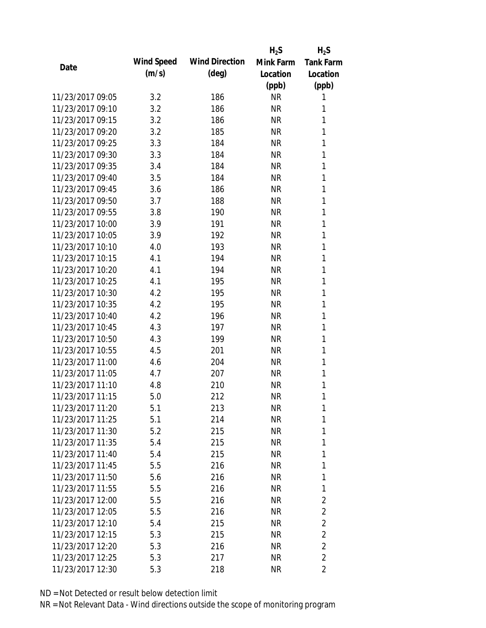|                  |            |                       | $H_2S$    | $H_2S$           |
|------------------|------------|-----------------------|-----------|------------------|
|                  | Wind Speed | <b>Wind Direction</b> | Mink Farm | <b>Tank Farm</b> |
| Date             | (m/s)      | $(\text{deg})$        | Location  | Location         |
|                  |            |                       | (ppb)     | (ppb)            |
| 11/23/2017 09:05 | 3.2        | 186                   | <b>NR</b> | 1                |
| 11/23/2017 09:10 | 3.2        | 186                   | <b>NR</b> | 1                |
| 11/23/2017 09:15 | 3.2        | 186                   | <b>NR</b> | 1                |
| 11/23/2017 09:20 | 3.2        | 185                   | <b>NR</b> | 1                |
| 11/23/2017 09:25 | 3.3        | 184                   | <b>NR</b> | 1                |
| 11/23/2017 09:30 | 3.3        | 184                   | <b>NR</b> | 1                |
| 11/23/2017 09:35 | 3.4        | 184                   | <b>NR</b> | 1                |
| 11/23/2017 09:40 | 3.5        | 184                   | <b>NR</b> | 1                |
| 11/23/2017 09:45 | 3.6        | 186                   | <b>NR</b> | 1                |
| 11/23/2017 09:50 | 3.7        | 188                   | <b>NR</b> | 1                |
| 11/23/2017 09:55 | 3.8        | 190                   | <b>NR</b> | 1                |
| 11/23/2017 10:00 | 3.9        | 191                   | <b>NR</b> | 1                |
| 11/23/2017 10:05 | 3.9        | 192                   | <b>NR</b> | 1                |
| 11/23/2017 10:10 | 4.0        | 193                   | <b>NR</b> | 1                |
| 11/23/2017 10:15 | 4.1        | 194                   | <b>NR</b> | 1                |
| 11/23/2017 10:20 | 4.1        | 194                   | <b>NR</b> | 1                |
| 11/23/2017 10:25 | 4.1        | 195                   | <b>NR</b> | 1                |
| 11/23/2017 10:30 | 4.2        | 195                   | <b>NR</b> | 1                |
| 11/23/2017 10:35 | 4.2        | 195                   | <b>NR</b> | 1                |
| 11/23/2017 10:40 | 4.2        | 196                   | <b>NR</b> | 1                |
| 11/23/2017 10:45 | 4.3        | 197                   | <b>NR</b> | 1                |
| 11/23/2017 10:50 | 4.3        | 199                   | <b>NR</b> | 1                |
| 11/23/2017 10:55 | 4.5        | 201                   | <b>NR</b> | 1                |
| 11/23/2017 11:00 | 4.6        | 204                   | <b>NR</b> | 1                |
| 11/23/2017 11:05 | 4.7        | 207                   | <b>NR</b> | 1                |
| 11/23/2017 11:10 | 4.8        | 210                   | <b>NR</b> | 1                |
| 11/23/2017 11:15 | 5.0        | 212                   | <b>NR</b> | 1                |
| 11/23/2017 11:20 | 5.1        | 213                   | <b>NR</b> | 1                |
| 11/23/2017 11:25 | 5.1        | 214                   | <b>NR</b> | 1                |
| 11/23/2017 11:30 | 5.2        | 215                   | <b>NR</b> | 1                |
| 11/23/2017 11:35 | 5.4        | 215                   | NR        | 1                |
| 11/23/2017 11:40 | 5.4        | 215                   | <b>NR</b> | 1                |
| 11/23/2017 11:45 | 5.5        | 216                   | NR        | 1                |
| 11/23/2017 11:50 | 5.6        | 216                   | <b>NR</b> | 1                |
| 11/23/2017 11:55 | 5.5        | 216                   | NR        | 1                |
| 11/23/2017 12:00 | 5.5        | 216                   | NR        | $\overline{2}$   |
| 11/23/2017 12:05 | 5.5        | 216                   | NR        | $\overline{2}$   |
| 11/23/2017 12:10 | 5.4        | 215                   | NR        | $\overline{2}$   |
| 11/23/2017 12:15 | 5.3        | 215                   | <b>NR</b> | $\overline{2}$   |
| 11/23/2017 12:20 | 5.3        | 216                   | <b>NR</b> | $\overline{2}$   |
| 11/23/2017 12:25 | 5.3        | 217                   | <b>NR</b> | $\overline{2}$   |
| 11/23/2017 12:30 | 5.3        | 218                   | <b>NR</b> | $\overline{2}$   |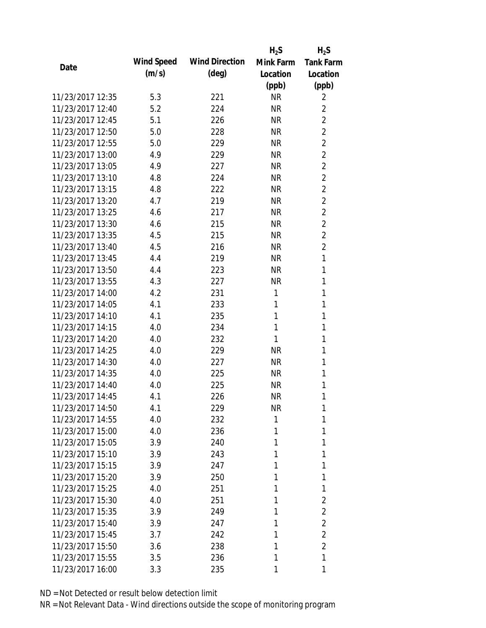|                  |            |                       | $H_2S$    | $H_2S$           |
|------------------|------------|-----------------------|-----------|------------------|
| Date             | Wind Speed | <b>Wind Direction</b> | Mink Farm | <b>Tank Farm</b> |
|                  | (m/s)      | $(\text{deg})$        | Location  | Location         |
|                  |            |                       | (ppb)     | (ppb)            |
| 11/23/2017 12:35 | 5.3        | 221                   | <b>NR</b> | 2                |
| 11/23/2017 12:40 | 5.2        | 224                   | <b>NR</b> | $\overline{2}$   |
| 11/23/2017 12:45 | 5.1        | 226                   | <b>NR</b> | $\overline{2}$   |
| 11/23/2017 12:50 | 5.0        | 228                   | <b>NR</b> | $\overline{2}$   |
| 11/23/2017 12:55 | 5.0        | 229                   | <b>NR</b> | $\overline{2}$   |
| 11/23/2017 13:00 | 4.9        | 229                   | <b>NR</b> | $\overline{2}$   |
| 11/23/2017 13:05 | 4.9        | 227                   | <b>NR</b> | $\overline{2}$   |
| 11/23/2017 13:10 | 4.8        | 224                   | <b>NR</b> | $\overline{2}$   |
| 11/23/2017 13:15 | 4.8        | 222                   | <b>NR</b> | $\overline{2}$   |
| 11/23/2017 13:20 | 4.7        | 219                   | <b>NR</b> | $\overline{2}$   |
| 11/23/2017 13:25 | 4.6        | 217                   | <b>NR</b> | $\overline{2}$   |
| 11/23/2017 13:30 | 4.6        | 215                   | <b>NR</b> | $\overline{2}$   |
| 11/23/2017 13:35 | 4.5        | 215                   | <b>NR</b> | $\overline{2}$   |
| 11/23/2017 13:40 | 4.5        | 216                   | <b>NR</b> | $\overline{2}$   |
| 11/23/2017 13:45 | 4.4        | 219                   | <b>NR</b> | 1                |
| 11/23/2017 13:50 | 4.4        | 223                   | <b>NR</b> | 1                |
| 11/23/2017 13:55 | 4.3        | 227                   | <b>NR</b> | 1                |
| 11/23/2017 14:00 | 4.2        | 231                   | 1         | 1                |
| 11/23/2017 14:05 | 4.1        | 233                   | 1         | 1                |
| 11/23/2017 14:10 | 4.1        | 235                   | 1         | 1                |
| 11/23/2017 14:15 | 4.0        | 234                   | 1         | 1                |
| 11/23/2017 14:20 | 4.0        | 232                   | 1         | 1                |
| 11/23/2017 14:25 | 4.0        | 229                   | <b>NR</b> | 1                |
| 11/23/2017 14:30 | 4.0        | 227                   | <b>NR</b> | 1                |
| 11/23/2017 14:35 | 4.0        | 225                   | <b>NR</b> | 1                |
| 11/23/2017 14:40 | 4.0        | 225                   | <b>NR</b> | 1                |
| 11/23/2017 14:45 | 4.1        | 226                   | <b>NR</b> | 1                |
| 11/23/2017 14:50 | 4.1        | 229                   | <b>NR</b> | 1                |
| 11/23/2017 14:55 | 4.0        | 232                   | 1         | 1                |
| 11/23/2017 15:00 | 4.0        | 236                   | 1         | 1                |
| 11/23/2017 15:05 | 3.9        | 240                   | 1         | 1                |
| 11/23/2017 15:10 | 3.9        | 243                   | 1         | 1                |
| 11/23/2017 15:15 | 3.9        | 247                   | 1         | 1                |
| 11/23/2017 15:20 | 3.9        | 250                   | 1         | 1                |
| 11/23/2017 15:25 | 4.0        | 251                   | 1         | 1                |
| 11/23/2017 15:30 | 4.0        | 251                   | 1         | $\overline{2}$   |
| 11/23/2017 15:35 | 3.9        | 249                   | 1         | $\overline{2}$   |
| 11/23/2017 15:40 | 3.9        | 247                   | 1         | $\overline{2}$   |
| 11/23/2017 15:45 | 3.7        | 242                   | 1         | $\overline{2}$   |
| 11/23/2017 15:50 | 3.6        | 238                   | 1         | $\overline{2}$   |
| 11/23/2017 15:55 | 3.5        | 236                   | 1         | $\mathbf{1}$     |
| 11/23/2017 16:00 | 3.3        | 235                   | 1         | 1                |
|                  |            |                       |           |                  |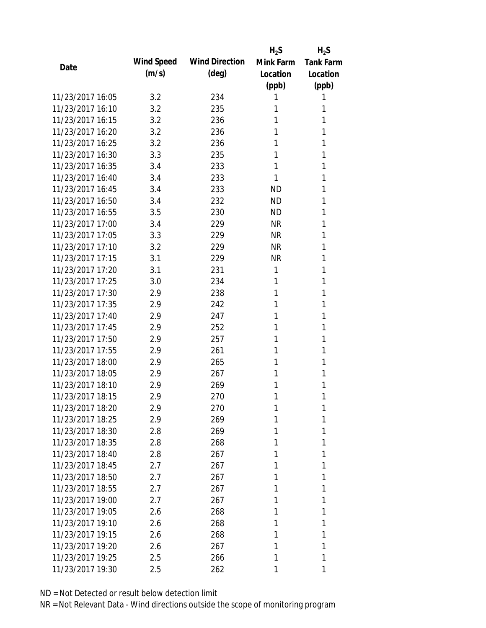|                  |            |                       | $H_2S$    | $H_2S$           |
|------------------|------------|-----------------------|-----------|------------------|
| Date             | Wind Speed | <b>Wind Direction</b> | Mink Farm | <b>Tank Farm</b> |
|                  | (m/s)      | $(\text{deg})$        | Location  | Location         |
|                  |            |                       | (ppb)     | (ppb)            |
| 11/23/2017 16:05 | 3.2        | 234                   | 1         | 1                |
| 11/23/2017 16:10 | 3.2        | 235                   | 1         | 1                |
| 11/23/2017 16:15 | 3.2        | 236                   | 1         | 1                |
| 11/23/2017 16:20 | 3.2        | 236                   | 1         | 1                |
| 11/23/2017 16:25 | 3.2        | 236                   | 1         | 1                |
| 11/23/2017 16:30 | 3.3        | 235                   | 1         | 1                |
| 11/23/2017 16:35 | 3.4        | 233                   | 1         | 1                |
| 11/23/2017 16:40 | 3.4        | 233                   | 1         | 1                |
| 11/23/2017 16:45 | 3.4        | 233                   | <b>ND</b> | 1                |
| 11/23/2017 16:50 | 3.4        | 232                   | <b>ND</b> | 1                |
| 11/23/2017 16:55 | 3.5        | 230                   | <b>ND</b> | 1                |
| 11/23/2017 17:00 | 3.4        | 229                   | <b>NR</b> | 1                |
| 11/23/2017 17:05 | 3.3        | 229                   | <b>NR</b> | 1                |
| 11/23/2017 17:10 | 3.2        | 229                   | <b>NR</b> | 1                |
| 11/23/2017 17:15 | 3.1        | 229                   | <b>NR</b> | 1                |
| 11/23/2017 17:20 | 3.1        | 231                   | 1         | 1                |
| 11/23/2017 17:25 | 3.0        | 234                   | 1         | 1                |
| 11/23/2017 17:30 | 2.9        | 238                   | 1         | 1                |
| 11/23/2017 17:35 | 2.9        | 242                   | 1         | 1                |
| 11/23/2017 17:40 | 2.9        | 247                   | 1         | 1                |
| 11/23/2017 17:45 | 2.9        | 252                   | 1         | 1                |
| 11/23/2017 17:50 | 2.9        | 257                   | 1         | 1                |
| 11/23/2017 17:55 | 2.9        | 261                   | 1         | 1                |
| 11/23/2017 18:00 | 2.9        | 265                   | 1         | 1                |
| 11/23/2017 18:05 | 2.9        | 267                   | 1         | 1                |
| 11/23/2017 18:10 | 2.9        | 269                   | 1         | 1                |
| 11/23/2017 18:15 | 2.9        | 270                   | 1         | 1                |
| 11/23/2017 18:20 | 2.9        | 270                   | 1         | 1                |
| 11/23/2017 18:25 | 2.9        | 269                   | 1         | 1                |
| 11/23/2017 18:30 | 2.8        | 269                   | 1         | 1                |
| 11/23/2017 18:35 | 2.8        | 268                   | 1         | 1                |
| 11/23/2017 18:40 | 2.8        | 267                   | 1         | 1                |
| 11/23/2017 18:45 | 2.7        | 267                   | 1         | 1                |
| 11/23/2017 18:50 | 2.7        | 267                   | 1         | 1                |
| 11/23/2017 18:55 | 2.7        | 267                   | 1         | 1                |
| 11/23/2017 19:00 | 2.7        | 267                   | 1         | 1                |
| 11/23/2017 19:05 | 2.6        | 268                   | 1         | 1                |
| 11/23/2017 19:10 | 2.6        | 268                   | 1         | 1                |
| 11/23/2017 19:15 | 2.6        | 268                   | 1         | 1                |
| 11/23/2017 19:20 | 2.6        | 267                   | 1         | 1                |
| 11/23/2017 19:25 | 2.5        | 266                   | 1         | 1                |
| 11/23/2017 19:30 | 2.5        | 262                   | 1         | 1                |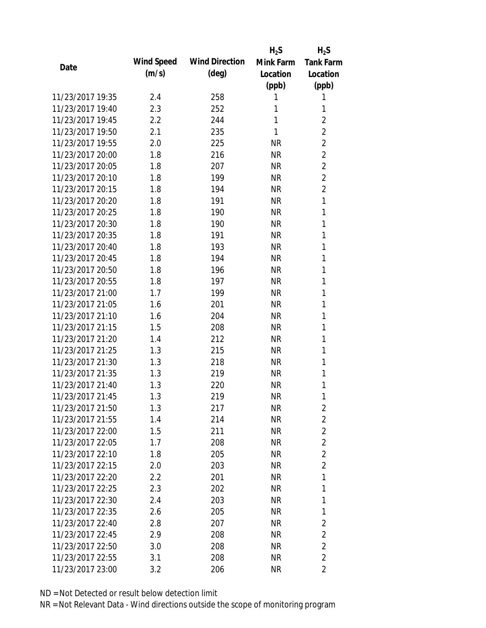|                  |            |                       | $H_2S$    | $H_2S$           |
|------------------|------------|-----------------------|-----------|------------------|
|                  | Wind Speed | <b>Wind Direction</b> | Mink Farm | <b>Tank Farm</b> |
| Date             | (m/s)      | $(\text{deg})$        | Location  | Location         |
|                  |            |                       | (ppb)     | (ppb)            |
| 11/23/2017 19:35 | 2.4        | 258                   | 1         | 1                |
| 11/23/2017 19:40 | 2.3        | 252                   | 1         | 1                |
| 11/23/2017 19:45 | 2.2        | 244                   | 1         | $\overline{2}$   |
| 11/23/2017 19:50 | 2.1        | 235                   | 1         | $\overline{2}$   |
| 11/23/2017 19:55 | 2.0        | 225                   | <b>NR</b> | $\overline{2}$   |
| 11/23/2017 20:00 | 1.8        | 216                   | <b>NR</b> | $\overline{2}$   |
| 11/23/2017 20:05 | 1.8        | 207                   | <b>NR</b> | $\overline{2}$   |
| 11/23/2017 20:10 | 1.8        | 199                   | <b>NR</b> | $\overline{2}$   |
| 11/23/2017 20:15 | 1.8        | 194                   | <b>NR</b> | $\overline{2}$   |
| 11/23/2017 20:20 | 1.8        | 191                   | <b>NR</b> | 1                |
| 11/23/2017 20:25 | 1.8        | 190                   | <b>NR</b> | 1                |
| 11/23/2017 20:30 | 1.8        | 190                   | <b>NR</b> | 1                |
| 11/23/2017 20:35 | 1.8        | 191                   | <b>NR</b> | 1                |
| 11/23/2017 20:40 | 1.8        | 193                   | <b>NR</b> | 1                |
| 11/23/2017 20:45 | 1.8        | 194                   | <b>NR</b> | 1                |
| 11/23/2017 20:50 | 1.8        | 196                   | <b>NR</b> | 1                |
| 11/23/2017 20:55 | 1.8        | 197                   | <b>NR</b> | 1                |
| 11/23/2017 21:00 | 1.7        | 199                   | <b>NR</b> | 1                |
| 11/23/2017 21:05 | 1.6        | 201                   | <b>NR</b> | 1                |
| 11/23/2017 21:10 | 1.6        | 204                   | <b>NR</b> | 1                |
| 11/23/2017 21:15 | 1.5        | 208                   | <b>NR</b> | 1                |
| 11/23/2017 21:20 | 1.4        | 212                   | <b>NR</b> | 1                |
| 11/23/2017 21:25 | 1.3        | 215                   | <b>NR</b> | 1                |
| 11/23/2017 21:30 | 1.3        | 218                   | <b>NR</b> | 1                |
| 11/23/2017 21:35 | 1.3        | 219                   | <b>NR</b> | 1                |
| 11/23/2017 21:40 | 1.3        | 220                   | <b>NR</b> | 1                |
| 11/23/2017 21:45 | 1.3        | 219                   | <b>NR</b> | 1                |
| 11/23/2017 21:50 | 1.3        | 217                   | <b>NR</b> | 2                |
| 11/23/2017 21:55 | 1.4        | 214                   | <b>NR</b> | 2                |
| 11/23/2017 22:00 | 1.5        | 211                   | NR        | $\overline{2}$   |
| 11/23/2017 22:05 | 1.7        | 208                   | NR        | $\overline{2}$   |
| 11/23/2017 22:10 | 1.8        | 205                   | <b>NR</b> | $\overline{2}$   |
| 11/23/2017 22:15 | 2.0        | 203                   | NR        | $\overline{2}$   |
| 11/23/2017 22:20 | 2.2        | 201                   | <b>NR</b> | 1                |
| 11/23/2017 22:25 | 2.3        | 202                   | NR        | 1                |
| 11/23/2017 22:30 | 2.4        | 203                   | NR        | 1                |
| 11/23/2017 22:35 | 2.6        | 205                   | NR        | 1                |
| 11/23/2017 22:40 | 2.8        | 207                   | NR        | 2                |
| 11/23/2017 22:45 | 2.9        | 208                   | <b>NR</b> | $\overline{2}$   |
| 11/23/2017 22:50 | 3.0        | 208                   | <b>NR</b> | $\overline{2}$   |
| 11/23/2017 22:55 | 3.1        | 208                   | <b>NR</b> | $\overline{2}$   |
| 11/23/2017 23:00 | 3.2        | 206                   | <b>NR</b> | 2                |
|                  |            |                       |           |                  |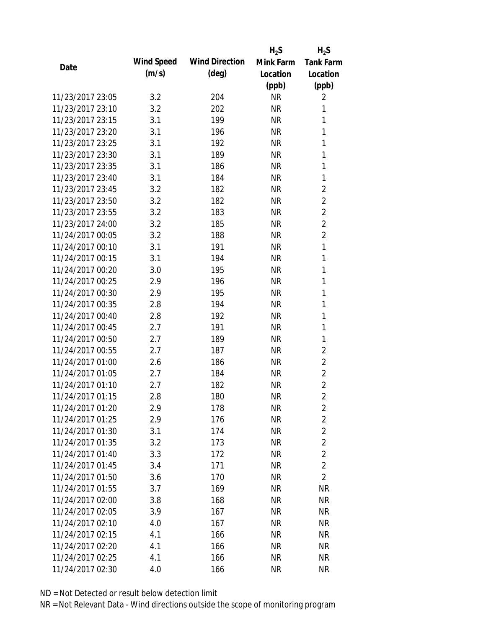|                  |            |                       | $H_2S$    | $H_2S$           |
|------------------|------------|-----------------------|-----------|------------------|
| Date             | Wind Speed | <b>Wind Direction</b> | Mink Farm | <b>Tank Farm</b> |
|                  | (m/s)      | $(\text{deg})$        | Location  | Location         |
|                  |            |                       | (ppb)     | (ppb)            |
| 11/23/2017 23:05 | 3.2        | 204                   | <b>NR</b> | 2                |
| 11/23/2017 23:10 | 3.2        | 202                   | <b>NR</b> | 1                |
| 11/23/2017 23:15 | 3.1        | 199                   | <b>NR</b> | 1                |
| 11/23/2017 23:20 | 3.1        | 196                   | <b>NR</b> | 1                |
| 11/23/2017 23:25 | 3.1        | 192                   | <b>NR</b> | 1                |
| 11/23/2017 23:30 | 3.1        | 189                   | <b>NR</b> | 1                |
| 11/23/2017 23:35 | 3.1        | 186                   | <b>NR</b> | 1                |
| 11/23/2017 23:40 | 3.1        | 184                   | <b>NR</b> | 1                |
| 11/23/2017 23:45 | 3.2        | 182                   | <b>NR</b> | $\overline{2}$   |
| 11/23/2017 23:50 | 3.2        | 182                   | <b>NR</b> | $\overline{2}$   |
| 11/23/2017 23:55 | 3.2        | 183                   | <b>NR</b> | $\overline{2}$   |
| 11/23/2017 24:00 | 3.2        | 185                   | <b>NR</b> | $\overline{2}$   |
| 11/24/2017 00:05 | 3.2        | 188                   | <b>NR</b> | $\overline{2}$   |
| 11/24/2017 00:10 | 3.1        | 191                   | <b>NR</b> | 1                |
| 11/24/2017 00:15 | 3.1        | 194                   | <b>NR</b> | 1                |
| 11/24/2017 00:20 | 3.0        | 195                   | <b>NR</b> | 1                |
| 11/24/2017 00:25 | 2.9        | 196                   | <b>NR</b> | 1                |
| 11/24/2017 00:30 | 2.9        | 195                   | <b>NR</b> | 1                |
| 11/24/2017 00:35 | 2.8        | 194                   | <b>NR</b> | 1                |
| 11/24/2017 00:40 | 2.8        | 192                   | <b>NR</b> | 1                |
| 11/24/2017 00:45 | 2.7        | 191                   | <b>NR</b> | 1                |
| 11/24/2017 00:50 | 2.7        | 189                   | <b>NR</b> | 1                |
| 11/24/2017 00:55 | 2.7        | 187                   | <b>NR</b> | $\overline{2}$   |
| 11/24/2017 01:00 | 2.6        | 186                   | <b>NR</b> | $\overline{2}$   |
| 11/24/2017 01:05 | 2.7        | 184                   | <b>NR</b> | $\overline{2}$   |
| 11/24/2017 01:10 | 2.7        | 182                   | <b>NR</b> | $\overline{2}$   |
| 11/24/2017 01:15 | 2.8        | 180                   | <b>NR</b> | $\overline{2}$   |
| 11/24/2017 01:20 | 2.9        | 178                   | <b>NR</b> | $\overline{2}$   |
| 11/24/2017 01:25 | 2.9        | 176                   | <b>NR</b> | $\overline{2}$   |
| 11/24/2017 01:30 | 3.1        | 174                   | NR        | $\overline{2}$   |
| 11/24/2017 01:35 | 3.2        | 173                   | <b>NR</b> | $\overline{2}$   |
| 11/24/2017 01:40 | 3.3        | 172                   | <b>NR</b> | $\overline{2}$   |
| 11/24/2017 01:45 | 3.4        | 171                   | <b>NR</b> | $\overline{2}$   |
| 11/24/2017 01:50 | 3.6        | 170                   | <b>NR</b> | $\overline{2}$   |
| 11/24/2017 01:55 | 3.7        | 169                   | <b>NR</b> | NR               |
| 11/24/2017 02:00 | 3.8        | 168                   | <b>NR</b> | <b>NR</b>        |
| 11/24/2017 02:05 | 3.9        | 167                   | NR        | <b>NR</b>        |
| 11/24/2017 02:10 | 4.0        | 167                   | NR        | <b>NR</b>        |
| 11/24/2017 02:15 | 4.1        | 166                   | <b>NR</b> | <b>NR</b>        |
| 11/24/2017 02:20 | 4.1        | 166                   | <b>NR</b> | <b>NR</b>        |
| 11/24/2017 02:25 | 4.1        | 166                   | <b>NR</b> | <b>NR</b>        |
| 11/24/2017 02:30 | 4.0        | 166                   | <b>NR</b> | <b>NR</b>        |
|                  |            |                       |           |                  |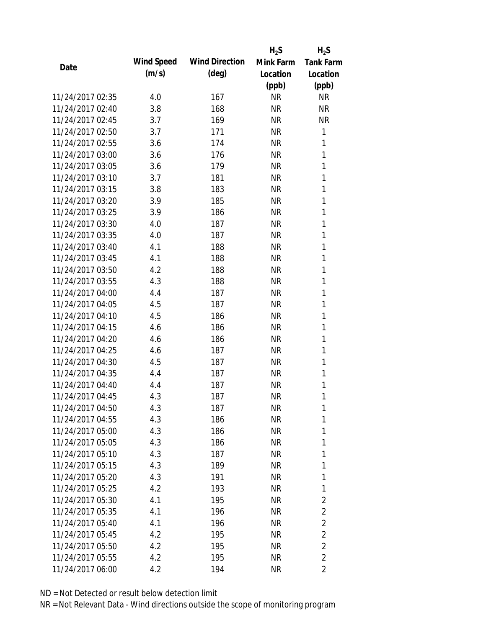|                  |            |                       | $H_2S$    | $H_2S$                  |
|------------------|------------|-----------------------|-----------|-------------------------|
|                  | Wind Speed | <b>Wind Direction</b> | Mink Farm | <b>Tank Farm</b>        |
| Date             | (m/s)      | $(\text{deg})$        | Location  | Location                |
|                  |            |                       | (ppb)     | (ppb)                   |
| 11/24/2017 02:35 | 4.0        | 167                   | <b>NR</b> | <b>NR</b>               |
| 11/24/2017 02:40 | 3.8        | 168                   | <b>NR</b> | <b>NR</b>               |
| 11/24/2017 02:45 | 3.7        | 169                   | <b>NR</b> | <b>NR</b>               |
| 11/24/2017 02:50 | 3.7        | 171                   | <b>NR</b> | 1                       |
| 11/24/2017 02:55 | 3.6        | 174                   | <b>NR</b> | 1                       |
| 11/24/2017 03:00 | 3.6        | 176                   | <b>NR</b> | 1                       |
| 11/24/2017 03:05 | 3.6        | 179                   | <b>NR</b> | 1                       |
| 11/24/2017 03:10 | 3.7        | 181                   | <b>NR</b> | 1                       |
| 11/24/2017 03:15 | 3.8        | 183                   | <b>NR</b> | 1                       |
| 11/24/2017 03:20 | 3.9        | 185                   | <b>NR</b> | 1                       |
| 11/24/2017 03:25 | 3.9        | 186                   | <b>NR</b> | 1                       |
| 11/24/2017 03:30 | 4.0        | 187                   | <b>NR</b> | 1                       |
| 11/24/2017 03:35 | 4.0        | 187                   | <b>NR</b> | 1                       |
| 11/24/2017 03:40 | 4.1        | 188                   | <b>NR</b> | 1                       |
| 11/24/2017 03:45 | 4.1        | 188                   | <b>NR</b> | 1                       |
| 11/24/2017 03:50 | 4.2        | 188                   | <b>NR</b> | 1                       |
| 11/24/2017 03:55 | 4.3        | 188                   | <b>NR</b> | 1                       |
| 11/24/2017 04:00 | 4.4        | 187                   | <b>NR</b> | 1                       |
| 11/24/2017 04:05 | 4.5        | 187                   | <b>NR</b> | 1                       |
| 11/24/2017 04:10 | 4.5        | 186                   | <b>NR</b> | 1                       |
| 11/24/2017 04:15 | 4.6        | 186                   | <b>NR</b> | 1                       |
| 11/24/2017 04:20 | 4.6        | 186                   | <b>NR</b> | 1                       |
| 11/24/2017 04:25 | 4.6        | 187                   | <b>NR</b> | 1                       |
| 11/24/2017 04:30 | 4.5        | 187                   | <b>NR</b> | 1                       |
| 11/24/2017 04:35 | 4.4        | 187                   | <b>NR</b> | 1                       |
| 11/24/2017 04:40 | 4.4        | 187                   | <b>NR</b> | 1                       |
| 11/24/2017 04:45 | 4.3        | 187                   | <b>NR</b> | 1                       |
| 11/24/2017 04:50 | 4.3        | 187                   | NR        | 1                       |
| 11/24/2017 04:55 | 4.3        | 186                   | <b>NR</b> | 1                       |
| 11/24/2017 05:00 | 4.3        | 186                   | NR        | 1                       |
| 11/24/2017 05:05 | 4.3        | 186                   | NR        | 1                       |
| 11/24/2017 05:10 | 4.3        | 187                   | <b>NR</b> | 1                       |
| 11/24/2017 05:15 | 4.3        | 189                   | NR        | 1                       |
| 11/24/2017 05:20 | 4.3        | 191                   | <b>NR</b> | 1                       |
| 11/24/2017 05:25 | 4.2        | 193                   | NR        | 1                       |
| 11/24/2017 05:30 | 4.1        | 195                   | <b>NR</b> | $\overline{2}$          |
| 11/24/2017 05:35 | 4.1        | 196                   | NR        | $\overline{2}$          |
| 11/24/2017 05:40 | 4.1        | 196                   | NR        | $\overline{2}$          |
| 11/24/2017 05:45 | 4.2        | 195                   | NR        | $\overline{2}$          |
| 11/24/2017 05:50 | 4.2        | 195                   | NR        | $\overline{2}$          |
| 11/24/2017 05:55 | 4.2        | 195                   | <b>NR</b> | $\overline{2}$          |
| 11/24/2017 06:00 | 4.2        | 194                   | <b>NR</b> | $\overline{\mathbf{c}}$ |
|                  |            |                       |           |                         |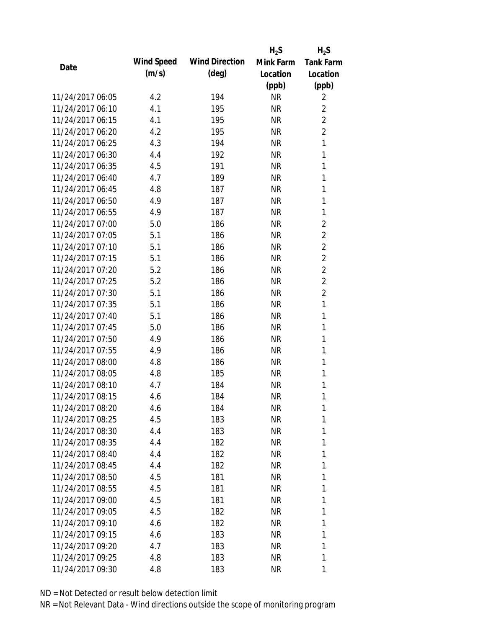|                  |            |                       | $H_2S$    | $H_2S$           |
|------------------|------------|-----------------------|-----------|------------------|
| Date             | Wind Speed | <b>Wind Direction</b> | Mink Farm | <b>Tank Farm</b> |
|                  | (m/s)      | $(\text{deg})$        | Location  | Location         |
|                  |            |                       | (ppb)     | (ppb)            |
| 11/24/2017 06:05 | 4.2        | 194                   | <b>NR</b> | 2                |
| 11/24/2017 06:10 | 4.1        | 195                   | <b>NR</b> | $\overline{2}$   |
| 11/24/2017 06:15 | 4.1        | 195                   | <b>NR</b> | $\overline{2}$   |
| 11/24/2017 06:20 | 4.2        | 195                   | <b>NR</b> | $\overline{2}$   |
| 11/24/2017 06:25 | 4.3        | 194                   | <b>NR</b> | $\mathbf{1}$     |
| 11/24/2017 06:30 | 4.4        | 192                   | <b>NR</b> | 1                |
| 11/24/2017 06:35 | 4.5        | 191                   | <b>NR</b> | 1                |
| 11/24/2017 06:40 | 4.7        | 189                   | <b>NR</b> | 1                |
| 11/24/2017 06:45 | 4.8        | 187                   | <b>NR</b> | 1                |
| 11/24/2017 06:50 | 4.9        | 187                   | <b>NR</b> | 1                |
| 11/24/2017 06:55 | 4.9        | 187                   | <b>NR</b> | 1                |
| 11/24/2017 07:00 | 5.0        | 186                   | <b>NR</b> | $\overline{c}$   |
| 11/24/2017 07:05 | 5.1        | 186                   | <b>NR</b> | $\overline{2}$   |
| 11/24/2017 07:10 | 5.1        | 186                   | <b>NR</b> | $\overline{2}$   |
| 11/24/2017 07:15 | 5.1        | 186                   | <b>NR</b> | $\overline{2}$   |
| 11/24/2017 07:20 | 5.2        | 186                   | <b>NR</b> | $\overline{2}$   |
| 11/24/2017 07:25 | 5.2        | 186                   | <b>NR</b> | $\overline{2}$   |
| 11/24/2017 07:30 | 5.1        | 186                   | <b>NR</b> | $\overline{2}$   |
| 11/24/2017 07:35 | 5.1        | 186                   | <b>NR</b> | $\mathbf{1}$     |
| 11/24/2017 07:40 | 5.1        | 186                   | <b>NR</b> | 1                |
| 11/24/2017 07:45 | 5.0        | 186                   | <b>NR</b> | 1                |
| 11/24/2017 07:50 | 4.9        | 186                   | <b>NR</b> | 1                |
| 11/24/2017 07:55 | 4.9        | 186                   | <b>NR</b> | 1                |
| 11/24/2017 08:00 | 4.8        | 186                   | <b>NR</b> | 1                |
| 11/24/2017 08:05 | 4.8        | 185                   | <b>NR</b> | 1                |
| 11/24/2017 08:10 | 4.7        | 184                   | <b>NR</b> | 1                |
| 11/24/2017 08:15 | 4.6        | 184                   | <b>NR</b> | 1                |
| 11/24/2017 08:20 | 4.6        | 184                   | NR        | 1                |
| 11/24/2017 08:25 | 4.5        | 183                   | <b>NR</b> | 1                |
| 11/24/2017 08:30 | 4.4        | 183                   | NR        | 1                |
| 11/24/2017 08:35 | 4.4        | 182                   | NR        | 1                |
| 11/24/2017 08:40 | 4.4        | 182                   | <b>NR</b> | 1                |
| 11/24/2017 08:45 | 4.4        | 182                   | NR        | 1                |
| 11/24/2017 08:50 | 4.5        | 181                   | <b>NR</b> | 1                |
| 11/24/2017 08:55 | 4.5        | 181                   | NR        | 1                |
| 11/24/2017 09:00 | 4.5        | 181                   | NR        | 1                |
| 11/24/2017 09:05 | 4.5        | 182                   | NR        | 1                |
| 11/24/2017 09:10 | 4.6        | 182                   | NR        | 1                |
| 11/24/2017 09:15 | 4.6        | 183                   | NR        | 1                |
| 11/24/2017 09:20 | 4.7        | 183                   | NR        | 1                |
| 11/24/2017 09:25 | 4.8        | 183                   | <b>NR</b> | 1                |
| 11/24/2017 09:30 | 4.8        | 183                   | <b>NR</b> | 1                |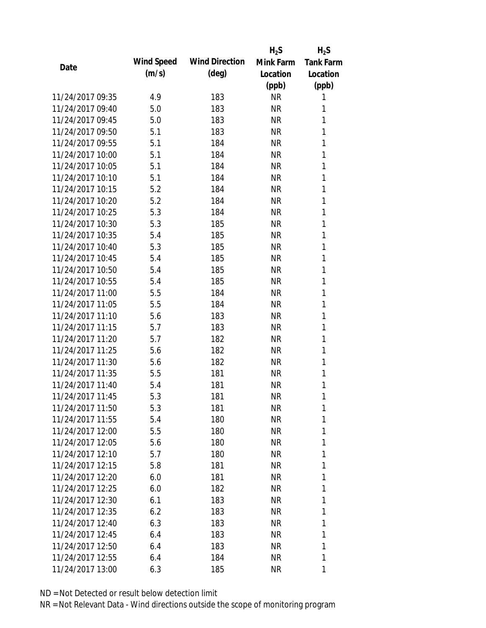|                  |            |                       | $H_2S$    | $H_2S$           |
|------------------|------------|-----------------------|-----------|------------------|
|                  | Wind Speed | <b>Wind Direction</b> | Mink Farm | <b>Tank Farm</b> |
| Date             | (m/s)      | $(\text{deg})$        | Location  | Location         |
|                  |            |                       | (ppb)     | (ppb)            |
| 11/24/2017 09:35 | 4.9        | 183                   | <b>NR</b> | 1                |
| 11/24/2017 09:40 | 5.0        | 183                   | <b>NR</b> | 1                |
| 11/24/2017 09:45 | 5.0        | 183                   | <b>NR</b> | 1                |
| 11/24/2017 09:50 | 5.1        | 183                   | <b>NR</b> | 1                |
| 11/24/2017 09:55 | 5.1        | 184                   | <b>NR</b> | 1                |
| 11/24/2017 10:00 | 5.1        | 184                   | <b>NR</b> | 1                |
| 11/24/2017 10:05 | 5.1        | 184                   | <b>NR</b> | 1                |
| 11/24/2017 10:10 | 5.1        | 184                   | <b>NR</b> | 1                |
| 11/24/2017 10:15 | 5.2        | 184                   | <b>NR</b> | 1                |
| 11/24/2017 10:20 | 5.2        | 184                   | <b>NR</b> | 1                |
| 11/24/2017 10:25 | 5.3        | 184                   | <b>NR</b> | 1                |
| 11/24/2017 10:30 | 5.3        | 185                   | <b>NR</b> | 1                |
| 11/24/2017 10:35 | 5.4        | 185                   | <b>NR</b> | 1                |
| 11/24/2017 10:40 | 5.3        | 185                   | <b>NR</b> | 1                |
| 11/24/2017 10:45 | 5.4        | 185                   | <b>NR</b> | 1                |
| 11/24/2017 10:50 | 5.4        | 185                   | <b>NR</b> | 1                |
| 11/24/2017 10:55 | 5.4        | 185                   | <b>NR</b> | 1                |
| 11/24/2017 11:00 | 5.5        | 184                   | <b>NR</b> | 1                |
| 11/24/2017 11:05 | 5.5        | 184                   | <b>NR</b> | 1                |
| 11/24/2017 11:10 | 5.6        | 183                   | <b>NR</b> | 1                |
| 11/24/2017 11:15 | 5.7        | 183                   | <b>NR</b> | 1                |
| 11/24/2017 11:20 | 5.7        | 182                   | <b>NR</b> | 1                |
| 11/24/2017 11:25 | 5.6        | 182                   | <b>NR</b> | 1                |
| 11/24/2017 11:30 | 5.6        | 182                   | <b>NR</b> | 1                |
| 11/24/2017 11:35 | 5.5        | 181                   | <b>NR</b> | 1                |
| 11/24/2017 11:40 | 5.4        | 181                   | <b>NR</b> | 1                |
| 11/24/2017 11:45 | 5.3        | 181                   | <b>NR</b> | 1                |
| 11/24/2017 11:50 | 5.3        | 181                   | <b>NR</b> | 1                |
| 11/24/2017 11:55 | 5.4        | 180                   | <b>NR</b> | 1                |
| 11/24/2017 12:00 | 5.5        | 180                   | NR        | 1                |
| 11/24/2017 12:05 | 5.6        | 180                   | NR        | 1                |
| 11/24/2017 12:10 | 5.7        | 180                   | <b>NR</b> | 1                |
| 11/24/2017 12:15 | 5.8        | 181                   | NR        | 1                |
| 11/24/2017 12:20 | 6.0        | 181                   | <b>NR</b> | 1                |
| 11/24/2017 12:25 | 6.0        | 182                   | <b>NR</b> | 1                |
| 11/24/2017 12:30 | 6.1        | 183                   | NR        | 1                |
| 11/24/2017 12:35 | 6.2        | 183                   | NR        | 1                |
| 11/24/2017 12:40 | 6.3        | 183                   | NR        | 1                |
| 11/24/2017 12:45 | 6.4        | 183                   | <b>NR</b> | 1                |
| 11/24/2017 12:50 | 6.4        | 183                   | <b>NR</b> | 1                |
| 11/24/2017 12:55 | 6.4        | 184                   | <b>NR</b> | 1                |
| 11/24/2017 13:00 | 6.3        | 185                   | <b>NR</b> | 1                |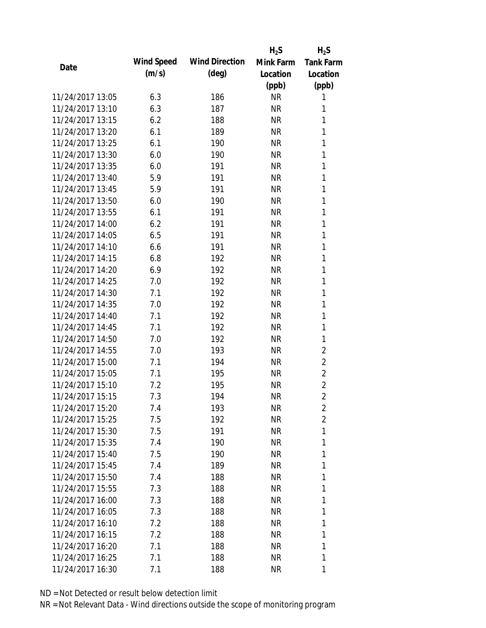|                  |            |                       | $H_2S$    | $H_2S$           |
|------------------|------------|-----------------------|-----------|------------------|
|                  | Wind Speed | <b>Wind Direction</b> | Mink Farm | <b>Tank Farm</b> |
| Date             | (m/s)      | $(\text{deg})$        | Location  | Location         |
|                  |            |                       | (ppb)     | (ppb)            |
| 11/24/2017 13:05 | 6.3        | 186                   | <b>NR</b> | 1                |
| 11/24/2017 13:10 | 6.3        | 187                   | <b>NR</b> | 1                |
| 11/24/2017 13:15 | 6.2        | 188                   | <b>NR</b> | 1                |
| 11/24/2017 13:20 | 6.1        | 189                   | <b>NR</b> | 1                |
| 11/24/2017 13:25 | 6.1        | 190                   | <b>NR</b> | 1                |
| 11/24/2017 13:30 | 6.0        | 190                   | <b>NR</b> | 1                |
| 11/24/2017 13:35 | 6.0        | 191                   | <b>NR</b> | 1                |
| 11/24/2017 13:40 | 5.9        | 191                   | <b>NR</b> | 1                |
| 11/24/2017 13:45 | 5.9        | 191                   | <b>NR</b> | 1                |
| 11/24/2017 13:50 | 6.0        | 190                   | <b>NR</b> | 1                |
| 11/24/2017 13:55 | 6.1        | 191                   | <b>NR</b> | 1                |
| 11/24/2017 14:00 | 6.2        | 191                   | <b>NR</b> | 1                |
| 11/24/2017 14:05 | 6.5        | 191                   | <b>NR</b> | 1                |
| 11/24/2017 14:10 | 6.6        | 191                   | <b>NR</b> | 1                |
| 11/24/2017 14:15 | 6.8        | 192                   | <b>NR</b> | 1                |
| 11/24/2017 14:20 | 6.9        | 192                   | <b>NR</b> | 1                |
| 11/24/2017 14:25 | 7.0        | 192                   | <b>NR</b> | 1                |
| 11/24/2017 14:30 | 7.1        | 192                   | <b>NR</b> | 1                |
| 11/24/2017 14:35 | 7.0        | 192                   | <b>NR</b> | 1                |
| 11/24/2017 14:40 | 7.1        | 192                   | <b>NR</b> | 1                |
| 11/24/2017 14:45 | 7.1        | 192                   | <b>NR</b> | 1                |
| 11/24/2017 14:50 | 7.0        | 192                   | <b>NR</b> | 1                |
| 11/24/2017 14:55 | 7.0        | 193                   | <b>NR</b> | $\overline{2}$   |
| 11/24/2017 15:00 | 7.1        | 194                   | <b>NR</b> | $\overline{2}$   |
| 11/24/2017 15:05 | 7.1        | 195                   | <b>NR</b> | $\overline{2}$   |
| 11/24/2017 15:10 | 7.2        | 195                   | <b>NR</b> | $\overline{2}$   |
| 11/24/2017 15:15 | 7.3        | 194                   | <b>NR</b> | $\overline{2}$   |
| 11/24/2017 15:20 | 7.4        | 193                   | <b>NR</b> | 2                |
| 11/24/2017 15:25 | 7.5        | 192                   | <b>NR</b> | $\overline{c}$   |
| 11/24/2017 15:30 | 7.5        | 191                   | <b>NR</b> | 1                |
| 11/24/2017 15:35 | 7.4        | 190                   | <b>NR</b> | 1                |
| 11/24/2017 15:40 | 7.5        | 190                   | <b>NR</b> | 1                |
| 11/24/2017 15:45 | 7.4        | 189                   | <b>NR</b> | 1                |
| 11/24/2017 15:50 | 7.4        | 188                   | <b>NR</b> | 1                |
| 11/24/2017 15:55 | 7.3        | 188                   | <b>NR</b> | 1                |
| 11/24/2017 16:00 | 7.3        | 188                   | NR        | 1                |
| 11/24/2017 16:05 | 7.3        | 188                   | NR        | 1                |
| 11/24/2017 16:10 | 7.2        | 188                   | NR        | 1                |
| 11/24/2017 16:15 | 7.2        | 188                   | <b>NR</b> | 1                |
| 11/24/2017 16:20 | 7.1        | 188                   | <b>NR</b> | 1                |
| 11/24/2017 16:25 | 7.1        | 188                   | <b>NR</b> | 1                |
| 11/24/2017 16:30 | 7.1        | 188                   | <b>NR</b> | 1                |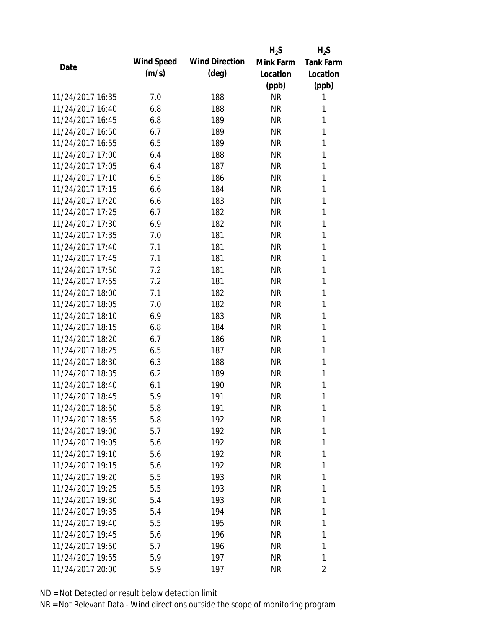|                  |            |                       | $H_2S$    | $H_2S$           |
|------------------|------------|-----------------------|-----------|------------------|
|                  | Wind Speed | <b>Wind Direction</b> | Mink Farm | <b>Tank Farm</b> |
| Date             | (m/s)      | $(\text{deg})$        | Location  | Location         |
|                  |            |                       | (ppb)     | (ppb)            |
| 11/24/2017 16:35 | 7.0        | 188                   | <b>NR</b> | 1                |
| 11/24/2017 16:40 | 6.8        | 188                   | <b>NR</b> | 1                |
| 11/24/2017 16:45 | 6.8        | 189                   | <b>NR</b> | 1                |
| 11/24/2017 16:50 | 6.7        | 189                   | <b>NR</b> | 1                |
| 11/24/2017 16:55 | 6.5        | 189                   | <b>NR</b> | 1                |
| 11/24/2017 17:00 | 6.4        | 188                   | <b>NR</b> | 1                |
| 11/24/2017 17:05 | 6.4        | 187                   | <b>NR</b> | 1                |
| 11/24/2017 17:10 | 6.5        | 186                   | <b>NR</b> | 1                |
| 11/24/2017 17:15 | 6.6        | 184                   | <b>NR</b> | 1                |
| 11/24/2017 17:20 | 6.6        | 183                   | <b>NR</b> | 1                |
| 11/24/2017 17:25 | 6.7        | 182                   | <b>NR</b> | 1                |
| 11/24/2017 17:30 | 6.9        | 182                   | <b>NR</b> | 1                |
| 11/24/2017 17:35 | 7.0        | 181                   | <b>NR</b> | 1                |
| 11/24/2017 17:40 | 7.1        | 181                   | <b>NR</b> | 1                |
| 11/24/2017 17:45 | 7.1        | 181                   | <b>NR</b> | 1                |
| 11/24/2017 17:50 | 7.2        | 181                   | <b>NR</b> | 1                |
| 11/24/2017 17:55 | 7.2        | 181                   | <b>NR</b> | 1                |
| 11/24/2017 18:00 | 7.1        | 182                   | <b>NR</b> | 1                |
| 11/24/2017 18:05 | 7.0        | 182                   | <b>NR</b> | 1                |
| 11/24/2017 18:10 | 6.9        | 183                   | <b>NR</b> | 1                |
| 11/24/2017 18:15 | 6.8        | 184                   | <b>NR</b> | 1                |
| 11/24/2017 18:20 | 6.7        | 186                   | <b>NR</b> | 1                |
| 11/24/2017 18:25 | 6.5        | 187                   | <b>NR</b> | 1                |
| 11/24/2017 18:30 | 6.3        | 188                   | <b>NR</b> | 1                |
| 11/24/2017 18:35 | 6.2        | 189                   | <b>NR</b> | 1                |
| 11/24/2017 18:40 | 6.1        | 190                   | <b>NR</b> | 1                |
| 11/24/2017 18:45 | 5.9        | 191                   | <b>NR</b> | 1                |
| 11/24/2017 18:50 | 5.8        | 191                   | <b>NR</b> | 1                |
| 11/24/2017 18:55 | 5.8        | 192                   | <b>NR</b> | 1                |
| 11/24/2017 19:00 | 5.7        | 192                   | <b>NR</b> | 1                |
| 11/24/2017 19:05 | 5.6        | 192                   | NR        | 1                |
| 11/24/2017 19:10 | 5.6        | 192                   | <b>NR</b> | 1                |
| 11/24/2017 19:15 | 5.6        | 192                   | <b>NR</b> | 1                |
| 11/24/2017 19:20 | 5.5        | 193                   | <b>NR</b> | 1                |
| 11/24/2017 19:25 | 5.5        | 193                   | <b>NR</b> | 1                |
| 11/24/2017 19:30 | 5.4        | 193                   | <b>NR</b> | 1                |
| 11/24/2017 19:35 | 5.4        | 194                   | NR        | 1                |
| 11/24/2017 19:40 | 5.5        | 195                   | NR        | 1                |
| 11/24/2017 19:45 | 5.6        | 196                   | <b>NR</b> | 1                |
| 11/24/2017 19:50 | 5.7        | 196                   | <b>NR</b> | 1                |
| 11/24/2017 19:55 | 5.9        | 197                   | <b>NR</b> | 1                |
| 11/24/2017 20:00 | 5.9        | 197                   | <b>NR</b> | 2                |
|                  |            |                       |           |                  |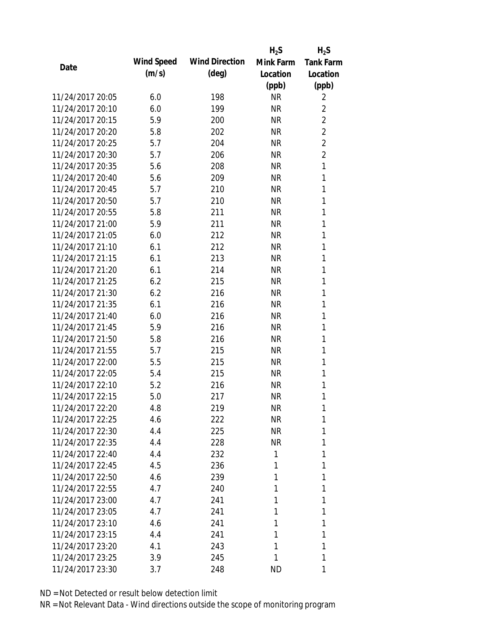|                  |            |                       | $H_2S$    | $H_2S$           |
|------------------|------------|-----------------------|-----------|------------------|
|                  | Wind Speed | <b>Wind Direction</b> | Mink Farm | <b>Tank Farm</b> |
| Date             | (m/s)      | $(\text{deg})$        | Location  | Location         |
|                  |            |                       | (ppb)     | (ppb)            |
| 11/24/2017 20:05 | 6.0        | 198                   | <b>NR</b> | 2                |
| 11/24/2017 20:10 | 6.0        | 199                   | <b>NR</b> | $\overline{2}$   |
| 11/24/2017 20:15 | 5.9        | 200                   | <b>NR</b> | $\overline{2}$   |
| 11/24/2017 20:20 | 5.8        | 202                   | <b>NR</b> | $\overline{2}$   |
| 11/24/2017 20:25 | 5.7        | 204                   | <b>NR</b> | $\overline{2}$   |
| 11/24/2017 20:30 | 5.7        | 206                   | <b>NR</b> | $\overline{2}$   |
| 11/24/2017 20:35 | 5.6        | 208                   | <b>NR</b> | 1                |
| 11/24/2017 20:40 | 5.6        | 209                   | <b>NR</b> | 1                |
| 11/24/2017 20:45 | 5.7        | 210                   | <b>NR</b> | 1                |
| 11/24/2017 20:50 | 5.7        | 210                   | <b>NR</b> | 1                |
| 11/24/2017 20:55 | 5.8        | 211                   | <b>NR</b> | 1                |
| 11/24/2017 21:00 | 5.9        | 211                   | <b>NR</b> | 1                |
| 11/24/2017 21:05 | 6.0        | 212                   | <b>NR</b> | 1                |
| 11/24/2017 21:10 | 6.1        | 212                   | <b>NR</b> | 1                |
| 11/24/2017 21:15 | 6.1        | 213                   | <b>NR</b> | 1                |
| 11/24/2017 21:20 | 6.1        | 214                   | <b>NR</b> | 1                |
| 11/24/2017 21:25 | 6.2        | 215                   | <b>NR</b> | 1                |
| 11/24/2017 21:30 | 6.2        | 216                   | <b>NR</b> | 1                |
| 11/24/2017 21:35 | 6.1        | 216                   | <b>NR</b> | 1                |
| 11/24/2017 21:40 | 6.0        | 216                   | <b>NR</b> | 1                |
| 11/24/2017 21:45 | 5.9        | 216                   | <b>NR</b> | 1                |
| 11/24/2017 21:50 | 5.8        | 216                   | <b>NR</b> | 1                |
| 11/24/2017 21:55 | 5.7        | 215                   | <b>NR</b> | 1                |
| 11/24/2017 22:00 | 5.5        | 215                   | <b>NR</b> | 1                |
| 11/24/2017 22:05 | 5.4        | 215                   | <b>NR</b> | 1                |
| 11/24/2017 22:10 | 5.2        | 216                   | <b>NR</b> | 1                |
| 11/24/2017 22:15 | 5.0        | 217                   | <b>NR</b> | 1                |
| 11/24/2017 22:20 | 4.8        | 219                   | <b>NR</b> | 1                |
| 11/24/2017 22:25 | 4.6        | 222                   | <b>NR</b> | 1                |
| 11/24/2017 22:30 | 4.4        | 225                   | NR        | 1                |
| 11/24/2017 22:35 | 4.4        | 228                   | <b>NR</b> | 1                |
| 11/24/2017 22:40 | 4.4        | 232                   | 1         | 1                |
| 11/24/2017 22:45 | 4.5        | 236                   | 1         | 1                |
| 11/24/2017 22:50 | 4.6        | 239                   | 1         | 1                |
| 11/24/2017 22:55 | 4.7        | 240                   | 1         | 1                |
| 11/24/2017 23:00 | 4.7        | 241                   | 1         | 1                |
| 11/24/2017 23:05 | 4.7        | 241                   | 1         | 1                |
| 11/24/2017 23:10 | 4.6        | 241                   | 1         | 1                |
| 11/24/2017 23:15 | 4.4        | 241                   | 1         | 1                |
| 11/24/2017 23:20 | 4.1        | 243                   | 1         | 1                |
| 11/24/2017 23:25 | 3.9        | 245                   | 1         | 1                |
| 11/24/2017 23:30 | 3.7        | 248                   | <b>ND</b> | 1                |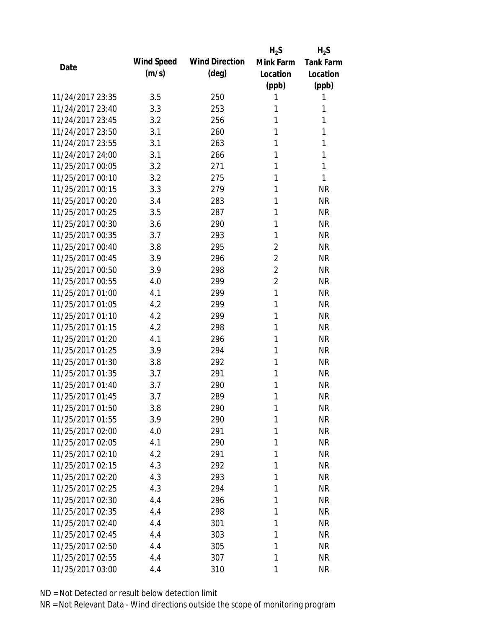|                  |            |                       | $H_2S$         | $H_2S$           |
|------------------|------------|-----------------------|----------------|------------------|
| Date             | Wind Speed | <b>Wind Direction</b> | Mink Farm      | <b>Tank Farm</b> |
|                  | (m/s)      | $(\text{deg})$        | Location       | Location         |
|                  |            |                       | (ppb)          | (ppb)            |
| 11/24/2017 23:35 | 3.5        | 250                   | 1              | 1                |
| 11/24/2017 23:40 | 3.3        | 253                   | 1              | 1                |
| 11/24/2017 23:45 | 3.2        | 256                   | 1              | 1                |
| 11/24/2017 23:50 | 3.1        | 260                   | 1              | 1                |
| 11/24/2017 23:55 | 3.1        | 263                   | 1              | 1                |
| 11/24/2017 24:00 | 3.1        | 266                   | 1              | 1                |
| 11/25/2017 00:05 | 3.2        | 271                   | 1              | 1                |
| 11/25/2017 00:10 | 3.2        | 275                   | 1              | 1                |
| 11/25/2017 00:15 | 3.3        | 279                   | 1              | <b>NR</b>        |
| 11/25/2017 00:20 | 3.4        | 283                   | 1              | <b>NR</b>        |
| 11/25/2017 00:25 | 3.5        | 287                   | 1              | <b>NR</b>        |
| 11/25/2017 00:30 | 3.6        | 290                   | 1              | <b>NR</b>        |
| 11/25/2017 00:35 | 3.7        | 293                   | 1              | <b>NR</b>        |
| 11/25/2017 00:40 | 3.8        | 295                   | $\overline{2}$ | <b>NR</b>        |
| 11/25/2017 00:45 | 3.9        | 296                   | $\overline{2}$ | <b>NR</b>        |
| 11/25/2017 00:50 | 3.9        | 298                   | $\overline{2}$ | <b>NR</b>        |
| 11/25/2017 00:55 | 4.0        | 299                   | $\overline{2}$ | <b>NR</b>        |
| 11/25/2017 01:00 | 4.1        | 299                   | 1              | <b>NR</b>        |
| 11/25/2017 01:05 | 4.2        | 299                   | 1              | <b>NR</b>        |
| 11/25/2017 01:10 | 4.2        | 299                   | 1              | <b>NR</b>        |
| 11/25/2017 01:15 | 4.2        | 298                   | 1              | <b>NR</b>        |
| 11/25/2017 01:20 | 4.1        | 296                   | 1              | <b>NR</b>        |
| 11/25/2017 01:25 | 3.9        | 294                   | 1              | <b>NR</b>        |
| 11/25/2017 01:30 | 3.8        | 292                   | 1              | <b>NR</b>        |
| 11/25/2017 01:35 | 3.7        | 291                   | 1              | <b>NR</b>        |
| 11/25/2017 01:40 | 3.7        | 290                   | 1              | <b>NR</b>        |
| 11/25/2017 01:45 | 3.7        | 289                   | 1              | <b>NR</b>        |
| 11/25/2017 01:50 | 3.8        | 290                   | 1              | NR               |
| 11/25/2017 01:55 | 3.9        | 290                   | 1              | <b>NR</b>        |
| 11/25/2017 02:00 | 4.0        | 291                   | 1              | <b>NR</b>        |
| 11/25/2017 02:05 | 4.1        | 290                   | 1              | <b>NR</b>        |
| 11/25/2017 02:10 | 4.2        | 291                   | 1              | <b>NR</b>        |
| 11/25/2017 02:15 | 4.3        | 292                   | 1              | <b>NR</b>        |
| 11/25/2017 02:20 | 4.3        | 293                   | 1              | <b>NR</b>        |
| 11/25/2017 02:25 | 4.3        | 294                   | 1              | <b>NR</b>        |
| 11/25/2017 02:30 | 4.4        | 296                   | 1              | <b>NR</b>        |
| 11/25/2017 02:35 | 4.4        | 298                   | 1              | <b>NR</b>        |
| 11/25/2017 02:40 | 4.4        | 301                   | 1              | <b>NR</b>        |
| 11/25/2017 02:45 | 4.4        | 303                   | 1              | <b>NR</b>        |
| 11/25/2017 02:50 | 4.4        | 305                   | 1              | <b>NR</b>        |
| 11/25/2017 02:55 | 4.4        | 307                   | 1              | <b>NR</b>        |
| 11/25/2017 03:00 | 4.4        | 310                   | 1              | <b>NR</b>        |
|                  |            |                       |                |                  |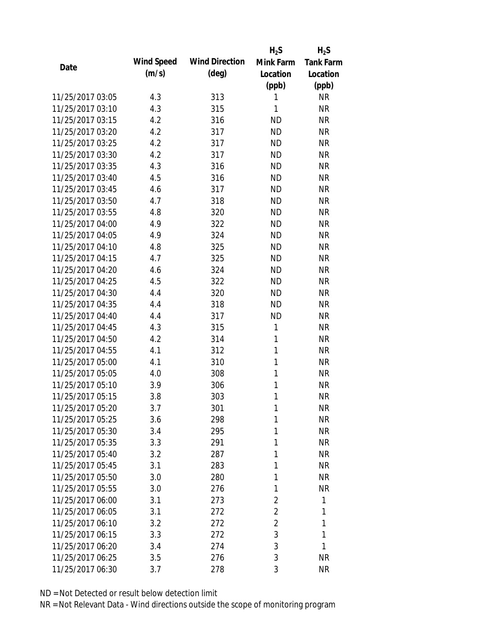|                  |            |                       | $H_2S$         | $H_2S$           |
|------------------|------------|-----------------------|----------------|------------------|
| Date             | Wind Speed | <b>Wind Direction</b> | Mink Farm      | <b>Tank Farm</b> |
|                  | (m/s)      | $(\text{deg})$        | Location       | Location         |
|                  |            |                       | (ppb)          | (ppb)            |
| 11/25/2017 03:05 | 4.3        | 313                   | 1              | <b>NR</b>        |
| 11/25/2017 03:10 | 4.3        | 315                   | 1              | <b>NR</b>        |
| 11/25/2017 03:15 | 4.2        | 316                   | <b>ND</b>      | <b>NR</b>        |
| 11/25/2017 03:20 | 4.2        | 317                   | <b>ND</b>      | <b>NR</b>        |
| 11/25/2017 03:25 | 4.2        | 317                   | <b>ND</b>      | <b>NR</b>        |
| 11/25/2017 03:30 | 4.2        | 317                   | <b>ND</b>      | <b>NR</b>        |
| 11/25/2017 03:35 | 4.3        | 316                   | <b>ND</b>      | <b>NR</b>        |
| 11/25/2017 03:40 | 4.5        | 316                   | <b>ND</b>      | <b>NR</b>        |
| 11/25/2017 03:45 | 4.6        | 317                   | <b>ND</b>      | <b>NR</b>        |
| 11/25/2017 03:50 | 4.7        | 318                   | <b>ND</b>      | <b>NR</b>        |
| 11/25/2017 03:55 | 4.8        | 320                   | <b>ND</b>      | <b>NR</b>        |
| 11/25/2017 04:00 | 4.9        | 322                   | <b>ND</b>      | <b>NR</b>        |
| 11/25/2017 04:05 | 4.9        | 324                   | <b>ND</b>      | <b>NR</b>        |
| 11/25/2017 04:10 | 4.8        | 325                   | <b>ND</b>      | <b>NR</b>        |
| 11/25/2017 04:15 | 4.7        | 325                   | <b>ND</b>      | <b>NR</b>        |
| 11/25/2017 04:20 | 4.6        | 324                   | <b>ND</b>      | <b>NR</b>        |
| 11/25/2017 04:25 | 4.5        | 322                   | <b>ND</b>      | <b>NR</b>        |
| 11/25/2017 04:30 | 4.4        | 320                   | <b>ND</b>      | <b>NR</b>        |
| 11/25/2017 04:35 | 4.4        | 318                   | <b>ND</b>      | <b>NR</b>        |
| 11/25/2017 04:40 | 4.4        | 317                   | <b>ND</b>      | <b>NR</b>        |
| 11/25/2017 04:45 | 4.3        | 315                   | 1              | <b>NR</b>        |
| 11/25/2017 04:50 | 4.2        | 314                   | 1              | <b>NR</b>        |
| 11/25/2017 04:55 | 4.1        | 312                   | $\mathbf{1}$   | <b>NR</b>        |
| 11/25/2017 05:00 | 4.1        | 310                   | 1              | <b>NR</b>        |
| 11/25/2017 05:05 | 4.0        | 308                   | 1              | <b>NR</b>        |
| 11/25/2017 05:10 | 3.9        | 306                   | 1              | <b>NR</b>        |
| 11/25/2017 05:15 | 3.8        | 303                   | 1              | <b>NR</b>        |
| 11/25/2017 05:20 | 3.7        | 301                   | 1              | <b>NR</b>        |
| 11/25/2017 05:25 | 3.6        | 298                   | 1              | <b>NR</b>        |
| 11/25/2017 05:30 | 3.4        | 295                   | 1              | <b>NR</b>        |
| 11/25/2017 05:35 | 3.3        | 291                   | 1              | <b>NR</b>        |
| 11/25/2017 05:40 | 3.2        | 287                   | 1              | <b>NR</b>        |
| 11/25/2017 05:45 | 3.1        | 283                   | 1              | <b>NR</b>        |
| 11/25/2017 05:50 | 3.0        | 280                   | 1              | <b>NR</b>        |
| 11/25/2017 05:55 | 3.0        | 276                   | 1              | <b>NR</b>        |
| 11/25/2017 06:00 | 3.1        | 273                   | $\overline{2}$ | 1                |
| 11/25/2017 06:05 | 3.1        | 272                   | $\overline{2}$ | 1                |
| 11/25/2017 06:10 | 3.2        | 272                   | $\overline{2}$ | 1                |
| 11/25/2017 06:15 | 3.3        | 272                   | 3              | 1                |
| 11/25/2017 06:20 | 3.4        | 274                   | 3              | 1                |
| 11/25/2017 06:25 | 3.5        | 276                   | 3              | <b>NR</b>        |
| 11/25/2017 06:30 | 3.7        | 278                   | 3              | <b>NR</b>        |
|                  |            |                       |                |                  |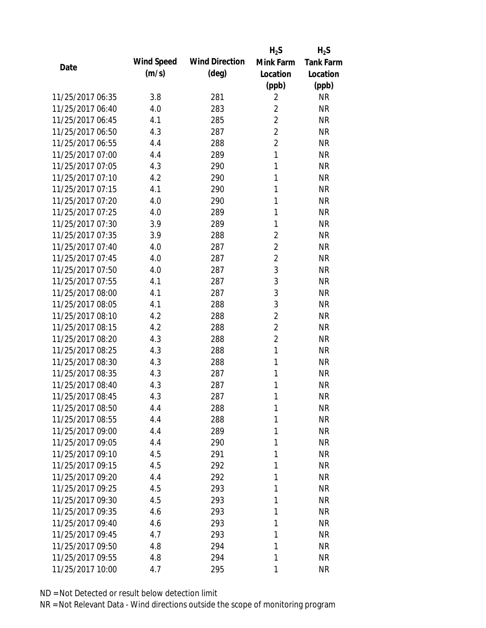|                  |            |                       | $H_2S$         | $H_2S$           |
|------------------|------------|-----------------------|----------------|------------------|
| Date             | Wind Speed | <b>Wind Direction</b> | Mink Farm      | <b>Tank Farm</b> |
|                  | (m/s)      | $(\text{deg})$        | Location       | Location         |
|                  |            |                       | (ppb)          | (ppb)            |
| 11/25/2017 06:35 | 3.8        | 281                   | $\overline{2}$ | <b>NR</b>        |
| 11/25/2017 06:40 | 4.0        | 283                   | $\overline{2}$ | <b>NR</b>        |
| 11/25/2017 06:45 | 4.1        | 285                   | $\overline{2}$ | <b>NR</b>        |
| 11/25/2017 06:50 | 4.3        | 287                   | $\overline{2}$ | <b>NR</b>        |
| 11/25/2017 06:55 | 4.4        | 288                   | $\overline{2}$ | <b>NR</b>        |
| 11/25/2017 07:00 | 4.4        | 289                   | 1              | <b>NR</b>        |
| 11/25/2017 07:05 | 4.3        | 290                   | 1              | <b>NR</b>        |
| 11/25/2017 07:10 | 4.2        | 290                   | 1              | <b>NR</b>        |
| 11/25/2017 07:15 | 4.1        | 290                   | 1              | <b>NR</b>        |
| 11/25/2017 07:20 | 4.0        | 290                   | 1              | <b>NR</b>        |
| 11/25/2017 07:25 | 4.0        | 289                   | 1              | <b>NR</b>        |
| 11/25/2017 07:30 | 3.9        | 289                   | 1              | <b>NR</b>        |
| 11/25/2017 07:35 | 3.9        | 288                   | $\overline{2}$ | <b>NR</b>        |
| 11/25/2017 07:40 | 4.0        | 287                   | $\overline{2}$ | <b>NR</b>        |
| 11/25/2017 07:45 | 4.0        | 287                   | $\overline{2}$ | <b>NR</b>        |
| 11/25/2017 07:50 | 4.0        | 287                   | 3              | <b>NR</b>        |
| 11/25/2017 07:55 | 4.1        | 287                   | 3              | <b>NR</b>        |
| 11/25/2017 08:00 | 4.1        | 287                   | 3              | <b>NR</b>        |
| 11/25/2017 08:05 | 4.1        | 288                   | 3              | <b>NR</b>        |
| 11/25/2017 08:10 | 4.2        | 288                   | $\overline{2}$ | <b>NR</b>        |
| 11/25/2017 08:15 | 4.2        | 288                   | $\overline{2}$ | <b>NR</b>        |
| 11/25/2017 08:20 | 4.3        | 288                   | $\overline{2}$ | <b>NR</b>        |
| 11/25/2017 08:25 | 4.3        | 288                   | 1              | <b>NR</b>        |
| 11/25/2017 08:30 | 4.3        | 288                   | 1              | <b>NR</b>        |
| 11/25/2017 08:35 | 4.3        | 287                   | 1              | <b>NR</b>        |
| 11/25/2017 08:40 | 4.3        | 287                   | 1              | <b>NR</b>        |
| 11/25/2017 08:45 | 4.3        | 287                   | 1              | <b>NR</b>        |
| 11/25/2017 08:50 | 4.4        | 288                   | 1              | <b>NR</b>        |
| 11/25/2017 08:55 | 4.4        | 288                   | 1              | <b>NR</b>        |
| 11/25/2017 09:00 | 4.4        | 289                   | 1              | <b>NR</b>        |
| 11/25/2017 09:05 | 4.4        | 290                   | 1              | <b>NR</b>        |
| 11/25/2017 09:10 | 4.5        | 291                   | 1              | <b>NR</b>        |
| 11/25/2017 09:15 | 4.5        | 292                   | 1              | <b>NR</b>        |
| 11/25/2017 09:20 | 4.4        | 292                   | 1              | <b>NR</b>        |
| 11/25/2017 09:25 | 4.5        | 293                   | 1              | <b>NR</b>        |
| 11/25/2017 09:30 | 4.5        | 293                   | 1              | <b>NR</b>        |
| 11/25/2017 09:35 | 4.6        | 293                   | 1              | <b>NR</b>        |
| 11/25/2017 09:40 | 4.6        | 293                   | 1              | <b>NR</b>        |
| 11/25/2017 09:45 | 4.7        | 293                   | 1              | <b>NR</b>        |
| 11/25/2017 09:50 | 4.8        | 294                   | 1              | <b>NR</b>        |
| 11/25/2017 09:55 | 4.8        | 294                   | 1              | <b>NR</b>        |
| 11/25/2017 10:00 | 4.7        | 295                   | 1              | <b>NR</b>        |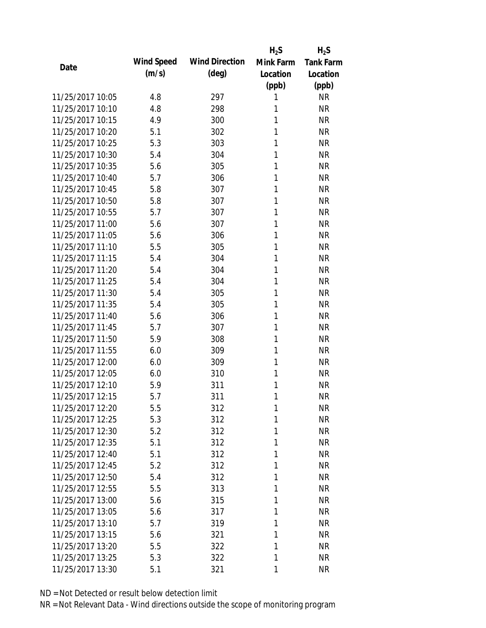|                  |            |                       | $H_2S$    | $H_2S$           |
|------------------|------------|-----------------------|-----------|------------------|
| Date             | Wind Speed | <b>Wind Direction</b> | Mink Farm | <b>Tank Farm</b> |
|                  | (m/s)      | $(\text{deg})$        | Location  | Location         |
|                  |            |                       | (ppb)     | (ppb)            |
| 11/25/2017 10:05 | 4.8        | 297                   | 1         | <b>NR</b>        |
| 11/25/2017 10:10 | 4.8        | 298                   | 1         | <b>NR</b>        |
| 11/25/2017 10:15 | 4.9        | 300                   | 1         | <b>NR</b>        |
| 11/25/2017 10:20 | 5.1        | 302                   | 1         | <b>NR</b>        |
| 11/25/2017 10:25 | 5.3        | 303                   | 1         | <b>NR</b>        |
| 11/25/2017 10:30 | 5.4        | 304                   | 1         | <b>NR</b>        |
| 11/25/2017 10:35 | 5.6        | 305                   | 1         | <b>NR</b>        |
| 11/25/2017 10:40 | 5.7        | 306                   | 1         | <b>NR</b>        |
| 11/25/2017 10:45 | 5.8        | 307                   | 1         | <b>NR</b>        |
| 11/25/2017 10:50 | 5.8        | 307                   | 1         | <b>NR</b>        |
| 11/25/2017 10:55 | 5.7        | 307                   | 1         | <b>NR</b>        |
| 11/25/2017 11:00 | 5.6        | 307                   | 1         | <b>NR</b>        |
| 11/25/2017 11:05 | 5.6        | 306                   | 1         | <b>NR</b>        |
| 11/25/2017 11:10 | 5.5        | 305                   | 1         | <b>NR</b>        |
| 11/25/2017 11:15 | 5.4        | 304                   | 1         | <b>NR</b>        |
| 11/25/2017 11:20 | 5.4        | 304                   | 1         | <b>NR</b>        |
| 11/25/2017 11:25 | 5.4        | 304                   | 1         | <b>NR</b>        |
| 11/25/2017 11:30 | 5.4        | 305                   | 1         | <b>NR</b>        |
| 11/25/2017 11:35 | 5.4        | 305                   | 1         | <b>NR</b>        |
| 11/25/2017 11:40 | 5.6        | 306                   | 1         | <b>NR</b>        |
| 11/25/2017 11:45 | 5.7        | 307                   | 1         | <b>NR</b>        |
| 11/25/2017 11:50 | 5.9        | 308                   | 1         | <b>NR</b>        |
| 11/25/2017 11:55 | 6.0        | 309                   | 1         | <b>NR</b>        |
| 11/25/2017 12:00 | 6.0        | 309                   | 1         | <b>NR</b>        |
| 11/25/2017 12:05 | 6.0        | 310                   | 1         | <b>NR</b>        |
| 11/25/2017 12:10 | 5.9        | 311                   | 1         | <b>NR</b>        |
| 11/25/2017 12:15 | 5.7        | 311                   | 1         | <b>NR</b>        |
| 11/25/2017 12:20 | 5.5        | 312                   | 1         | NR               |
| 11/25/2017 12:25 | 5.3        | 312                   | 1         | <b>NR</b>        |
| 11/25/2017 12:30 | 5.2        | 312                   | 1         | <b>NR</b>        |
| 11/25/2017 12:35 | 5.1        | 312                   | 1         | <b>NR</b>        |
| 11/25/2017 12:40 | 5.1        | 312                   | 1         | <b>NR</b>        |
| 11/25/2017 12:45 | 5.2        | 312                   | 1         | <b>NR</b>        |
| 11/25/2017 12:50 | 5.4        | 312                   | 1         | <b>NR</b>        |
| 11/25/2017 12:55 | 5.5        | 313                   | 1         | <b>NR</b>        |
| 11/25/2017 13:00 | 5.6        | 315                   | 1         | <b>NR</b>        |
| 11/25/2017 13:05 | 5.6        | 317                   | 1         | <b>NR</b>        |
| 11/25/2017 13:10 | 5.7        | 319                   | 1         | <b>NR</b>        |
| 11/25/2017 13:15 | 5.6        | 321                   | 1         | <b>NR</b>        |
| 11/25/2017 13:20 | 5.5        | 322                   | 1         | <b>NR</b>        |
| 11/25/2017 13:25 | 5.3        | 322                   | 1         | <b>NR</b>        |
| 11/25/2017 13:30 | 5.1        | 321                   | 1         | <b>NR</b>        |
|                  |            |                       |           |                  |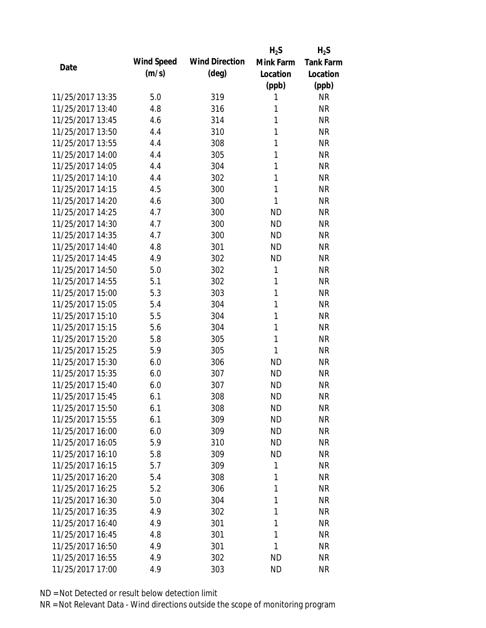|                  |            |                       | $H_2S$       | $H_2S$           |
|------------------|------------|-----------------------|--------------|------------------|
| Date             | Wind Speed | <b>Wind Direction</b> | Mink Farm    | <b>Tank Farm</b> |
|                  | (m/s)      | $(\text{deg})$        | Location     | Location         |
|                  |            |                       | (ppb)        | (ppb)            |
| 11/25/2017 13:35 | 5.0        | 319                   | 1            | <b>NR</b>        |
| 11/25/2017 13:40 | 4.8        | 316                   | 1            | <b>NR</b>        |
| 11/25/2017 13:45 | 4.6        | 314                   | 1            | <b>NR</b>        |
| 11/25/2017 13:50 | 4.4        | 310                   | 1            | <b>NR</b>        |
| 11/25/2017 13:55 | 4.4        | 308                   | 1            | <b>NR</b>        |
| 11/25/2017 14:00 | 4.4        | 305                   | 1            | <b>NR</b>        |
| 11/25/2017 14:05 | 4.4        | 304                   | 1            | <b>NR</b>        |
| 11/25/2017 14:10 | 4.4        | 302                   | 1            | <b>NR</b>        |
| 11/25/2017 14:15 | 4.5        | 300                   | 1            | <b>NR</b>        |
| 11/25/2017 14:20 | 4.6        | 300                   | 1            | <b>NR</b>        |
| 11/25/2017 14:25 | 4.7        | 300                   | <b>ND</b>    | <b>NR</b>        |
| 11/25/2017 14:30 | 4.7        | 300                   | <b>ND</b>    | <b>NR</b>        |
| 11/25/2017 14:35 | 4.7        | 300                   | <b>ND</b>    | <b>NR</b>        |
| 11/25/2017 14:40 | 4.8        | 301                   | <b>ND</b>    | <b>NR</b>        |
| 11/25/2017 14:45 | 4.9        | 302                   | <b>ND</b>    | <b>NR</b>        |
| 11/25/2017 14:50 | 5.0        | 302                   | 1            | <b>NR</b>        |
| 11/25/2017 14:55 | 5.1        | 302                   | 1            | <b>NR</b>        |
| 11/25/2017 15:00 | 5.3        | 303                   | 1            | <b>NR</b>        |
| 11/25/2017 15:05 | 5.4        | 304                   | $\mathbf{1}$ | <b>NR</b>        |
| 11/25/2017 15:10 | 5.5        | 304                   | 1            | <b>NR</b>        |
| 11/25/2017 15:15 | 5.6        | 304                   | 1            | <b>NR</b>        |
| 11/25/2017 15:20 | 5.8        | 305                   | 1            | <b>NR</b>        |
| 11/25/2017 15:25 | 5.9        | 305                   | 1            | <b>NR</b>        |
| 11/25/2017 15:30 | 6.0        | 306                   | <b>ND</b>    | <b>NR</b>        |
| 11/25/2017 15:35 | 6.0        | 307                   | <b>ND</b>    | <b>NR</b>        |
| 11/25/2017 15:40 | 6.0        | 307                   | <b>ND</b>    | <b>NR</b>        |
| 11/25/2017 15:45 | 6.1        | 308                   | <b>ND</b>    | <b>NR</b>        |
| 11/25/2017 15:50 | 6.1        | 308                   | <b>ND</b>    | <b>NR</b>        |
| 11/25/2017 15:55 | 6.1        | 309                   | <b>ND</b>    | <b>NR</b>        |
| 11/25/2017 16:00 | 6.0        | 309                   | ND           | <b>NR</b>        |
| 11/25/2017 16:05 | 5.9        | 310                   | <b>ND</b>    | <b>NR</b>        |
| 11/25/2017 16:10 | 5.8        | 309                   | <b>ND</b>    | <b>NR</b>        |
| 11/25/2017 16:15 | 5.7        | 309                   | 1            | <b>NR</b>        |
| 11/25/2017 16:20 | 5.4        | 308                   | 1            | <b>NR</b>        |
| 11/25/2017 16:25 | 5.2        | 306                   | 1            | <b>NR</b>        |
| 11/25/2017 16:30 | 5.0        | 304                   | 1            | <b>NR</b>        |
| 11/25/2017 16:35 | 4.9        | 302                   | 1            | <b>NR</b>        |
| 11/25/2017 16:40 | 4.9        | 301                   | 1            | <b>NR</b>        |
| 11/25/2017 16:45 | 4.8        | 301                   | 1            | <b>NR</b>        |
| 11/25/2017 16:50 | 4.9        | 301                   | 1            | <b>NR</b>        |
| 11/25/2017 16:55 | 4.9        | 302                   | <b>ND</b>    | <b>NR</b>        |
| 11/25/2017 17:00 | 4.9        | 303                   | <b>ND</b>    | <b>NR</b>        |
|                  |            |                       |              |                  |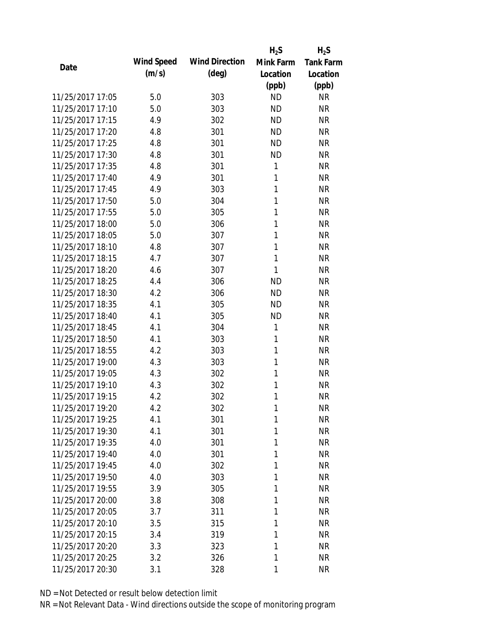|                  |            |                       | $H_2S$    | $H_2S$           |
|------------------|------------|-----------------------|-----------|------------------|
| Date             | Wind Speed | <b>Wind Direction</b> | Mink Farm | <b>Tank Farm</b> |
|                  | (m/s)      | $(\text{deg})$        | Location  | Location         |
|                  |            |                       | (ppb)     | (ppb)            |
| 11/25/2017 17:05 | 5.0        | 303                   | <b>ND</b> | <b>NR</b>        |
| 11/25/2017 17:10 | 5.0        | 303                   | <b>ND</b> | <b>NR</b>        |
| 11/25/2017 17:15 | 4.9        | 302                   | <b>ND</b> | <b>NR</b>        |
| 11/25/2017 17:20 | 4.8        | 301                   | <b>ND</b> | <b>NR</b>        |
| 11/25/2017 17:25 | 4.8        | 301                   | <b>ND</b> | <b>NR</b>        |
| 11/25/2017 17:30 | 4.8        | 301                   | <b>ND</b> | <b>NR</b>        |
| 11/25/2017 17:35 | 4.8        | 301                   | 1         | <b>NR</b>        |
| 11/25/2017 17:40 | 4.9        | 301                   | 1         | <b>NR</b>        |
| 11/25/2017 17:45 | 4.9        | 303                   | 1         | <b>NR</b>        |
| 11/25/2017 17:50 | 5.0        | 304                   | 1         | <b>NR</b>        |
| 11/25/2017 17:55 | 5.0        | 305                   | 1         | <b>NR</b>        |
| 11/25/2017 18:00 | 5.0        | 306                   | 1         | <b>NR</b>        |
| 11/25/2017 18:05 | 5.0        | 307                   | 1         | <b>NR</b>        |
| 11/25/2017 18:10 | 4.8        | 307                   | 1         | <b>NR</b>        |
| 11/25/2017 18:15 | 4.7        | 307                   | 1         | <b>NR</b>        |
| 11/25/2017 18:20 | 4.6        | 307                   | 1         | <b>NR</b>        |
| 11/25/2017 18:25 | 4.4        | 306                   | <b>ND</b> | <b>NR</b>        |
| 11/25/2017 18:30 | 4.2        | 306                   | <b>ND</b> | <b>NR</b>        |
| 11/25/2017 18:35 | 4.1        | 305                   | <b>ND</b> | <b>NR</b>        |
| 11/25/2017 18:40 | 4.1        | 305                   | <b>ND</b> | <b>NR</b>        |
| 11/25/2017 18:45 | 4.1        | 304                   | 1         | <b>NR</b>        |
| 11/25/2017 18:50 | 4.1        | 303                   | 1         | <b>NR</b>        |
| 11/25/2017 18:55 | 4.2        | 303                   | 1         | <b>NR</b>        |
| 11/25/2017 19:00 | 4.3        | 303                   | 1         | <b>NR</b>        |
| 11/25/2017 19:05 | 4.3        | 302                   | 1         | <b>NR</b>        |
| 11/25/2017 19:10 | 4.3        | 302                   | 1         | <b>NR</b>        |
| 11/25/2017 19:15 | 4.2        | 302                   | 1         | <b>NR</b>        |
| 11/25/2017 19:20 | 4.2        | 302                   | 1         | <b>NR</b>        |
| 11/25/2017 19:25 | 4.1        | 301                   | 1         | <b>NR</b>        |
| 11/25/2017 19:30 | 4.1        | 301                   | 1         | <b>NR</b>        |
| 11/25/2017 19:35 | 4.0        | 301                   | 1         | <b>NR</b>        |
| 11/25/2017 19:40 | 4.0        | 301                   | 1         | <b>NR</b>        |
| 11/25/2017 19:45 | 4.0        | 302                   | 1         | <b>NR</b>        |
| 11/25/2017 19:50 | 4.0        | 303                   | 1         | <b>NR</b>        |
| 11/25/2017 19:55 | 3.9        | 305                   | 1         | <b>NR</b>        |
| 11/25/2017 20:00 | 3.8        | 308                   | 1         | <b>NR</b>        |
| 11/25/2017 20:05 | 3.7        | 311                   | 1         | <b>NR</b>        |
| 11/25/2017 20:10 | 3.5        | 315                   | 1         | <b>NR</b>        |
| 11/25/2017 20:15 | 3.4        | 319                   | 1         | <b>NR</b>        |
| 11/25/2017 20:20 | 3.3        | 323                   | 1         | <b>NR</b>        |
| 11/25/2017 20:25 | 3.2        | 326                   | 1         | <b>NR</b>        |
| 11/25/2017 20:30 | 3.1        | 328                   | 1         | <b>NR</b>        |
|                  |            |                       |           |                  |